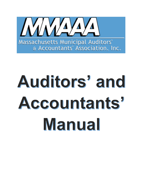

# Auditors' and Accountants' Manual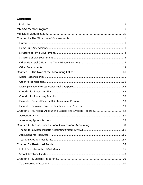# **Contents**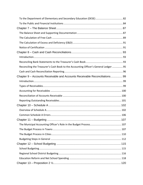| Reconciling the Treasurer's Cash Book to the Accounting Officer's General Ledger 95 |  |
|-------------------------------------------------------------------------------------|--|
|                                                                                     |  |
| Chapter 9 – Accounts Receivable and Accounts Receivable Reconciliations 99          |  |
|                                                                                     |  |
|                                                                                     |  |
|                                                                                     |  |
|                                                                                     |  |
|                                                                                     |  |
|                                                                                     |  |
|                                                                                     |  |
|                                                                                     |  |
|                                                                                     |  |
|                                                                                     |  |
|                                                                                     |  |
|                                                                                     |  |
|                                                                                     |  |
|                                                                                     |  |
|                                                                                     |  |
|                                                                                     |  |
|                                                                                     |  |
|                                                                                     |  |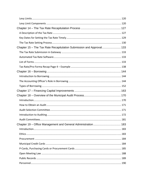| Chapter 15 - The Tax Rate Recapitulation Submission and Approval 133 |  |
|----------------------------------------------------------------------|--|
|                                                                      |  |
|                                                                      |  |
|                                                                      |  |
|                                                                      |  |
|                                                                      |  |
|                                                                      |  |
|                                                                      |  |
|                                                                      |  |
|                                                                      |  |
|                                                                      |  |
|                                                                      |  |
|                                                                      |  |
|                                                                      |  |
|                                                                      |  |
|                                                                      |  |
|                                                                      |  |
|                                                                      |  |
|                                                                      |  |
|                                                                      |  |
|                                                                      |  |
|                                                                      |  |
|                                                                      |  |
|                                                                      |  |
|                                                                      |  |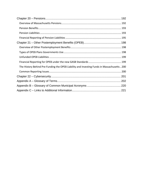| The History Behind Pre-Funding the OPEB Liability and Investing Funds in Massachusetts200 |  |  |  |
|-------------------------------------------------------------------------------------------|--|--|--|
|                                                                                           |  |  |  |
|                                                                                           |  |  |  |
|                                                                                           |  |  |  |
|                                                                                           |  |  |  |
|                                                                                           |  |  |  |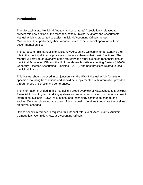# **Introduction**

The Massachusetts Municipal Auditors' & Accountants' Association is pleased to present this new edition of the Massachusetts Municipal Auditors' and Accountants' Manual which is presented to assist municipal Accounting Officers across Massachusetts in performing their important roles in the financial operation of their governmental entities.

The purpose of this Manual is to assist new Accounting Officers in understanding their role in the municipal finance process and to assist them in their basic functions. The Manual will provide an overview of the statutory and other expected responsibilities of municipal Accounting Officers, the Uniform Massachusetts Accounting System (UMAS), Generally Accepted Accounting Principles (GAAP), and best practices related to local municipal finance.

This Manual should be used in conjunction with the UMAS Manual which focuses on specific accounting transactions and should be supplemented with information provided through MMAAA schools and conferences.

The information provided in this manual is a broad overview of Massachusetts Municipal Financial Accounting and Auditing systems and requirements based on the most current information available. Laws, regulations, and technology continue to change and evolve. We strongly encourage users of this manual to continue to educate themselves on current changes.

Unless specific reference is required, this Manual refers to all Accountants, Auditors, Comptrollers, Controllers, etc. as Accounting Officers.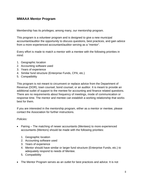# **MMAAA Mentor Program**

Membership has its privileges; among many, our mentorship program.

This program is a volunteer program and is designed to give a new municipal accountant/auditor the opportunity to discuss questions, best practices, and gain advice from a more experienced accountant/auditor serving as a "mentor".

Every effort is made to match a mentor with a mentee with the following priorities in mind:

- 1. Geographic location
- 2. Accounting software used
- 3. Years of experience
- 4. Similar fund structure (Enterprise Funds, CPA, etc.)
- 5. Compatibility

This program is not meant to circumvent or replace advice from the Department of Revenue (DOR), town counsel, bond counsel, or an auditor. It is meant to provide an additional outlet of support to the mentee for accounting and finance related questions. There are no requirements about frequency of meetings, mode of communication or response time. The mentor and mentee can establish a working relationship that works best for them.

If you are interested in the mentorship program, either as a mentor or mentee, please contact the Association for further instructions.

#### *Policies:*

- Pairing The matching of newer accountants (Mentees) to more experienced accountants (Mentors) should be made with the following priorities:
	- 1. Geographic location
	- 2. Accounting software used
	- 3. Years of experience
	- 4. Mentor should have similar or larger fund structure (Enterprise Funds, etc.) to adequately respond to needs of Mentee.
	- 5. Compatibility
- The Mentor Program serves as an outlet for best practices and advice. It is not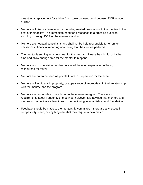meant as a replacement for advice from, town counsel, bond counsel, DOR or your auditor.

- Mentors will discuss finance and accounting related questions with the mentee to the best of their ability. The immediate need for a response to a pressing question should go through DOR or the mentee's auditor.
- Mentors are not paid consultants and shall not be held responsible for errors or omissions in financial reporting or auditing that the mentee performs.
- The mentor is serving as a volunteer for the program. Please be mindful of his/her time and allow enough time for the mentor to respond.
- Mentors who opt to visit a mentee on site will have no expectation of being reimbursed for travel.
- Mentors are not to be used as private tutors in preparation for the exam.
- Mentors will avoid any impropriety, or appearance of impropriety, in their relationship with the mentee and the program.
- Mentors are responsible to reach out to the mentee assigned. There are no requirements about frequency of meetings; however, it is advised that mentors and mentees communicate a few times in the beginning to establish a good foundation.
- Feedback should be made to the mentorship committee if there are any issues in compatibility, need, or anything else that may require a new match.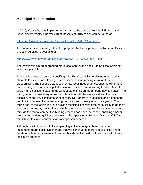# **Municipal Modernization**

In 2016, Massachusetts implemented "An Act to Modernize Municipal Finance and Government" ("Act"), Chapter 218 of the Acts of 2016, which can be found at:

https://malegislature.gov/Laws/SessionLaws/Acts/2016/Chapter218.

A comprehensive summary of the law prepared by the Department of Revenue Division of Local Services is available at:

#### http://www.mass.gov/dor/docs/dls/city-town/2016/16ctown-aug18.pdf

The new law is aimed at granting more local control and encouraging fiscal efficiency wherever possible.

The new law focuses on four specific goals. The first goal is to eliminate and update obsolete laws such as allowing police officers to issue moving violation tickets electronically. The second goal is to promote local independence, such as eliminating unnecessary caps on municipal stabilization, reserve, and revolving funds. This will allow municipalities to save funds without state limits on the amount they can save. The third goal is to make every municipal interaction with the state as streamlined as possible, so the law eliminates unnecessary DLS approval processes and extends the certification review of local assessing practices from three years to five years. The fourth goal of the legislation is to provide municipalities with greater flexibility to do their jobs on a day-to-day basis. For example, the threshold required for a city or town to go through the formal competitive bidding process has been increased, enabling smaller projects to get done quicker and allowing the Operational Services Division (OSD) to reinstitute statewide contracts for tradesperson services.

Although this Act made initial sweeping legislative changes, there is an intent to implement future legislative changes that will continue to improve efficiencies and to delete obsolete requirements. Users of this Manual should continue to monitor future legislative changes.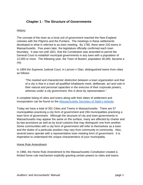# **Chapter 1 - The Structure of Governments**

#### **History**

The concept of the town as a local unit of government reached the New England colonies with the Pilgrims and the Puritans. The meetings in these settlements developed to what is referred to as town meeting. By 1780, there were 220 towns in Massachusetts. Five years later, the legislature officially confirmed each town boundary. It was not until 1821, that the Constitution was amended to permit the General Court to establish municipal governments in any town with a population of 12,000 or more. The following year, the Town of Boston, population 40,000, became a city.

In 1893 the Supreme Judicial Court, in Larcom v Olan, distinguished towns from cities as follows:

*"The marked and characteristic distinction between a town organization and that of a city is that in a town all qualified inhabitants meet, deliberate, act and vote in their natural and personal capacities in the exercise of their corporate powers, whereas under a city government, this is done by representation."* 

A complete listing of cities and towns along with their dates of settlement and incorporation can be found on the Massachusetts Secretary of State's website.

Today we have a total of 351 Cities and Towns in Massachusetts. There are 57 municipalities practicing a city form of government and 294 municipalities practicing a town form of government. Although the structure of city and town governments in Massachusetts may appear the same on the surface, many are affected by charter and by-law provisions as well as by local customs that may distinguish one from another. Some communities with a city form of government still refer to themselves as a town and the duties of a particular position may vary from community to community. Also, several towns operate with a representative town meeting form of government. It is imperative to understand the unique characteristics of your municipality.

#### Home Rule Amendment

In 1966, the Home Rule Amendment to the Massachusetts Constitution created a limited home rule mechanism explicitly granting certain powers to cities and towns.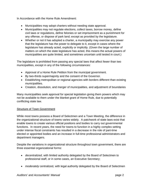In Accordance with the Home Rule Amendment:

- Municipalities may adopt charters without needing state approval.
- Municipalities may not regulate elections, collect taxes, borrow money, define civil laws or regulations, define felonies or set imprisonment as a punishment for any offense, or dispose of park land; except as provided by the legislature.
- Whether or not it has adopted a charter, a municipality may exercise any power that the legislature has the power to delegate to it, except in cases where the legislature has already acted, explicitly or implicitly. (Given the large number of matters on which the state legislature has acted, this means the actual powers of municipalities are quite limited, and sometimes uncertain until tested in court.)

The legislature is prohibited from passing any special laws that affect fewer than two municipalities, except in any of the following circumstances:

- Approval of a Home Rule Petition from the municipal government.
- By two-thirds supermajority and the consent of the Governor.
- Establishing metropolitan or regional agencies with borders different than existing municipalities.
- Creation, dissolution, and merger of municipalities, and adjustment of boundaries

Many municipalities seek approval for special legislation giving them powers which may not be available to them under the blanket grant of Home Rule, due to potentially conflicting state law.

#### **Structure of Town Government**

While most towns possess a Board of Selectmen and a Town Meeting, the difference in the organizational structure of towns varies widely. A patchwork of state laws exist that enable towns to create various official positions and bodies to carry out governmental functions. In recent years, the need for towns to function in a highly complex setting under intense fiscal constraints has resulted in a decrease in the role of part-time elected or appointed bodies and an increase in full-time professional administrators and department managers.

Despite the variations in organizational structure throughout town government, there are three essential organizational forms:

- *decentralized*, with limited authority delegated by the Board of Selectmen to professional staff, or in some cases, an Executive Secretary;
- *moderately* centralized, with legal authority delegated by the Board of Selectmen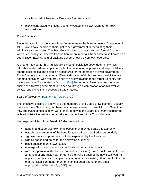to a Town Administrator or Executive Secretary; and

 *highly* centralized, with legal authority vested in a Town Manager or Town Administrator.

#### *Town Charters*

Since the adoption of the Home Rule Amendment to the Massachusetts Constitution in 1966, towns have exercised their right to self-government in formulating their administrative structure. This has allowed towns to adopt their own formal Charter, which is a local government's Constitution, or an informal Charter otherwise known as a Legal Base. Each structural package governs how a given town operates.

A Charter may set forth a municipality's type of legislative body, determine which officials are elected and appointed, alter the distribution of powers and responsibilities among local offices and establish procedures for the operation of town government. Town Charters that provide for a different allocation of duties and responsibilities are deemed consistent with "the provisions of any law relating to the structure of city and town government" as written in G.L. c. 43B, § 20. A Legal Base provides the same outline of a town's government, but does so through a compilation of administrative bylaws, special acts and accepted State statutes.

#### *Board of Selectmen (G.L. c. 41, § 20 et. seq.)*

The executive officers of a town are the members of the Board of Selectmen. Usually, there are three Selectmen, but there may be five or seven. In small towns, Selectmen may supervise almost all town work. In large towns, the Board is primarily concerned with administrative policies, especially in communities with a Town Manager.

Key responsibilities of the Board of Selectmen include:

- appoint and supervise town employees; they may delegate this authority;
- establish the amounts of the bond for town officers required to be bonded;
- sign warrants for appropriations to be expended by the Treasurer;
- sign all bonds and notes for the borrowing of money;
- place questions on a town ballot;
- manage all town property not specifically under another's control
- with the approval of the finance committee (FinCom) may "transfer within the last 2 months of any fiscal year, or during the first 15 days of the new fiscal year to apply to the previous fiscal year, any amount appropriated, other than for the use of a municipal light department or a school department, to any other appropriation (Chapter 44, § 33B); and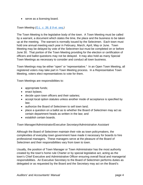• serve as a licensing board.

#### *Town Meeting (G.L. c. 39, § 9 et. seq.)*

The Town Meeting is the legislative body of the town. A Town Meeting must be called by a warrant, a document which states the time, the place and the business to be taken up at the meeting. The warrant is normally issued by the Selectmen. Each town must hold one annual meeting each year in February, March, April, May or June. Town Meeting may be delayed by vote of the Selectmen but must be completed on or before June 30. That portion of the Town Meeting providing for the election or certification of officers and ballot questions may not be delayed. It may also hold as many Special Town Meetings as necessary to consider and conduct all town business.

Town Meetings may be either "open" or "representative." In an Open Town Meeting, all registered voters may take part in Town Meeting process. In a Representative Town Meeting, voters elect representatives to vote for them.

Town Meetings are responsibilities to:

- appropriate funds;
- enact bylaws;
- decide upon town officers and their salaries;
- accept local option statutes unless another mode of acceptance is specified by law;
- authorize the Board of Selectmen to sell town land;
- place a question on a ballot as to whether the Board of Selectmen may act as certain department heads as written in the law; and
- establish certain boards.

#### *Town Manager/Administrator/Executive Secretary/Administrative Assistant*

Although the Board of Selectmen maintain their role as town policymakers, the complexities of everyday town government have made it necessary for boards to hire professional managers. These managers serve at the pleasure of the Board of Selectmen and their responsibilities vary from town to town.

Usually, the position of Town Manager or Town Administrator has the most authority created by the town's home rule Charter or by special legislative act, acting as the town's Chief Executive and Administrative Officer ensuring overall fiscal and managerial responsibilities. An Executive Secretary to the Board of Selectmen performs duties as delegated or as requested by the Board and the Secretary may act on the Board's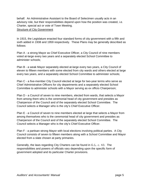behalf. An Administrative Assistant to the Board of Selectmen usually acts in an advisory role, but their responsibilities depend upon how the position was created, i.e. Charter, special act or vote of Town Meeting. Structure of City Government

In 1915, the Legislature enacted four standard forms of city government with a fifth and sixth added in 1938 and 1959 respectively. These Plans may be generally described as follows:

Plan A - a strong Mayor as Chief Executive Officer, a City Council of nine members voted at-large every two years and a separately elected School Committee to administer schools;

Plan B - a weak Mayor separately elected at-large every two years, a City Council of eleven to fifteen members with some elected from city wards and others elected at large every two years, and a separately elected School Committee to administer schools;

Plan C - a five-member City Council elected at large for two-year terms who serve as Chief Administrative Officers for city departments and a separately elected School Committee to administer schools with a Mayor serving as ex officio Chairperson;

Plan D - a Council of seven to nine members, elected from wards, that selects a Mayor from among them who is the ceremonial head of city government and presides as Chairperson of the Council and of the separately elected School Committee. The Council selects a Manager who is the city's Chief Executive Officer.

Plan E - a Council of seven to nine members elected at large that selects a Mayor from among themselves who is the ceremonial head of city government and presides as Chairperson of the Council and of the separately elected School Committee. The Council selects a Manager who is the city's Chief Executive Officer.

Plan F - a partisan strong Mayor with local elections involving political parties. A City Council consists of seven to fifteen members along with a School Committee and Mayor elected from a slate chosen at party primaries.

Generally, the laws regarding City Charters can be found in G.L. c. 43. The responsibilities and powers of officials vary depending upon the specific form of government adopted and its particular Charter provisions.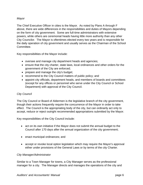#### *Mayor*

The Chief Executive Officer in cities is the Mayor. As noted by Plans A through F above, there are wide differences in the responsibilities and duties of Mayors depending on the form of city government. Some are full-time administrators with extensive powers, while others are ceremonial heads having little more authority than any other City Councilor. The Mayor is oftentimes elected every two years and is responsible for the daily operation of city government and usually serves as the Chairman of the School Committee.

Key responsibilities of the Mayor include:

- oversee and manage city department heads and agencies;
- ensure that the city charter, state laws, local ordinances and other orders for the government of the City are enforced;
- prepare and manage the city's budget;
- recommend to the City Council matters of public policy; and
- appoint city officials, department heads, and members of boards and committees (except for any offices or personnel who serve under the City Council or School Department) with approval of the City Council.

#### *City Council*

The City Council or Board of Aldermen is the legislative branch of the city government, though their actions frequently require the concurrence of the Mayor in order to take effect. The Council is the appropriating body of the city, but can ordinarily act only to accept, reduce or reject outright recommended appropriations submitted by the Mayor.

Key responsibilities of the City Council include:

- act on its own initiative if the Mayor does not submit the annual budget to the Council after 170 days after the annual organization of the city government;
- enact municipal ordinances; and
- accept or revoke local option legislation which may require the Mayor's approval either under provisions of the General Laws or by terms of the city Charter.

#### *City Manager/Administrator*

Similar to a Town Manager for towns, a City Manager serves as the professional manager for a city. The Manager directs and manages the operations of the city and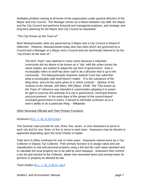facilitates problem solving at all levels of the organization under general direction of the Mayor and City Council. The Manager serves as a liaison between city staff, the Mayor and the City Council and performs financial and managerial analyses, and strategic and long-term planning for the Mayor and City Council as requested.

#### *"The City Known as the Town of"*

Most Massachusetts cities are governed by a Mayor and a City Council or Board of Aldermen. However, Massachusetts today also has cities which are governed by a Council and a Manager or a Mayor and a Council and are technically referred to as the "city known as the town of."

*The term "town" was retained in many cases because a suburban community did not desire to be known as a "city" with the urban issues the name implies, but wished to adopt the city form of government. How a municipality refers to itself has been said to be a decision that is up to the community. The Massachusetts Supreme Judicial Court has ruled that what a municipality calls itself doesn't matter: "It is the substance of the thing done, and not the name given to it, which controls". Opinion of the Justices to the Senate, 229 Mass. 600 (Mass. 1918). The "City known as the Town of" reference was intended in communities adopting it to assert its right to exercise the authority of a city in governance, municipal finance and procurement. In the early days of the spread of the council-based municipal government to towns, it served to eliminate confusion as to a town's ability to do a particular thing. - Wikipedia* 

Other Municipal Officials and Their Primary Functions

*Assessors (G.L. c. 41, § 24 et.seq.)* 

The General Laws provide for one, three, five, seven, or nine Assessors to serve in each city and for one, three, or five to serve in each town. Assessors may be elected or appointed depending upon the local Charter or bylaw.

Their term in office continues for one or more years. Assessors cannot serve as a Tax Collector or Deputy Tax Collector. Their primary function is to assign value and use classification to real and personal property using a full and fair cash value standard and to calculate the local property tax to be paid by each taxpayer. Assessors then commit a tax list and warrant to the Collector, abate over-assessed taxes and exempt taxes for persons or property as allowed by law.

*Town Auditor (G.L. c. 41, § 48 et. seq.)*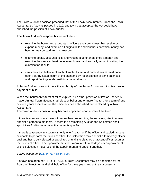The Town Auditor's position preceded that of the Town Accountant's. Once the Town Accountant's Act was passed in 1910, any town that accepted the Act could have abolished the position of Town Auditor.

The Town Auditor's responsibilities include to:

- examine the books and accounts of officers and committees that receive or expend money, and examine all original bills and vouchers on which money has been or may be paid from its treasury;
- examine books, accounts, bills and vouchers as often as once a month and examine the same at least once in each year, and annually report in writing the examination results;
- verify the cash balance of each of such officers and committees at least once each year by actual count of the cash and by reconciliation of bank balances, and report findings under oath in an annual report.

A Town Auditor does not have the authority of the Town Accountant to disapprove payment of bills.

When the incumbent's term of office expires, if no other provision of law or Charter is made, Annual Town Meeting shall elect by ballot one or more Auditors for a term of one or more years except where the office has been abolished and replaced by a Town Accountant.

The Town Auditor's position may become appointed upon a vote of the town.

If there is a vacancy in a town with more than one Auditor, the remaining Auditors may appoint a person to aid them. If there is no remaining Auditor, the Selectmen shall appoint an Auditor to serve until another is qualified.

If there is a vacancy in a town with only one Auditor, or if the officer is disabled, absent or unable to perform the duties of office, the Selectmen may appoint a temporary officer until another is duly elected or appointed or until the disabled or absent officer resumes the duties of office. The appointee must be sworn in within 10 days after appointment or the Selectmen must rescind the appointment and appoint another.

*Town Accountant (G.L. c. 41, § 55 et. seq.)* 

If a town has adopted G.L. c. 41, § 55, a Town Accountant may be appointed by the Board of Selectmen and shall hold office for three years and until a successor is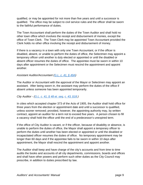qualified, or may be appointed for not more than five years and until a successor is qualified. The office may be subject to civil service rules and the officer shall be sworn to the faithful performance of duties.

The Town Accountant shall perform the duties of the Town Auditor and shall hold no other town office which involves the receipt and disbursement of monies, except the office of Town Clerk. The Town Clerk may be appointed Town Accountant provided the Clerk holds no other office involving the receipt and disbursement of money.

If there is a vacancy in a town with only one Town Accountant, or if the officer is disabled, absent, or unable to perform the duties of office, the Selectmen may appoint a temporary officer until another is duly elected or appointed or until the disabled or absent officer resumes the duties of office. The appointee must be sworn in within 10 days after appointment or the Selectmen must rescind the appointment and appoint another.

#### *Assistant Auditor/Accountant (G.L. c. 41, § 49A)*

The Auditor or Accountant with the approval of the Mayor or Selectmen may appoint an assistant. After being sworn in, the assistant may perform the duties of the office if absent unless someone has been appointed temporarily.

#### *City Auditor - (G.L. c. 41, § 48 et. seq, c. 43, §18.)*

In cities which accepted chapter 373 of the Acts of 1905, the Auditor shall hold office for three years from the election or appointment date and until a successor is qualified, unless sooner removed; provided, however, the appointing authority may, by written contract, appoint an auditor for a term not to exceed five years. A person chosen to fill a vacancy shall hold the office until the end of a predecessor's unexpired term.

If the office of City Auditor is vacant, or if the officer, because of disability or absence, is unable to perform the duties of office, the Mayor shall appoint a temporary officer to perform the duties until another has been elected or appointed or until the disabled or incapacitated officer resumes the duties of office. No temporary appointment may be longer than 60 days and if the appointee fails to be sworn in within 10 days after appointment, the Mayor shall rescind the appointment and appoint another.

The Auditor shall keep and have charge of the city's accounts and from time to time audits the books and accounts of all city departments, commissions, boards and offices and shall have other powers and perform such other duties as the City Council may prescribe, in addition to duties prescribed by law.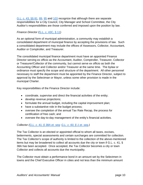G.L. c. 43, §§ 81, 89, 95 and 103 recognize that although there are separate responsibilities for a City Council, City Manager and School Committee, the City Auditor's responsibilities are those conferred and imposed upon the position by law.

# *Finance Director (*G.L. c. 43C, § 11)

As an optional form of municipal administration, a community may establish a consolidated department of municipal finance by accepting the provisions of law. Such a consolidated department may include the offices of Assessors, Collector, Accountant, Auditor or Comptroller, and Treasurer.

The consolidated municipal finance department must have an appointed Finance Director serving ex officio as the Accountant, Auditor, Comptroller, Treasurer, Collector or Treasurer/Collector of the community, but cannot serve ex officio as both the Accounting Officer and Collector and/or Treasurer at the same time. The bylaw or ordinance must specify the scope and structure of the department. All other personnel necessary to staff the department must be appointed by the Finance Director, subject to approval by the Selectman or Mayor, unless some other provision is made in the municipal Charter.

Key responsibilities of the Finance Director include:

- coordinate, supervise and direct the financial activities of the entity;
- develop revenue projections;
- formulate the annual budget, including the capital improvement plan;
- have a substantive role in the budget process;
- oversee the completion of the annual Tax Rate Recap, the process for certification of free cash; and
- oversee the day-to-day management of the entity's financial activities.

# *Collector (G.L. c. 41, § 38A et. seq; G.L. c. 60, § 1 et. seq.)*

The Tax Collector is an elected or appointed official to whom all taxes, excises, betterments, special assessments and certain surcharges are committed for collection. The Tax Collector's scope of authority is limited to the collection of the above-mentioned items but may be broadened to collect all accounts due the city or town if G.L. c. 41, § 38A has been accepted. Once accepted, the Tax Collector becomes a city or town Collector and collects all accounts due the municipality.

The Collector must obtain a performance bond in an amount set by the Selectmen in towns and the Chief Executive Officer in cities and not less than the minimum amount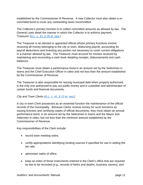established by the Commissioner of Revenue. A new Collector must also obtain a recommittal bond to cover any outstanding taxes recommitted.

The Collector's primary function is to collect committed amounts as allowed by law. The General Laws detail the manner in which the Collector is to enforce payment. *Treasurer (G.L. c. 41, § 35 et. seq.)* 

The Treasurer is an elected or appointed official whose primary functions involve receiving all money belonging to the city or town, disbursing payroll, accounting for payroll deductions and investing any portion not necessary to cover current obligations in a manner allowed by law. The Treasurer must account for monies received by maintaining and reconciling a cash book detailing receipts, disbursements and cash balances.

The Treasurer must obtain a performance bond in an amount set by the Selectmen in towns and the Chief Executive Officer in cities and not less than the amount established by the Commissioner of Revenue.

The Treasurer is also responsible for issuing municipal debt when properly authorized, is the only one authorized to pay out public money and is custodian and administrator of certain funds and financial documents.

*City and Town Clerks (G.L. c. 41, § 12 et. seq.)*

A city or town Clerk possesses as an essential function the maintenance of the official records of the municipality. Because Clerks receive money for such functions as issuing licenses and certifying copies of official documents, they must obtain an annual performance bond, in an amount set by the Selectmen in towns and the Mayor and Aldermen in cities, but not less than the minimum amount established by the Commissioner of Revenue.

Key responsibilities of the Clerk include:

- record town meeting votes;
- certify appropriations identifying funding sources if specified for use in setting the tax rate;
- administer oaths of office;
- keep an index of those instruments entered in the Clerk's office that are required by law to be recorded (e.g., records of births and deaths, business names); and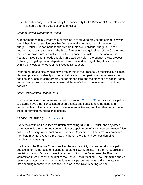• furnish a copy of debt voted by the municipality to the Director of Accounts within 48 hours after the vote becomes effective.

#### *Other Municipal Department Heads*

A department head's ultimate role or mission is to strive to provide the community with the highest level of service possible from the available resources of the municipal budget. Usually, department heads prepare their own individual budgets. These budgets must be created within the broad framework and guidelines of the Charter and the rules or procedures established by the Finance Committee, Selectmen, and/or Manager. Department heads should participate actively in the budget review process. Following budget approval, department heads have direct legal obligations to spend within the allocated amount of their respective budgets.

Department heads also should play a major role in their respective municipality's capital planning process by identifying the capital needs of their particular departments. In addition, they should carefully provide for proper care and maintenance of capital items under their control, endeavoring to extend the useful life of those items as much as possible.

#### *Other Consolidated Departments*

In another optional form of municipal administration, G.L. c. 43C permits a municipality to establish two other consolidated departments: one consolidating persons and departments involved in community development activities, and the other consolidating those performing municipal inspections.

#### *Finance Committee (G.L. c. 39, § 16)*

Every town with an Equalized Valuation exceeding \$1,000,000 must, and any other town may legislate the mandatory election or appointment of a Finance Committee (also called an Advisory, Appropriation, or Prudential Committee). The terms of committee members may not exceed three years, although the size and composition of its membership may vary.

In all cases, the Finance Committee has the responsibility to consider all municipal questions for the purpose of making a report to Town Meeting. Furthermore, unless a provision of a town's bylaw gives the responsibility to the Selectmen, the Finance Committee must present a budget at the Annual Town Meeting. The Committee should review estimates provided by the various municipal departments and formulate them into spending recommendations for inclusion in the Town Meeting warrant.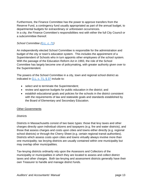Furthermore, the Finance Committee has the power to approve transfers from the Reserve Fund, a contingency fund usually appropriated as part of the annual budget, to departmental budgets for extraordinary or unforeseen occurrences.

In a city, the Finance Committee's responsibilities rest with either the full City Council or a subcommittee thereof.

#### *School Committee (G.L. c. 71)*

An independently elected School Committee is responsible for the administration and budget of the city or town's education system. This includes the appointment of a Superintendent of Schools who in turn appoints other employees of the school system. With the passage of the Education Reform Act in 1993, the role of the School Committee has largely become one of policymaking, with greater authority given over to the Superintendent.

The powers of the School Committee in a city, town and regional school district as indicated in  $G.L. c. 71, § 37$  include to:

- select and to terminate the Superintendent;
- review and approve budgets for public education in the district; and
- establish educational goals and policies for the schools in the district consistent with the requirements of law and statewide goals and standards established by the Board of Elementary and Secondary Education.

#### **Other Governments**

#### *Districts*

Districts in Massachusetts consist of two basic types: those that levy taxes and other charges directly upon individual citizens and taxpayers (e.g. fire and water districts), and those that assess charges and costs upon cities and towns either directly (e.g. regional school districts) or through the Cherry Sheet (e.g. certain regional transit authorities). Districts which assess costs upon cities and towns virtually always involve more than one municipality; tax levying districts are usually contained within one municipality but may overlap other municipalities.

Tax-levying districts ordinarily rely upon the Assessors and Collectors of the municipality or municipalities in which they are located to assess and collect district taxes and other charges. Both tax-levying and assessment districts generally have their own Treasurer to handle and manage district funds.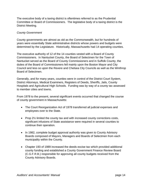The executive body of a taxing district is oftentimes referred to as the Prudential Committee or Board of Commissioners. The legislative body of a taxing district is the District Meeting.

#### *County Government*

County governments are almost as old as the Commonwealth, but for hundreds of years were essentially State administrative districts whose powers and budgets were determined by the Legislature. Historically, Massachusetts had 14 operating counties.

The executive authority of 12 of the 14 counties vested with a Board of County Commissioners. In Nantucket County, the Board of Selectmen for the Town of Nantucket served as the Board of County Commissioners and in Suffolk County, the duties of the Board of Commissioners fell mainly upon the Boston Mayor and City Council and less so upon the Revere and Chelsea City Councils as well as the Winthrop Board of Selectmen.

Generally, and for many years, counties were in control of the District Court System, District Attorneys, Medical Examiners, Registers of Deeds, Sheriffs, Jails, County Hospitals and Agricultural High Schools. Funding was by way of a county tax assessed to member cities and towns.

From 1978 to the present, several significant events occurred that changed the course of county government in Massachusetts:

- The Court Reorganization Act of 1978 transferred all judicial expenses and employees over to the State.
- Prop 2<sup>1/2</sup> limited the county tax and with increased county corrections costs, significant infusions of State assistance were required in several counties to continue their operation.
- In 1982, complete budget approval authority was given to County Advisory Boards composed of Mayors, Managers and Boards of Selectmen from each municipality within the County.
- Chapter 193 of 1989 increased the deeds excise tax which provided additional county funding and established a County Government Finance Review Board (C.G.F.R.B.) responsible for approving all county budgets received from the County Advisory Boards.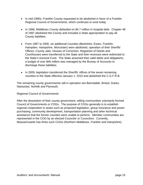- In mid-1990s, Franklin County requested to be abolished in favor of a Franklin Regional Council of Governments, which continues to exist today.
- In 1996, Middlesex County defaulted on \$4.7 million in hospital debt. Chapter 48 of 1997 abolished the County and included a State appropriation to pay all County liabilities.
- From 1997 to 2000, six additional Counties (Berkshire, Essex, Franklin, Hampden, Hampshire, Worcester) were abolished, operation of their Sheriffs' Offices, County Jails, Houses of Correction, Registries of Deeds and Courthouses were transferred to the State and their revenues were redirected to the State's General Fund. The State assumed their valid debts and obligations; a budget of over \$46 million was managed by the Bureau of Accounts to discharge these liabilities.
- In 2009, legislation transferred the Sheriffs' offices of the seven remaining counties to the State effective January 1, 2010 and abolished the C.G.F.R.B.

The remaining county governments still in operation are Barnstable, Bristol, Dukes, Nantucket, Norfolk and Plymouth.

#### *Regional Council of Governments*

After the dissolution of their county government, willing communities voluntarily formed Council of Governments or COGs. The purpose of COGs generally is to establish regional cooperation in areas such as proposed legislation, group insurance and power purchasing, community development, transportation planning and other technical assistance that the former counties were unable to perform. Member communities are represented in the COG by an elected Councilor or Councilors. Currently, Massachusetts has three such COGs (Northern Middlesex, Franklin and Hampshire).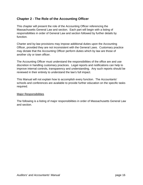# **Chapter 2 - The Role of the Accounting Officer**

This chapter will present the role of the Accounting Officer referencing the Massachusetts General Law and section. Each part will begin with a listing of responsibilities in order of General Law and section followed by further details by function.

Charter and by-law provisions may impose additional duties upon the Accounting Officer, provided they are not inconsistent with the General Laws. Customary practice may dictate that the Accounting Officer perform duties which by law are those of another city or town officer.

The Accounting Officer must understand the responsibilities of the office are and use discretion in handling customary practices. Legal reports and notifications can help to improve internal controls, transparency and understanding. Any such reports should be reviewed in their entirety to understand the law's full impact.

This Manual will not explain how to accomplish every function. The Accountants' schools and conferences are available to provide further education on the specific tasks required.

#### Major Responsibilities

The following is a listing of major responsibilities in order of Massachusetts General Law and section.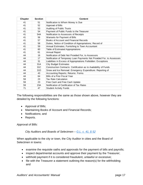| Chapter | <b>Section</b> | <b>Content</b>                                                         |
|---------|----------------|------------------------------------------------------------------------|
| 41      | 51             | Notification to Whom Money is Due                                      |
| 41      | 52             | Approval of Bills                                                      |
| 41      | 53             | <b>Auditing of Public Trusts</b>                                       |
| 41      | 54             | Payment of Public Funds to the Treasurer                               |
| 41      | 54A            | Notification to Assessors of Receipts                                  |
| 41      | 56             | Warrants for Payment of Bills                                          |
| 41      | 57             | Books of Account and Financial Records                                 |
| 41      | 58             | Duties, Notice of Condition of Appropriations; Record of               |
| 41      | 59             | Annual Estimates; Furnishing to Town Accountant                        |
| 41      | 60             | Table of Estimated Appropriations                                      |
| 41      | 61             | <b>Annual Report</b>                                                   |
| 44      | 16             | Notification of Debt Not Provided For, to Assessors                    |
| 44      | 17             | Notification of Temporary Loan Payments Not Provided For, to Assessors |
| 44      | 31             | Liabilities in Excess of Appropriations Forbidden: Exceptions          |
| 44      | 31A            | <b>City Budget Estimates</b>                                           |
| 44      | 31C            | Construction Contracts: Certification as to Availability of Funds      |
| 44      | 31D            | Snow and Ice Removal: Emergency Expenditure: Reporting of              |
| 44      | 43             | Accounting Reports; Returns: Forms                                     |
| 44      | 64             | Bills of a Prior Fiscal Year                                           |
| 59      | 23             | <b>Tax Rate Calculation</b>                                            |
| 59      | 23             | Free Cash and Free Cash Update                                         |
| 59      | 23A            | Notification of Certification of Tax Rates                             |
| 71      | 47             | <b>Student Activity Funds</b>                                          |

The following responsibilities are the same as those shown above, however they are detailed by the following functions:

- Approval of Bills;
- Maintaining Books of Account and Financial Records;
- Notifications; and
- Reports.

*Approval of Bills:* 

*City Auditors and Boards of Selectmen – G.L. c. 41, § 52*

When applicable to the city or town, the City Auditor in cities and the Board of Selectmen in towns:

- examine the requisite oaths and approvals for the payment of bills and payrolls;
- inspect departmental accounts and approve their payment by the Treasurer;
- withhold payment if it is considered fraudulent, unlawful or excessive;
- file with the Treasurer a statement outlining the reason(s) for the withholding; and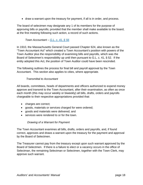• draw a warrant upon the treasury for payment, if all is in order, and process.

The board of selectmen may designate any 1 of its members for the purpose of approving bills or payrolls; provided that the member shall make available to the board, at the first meeting following such action, a record of such actions.

#### *Town Accountant – G.L. c. 41, § 56*

In 1910, the Massachusetts General Court passed Chapter 624, also known as the "Town Accountant Act" which created a Town Accountant's position with powers of the Town Auditor plus the responsibility of examining bills and payrolls, which was the Board of Selectmen's responsibility up until then pursuant to G.L. c. 41, § 52. If the entity adopted this Act, the position of Town Auditor could have been rescinded.

The following outlines the process for final bill and payroll approval by the Town Accountant. This section also applies to cities, where appropriate.

## *Transmittal to Accountant*

All boards, committees, heads of departments and officers authorized to expend money approve and transmit to the Town Accountant, after their examination, as often as once each month (this may occur weekly or biweekly) all bills, drafts, orders and payrolls chargeable to their respective appropriations provided that:

- charges are correct;
- goods, materials or services charged for were ordered;
- goods and materials were delivered; and
- services were rendered to or for the town.

# *Drawing of a Warrant for Payment*

The Town Accountant examines all bills, drafts, orders and payrolls, and, if found correct, approves and draws a warrant upon the treasury for the payment and approval by the Board of Selectmen.

The Treasurer cannot pay from the treasury except upon such warrant approved by the Board of Selectmen. If there is a failure to elect or a vacancy occurs in the office of Selectman, the remaining Selectman or Selectmen, together with the Town Clerk, may approve such warrant.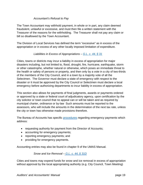#### *Accountant's Refusal to Pay*

The Town Accountant may withhold payment, in whole or in part, any claim deemed fraudulent, unlawful or excessive, and must then file a written statement with the Treasurer of the reasons for the withholding. The Treasurer shall not pay any claim or bill so disallowed by the Town Accountant.

The Division of Local Services has defined the term "excessive" as in excess of the appropriation or in excess of any other locally imposed limitation of expenditure.

## *Liabilities in Excess of Appropriations – G.L. c. 44, § 31*

Cities, towns or districts may incur a liability in excess of appropriation for major disasters including, but not limited to, flood, drought, fire, hurricane, earthquake, storm or other catastrophe, whether natural or otherwise, which poses an immediate threat to the health or safety of persons or property, and then only by a vote in a city of two-thirds of the members of the City Council, and in a town by a majority vote of all the Selectmen. The Governor must declare a state of emergency with respect to the disaster or it must be approved by the City Council or Selectmen must declare a local emergency before authorizing departments to incur liability in excess of appropriation.

This section also allows for payments of final judgments, awards or payments ordered or approved by a state or federal court of adjudicatory agency, upon certification by the city solicitor or town council that no appeal can or will be taken and as required by municipal charter, ordinance or by-law Such amounts must be reported to the assessors, who will include the amounts in the determination of the next tax rate, unless the city or town has otherwise made provisions therefore.

The Bureau of Accounts has specific **procedures** regarding emergency payments which address:

- requesting authority for payment from the Director of Accounts;
- accounting for emergency payments;
- reporting emergency payments; and
- providing for emergency payments.

Accounting entries may also be found in chapter 9 of the UMAS Manual.

*Snow and Ice Removal – G.L. c. 44, § 31D*

Cities and towns may expend funds for snow and ice removal in excess of appropriation without approval by the local appropriating authority (e.g. City Council, Town Meeting)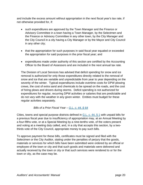and include the excess amount without appropriation in the next fiscal year's tax rate, if not otherwise provided for, if:

- such expenditures are approved by the Town Manager and the Finance or Advisory Committee in a town having a Town Manager, by the Selectmen and the Finance or Advisory Committee in any other town, by the City Manager and the City Council in a city having a City Manager or by the Mayor and City Council in any other city;
- that the appropriation for such purposes in said fiscal year equaled or exceeded the appropriation for said purposes in the prior fiscal year; and
- expenditures made under authority of this section are certified by the Accounting Officer to the Board of Assessors and are included in the next annual tax rate.

The Division of Local Services has advised that deficit spending for snow and ice removal is authorized for only those expenditures directly related to the removal of snow and ice that are variable and unpredictable from year to year depending on the severity of the winter. Typical expenditures include overtime costs for DPW plowing crews, the cost of extra sand and chemicals to be spread on the roads, and the cost of hiring plows and drivers during storms. Deficit spending is not authorized for expenditures for regular, recurring DPW activities or salaries that are predictable and do not vary with the weather in any given winter. Entities must budget for these regular activities separately.

*Bills of a Prior Fiscal Year – G.L. c. 44, § 64* 

Cities, towns and special purpose districts defined in G.L. c. 44, § 1 with unpaid bills for a previous fiscal year due to insufficiency of appropriation may, at an Annual Meeting by a four-fifths vote, or at a Special Meeting by a nine-tenths vote, of the voters present and voting at a meeting duly called, and, in a city that accepts this section, by a twothirds vote of the City Council, appropriate money to pay such bills.

To approve payment for these bills, certificates must be signed and filed with the Selectmen or the City Auditor, stating under the penalties of perjury that the goods, materials or services for which bills have been submitted were ordered by an official or employee of the town or city and that such goods and materials were delivered and actually received by the town or city or that such services were rendered to or for the town or city, as the case may be.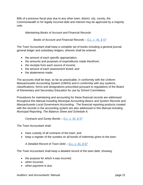Bills of a previous fiscal year due to any other town, district, city, county, the Commonwealth or for legally incurred debt and interest may be approved by a majority vote.

*Maintaining Books of Account and Financial Records:* 

*Books of Account and Financial Records – G.L. c. 41, § 57*

The Town Accountant shall keep a complete set of books including a general journal, general ledger and subsidiary ledgers, wherein shall be entered:

- the amount of each specific appropriation;
- the amounts and purposes of expenditures made therefrom;
- the receipts from each source of income;
- the amount of each assessment levied; and
- the abatements made.

The accounts shall be kept, so far as practicable, in conformity with the Uniform Massachusetts Accounting System (UMAS) and in conformity with any systems, classifications, forms and designations prescribed pursuant to regulations of the Board of Elementary and Secondary Education for use by School Committees.

Procedures for maintaining and accounting for these financial records are addressed throughout this Manual including *Municipal Accounting Basics and System Records* and *Massachusetts Local Government Accounting*. The financial reporting products created with the records in the accounting system are also addressed in this Manual including *Municipal Reporting, The Balance Sheet and Schedule A.* 

*Contracts and Surety Bonds* – *G.L. c. 41, § 57*

The Town Accountant shall:

- have custody of all contracts of the town; and
- keep a register of the sureties on all bonds of indemnity given to the town.

*A Detailed Record of Town Debt – G.L. c. 41, § 57*

The Town Accountant shall keep a detailed record of the town debt, showing:

- the purpose for which it was incurred;
- when incurred;
- when payment is due;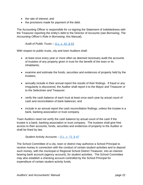- the rate of interest; and
- the provisions made for payment of the debt.

The Accounting Officer is responsible for co-signing the Statement of Indebtedness with the Treasurer reporting the entity's debt to the Director of Accounts (see *Borrowing, The Accounting Officer's Role in Borrowing*, this Manual).

## *Audit of Public Trusts – G.L. c. 41, § 53*

With respect to public trusts, city and town Auditors shall:

- at least once every year or more often as deemed necessary audit the accounts of trustees of any property given in trust for the benefit of the town or its inhabitants;
- examine and estimate the funds, securities and evidences of property held by the trustees;
- annually include in their annual report the results of their findings. If fraud or any irregularity is discovered, the Auditor shall report it to the Mayor and Treasurer or to the Selectmen and Treasurer.
- verify the cash balance of each trust at least once each year by actual count of cash and reconciliation of bank balances; and
- include in an annual report the cash reconciliation findings, unless the trustee is a bank, banking association or trust company.

Town Auditors need not verify the cash balance by actual count of the cash if the trustee is a bank, banking association or trust company. The trustees shall give free access to their accounts, funds, securities and evidences of property to the Auditor or shall be fined by law.

*Student Activity Accounts – G.L. c. 71, § 47* 

The School Committee of a city, town or district may authorize a School Principal to receive money in connection with the conduct of certain student activities and to deposit such money, with the municipal or Regional School District Treasurer, into an interest bearing bank account (agency account), for student activities. The School Committee may also establish a checking account controlled by the School Principal for expenditure of certain student activity funds.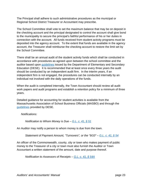The Principal shall adhere to such administrative procedures as the municipal or Regional School District Treasurer or Accountant may prescribe.

The School Committee shall vote to set the maximum balance that may be on deposit in the checking account and the principal designated to control the account shall give bond to the municipality to secure the principal's faithful performance of his or her duties in connection with the account. All funds received from student activity programs must be deposited into the agency account. To the extent that funds are available in the agency account, the Treasurer shall reimburse the checking account to restore the limit set by the School Committee.

There shall be an annual audit of the student activity funds which shall be conducted in accordance with procedures as agreed upon between the school committee and the auditor based upon guidelines issued by the Department of Elementary and Secondary Education (DESE). It Is recommended that at least once every three years the audit should be conducted by an independent audit firm. In the interim years, if an independent firm is not engaged, the procedures can be conducted internally by an individual not involved with the daily operations of the funds.

When the audit is completed internally, the Town Accountant should review all audit work papers and audit programs and establish a retention policy for a minimum of three years.

Detailed guidance for accounting for student activities is available from the Massachusetts Association of School Business Officials (MASBO) and through the guidelines provided by DESE.

*Notifications:* 

*Notification to Whom Money is Due – G.L. c. 41, § 51* 

An Auditor may notify a person to whom money is due from the town.

*Statement of Payment Amount, "Turnovers", or the "9/10" – G.L. c. 41, § 54*

An officer of the Commonwealth, county, city or town who makes payment of public money to the Treasurer of a city or town must also furnish the Auditor or Town Accountant a written statement of the amount, date and purpose thereof.

*Notification to Assessors of Receipts – G.L. c. 41, § 54A*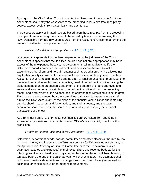By August 1, the City Auditor, Town Accountant, or Treasurer if there is no Auditor or Accountant, shall notify the Assessors of the preceding fiscal year's total receipts by source, except receipts from taxes, loans and trust funds.

The Assessors apply estimated receipts based upon those receipts from the preceding fiscal year to reduce the gross amount to be raised by taxation in determining the tax levy. Assessors normally rely upon figures from the Accounting Officer to determine the amount of estimated receipts to be used.

## *Notice of Condition of Appropriations – G.L. c. 41, § 58*

Whenever any appropriation has been expended or in the judgment of the Town Accountant, it appears that the liabilities incurred against any appropriation may be in excess of the unexpended balance, the Accountant shall immediately notify the Selectmen, board, committee, department head or officer authorized to make expenditures therefrom, and no claim against such appropriation shall be allowed nor any further liability incurred until the town makes provision for its payment. The Town Accountant shall, at regular intervals and as often at least as once each month, send to the selectmen and to each board, committee, head of department or officer having the disbursement of an appropriation a statement of the amount of orders approved and warrants drawn on behalf of said board, department or officer during the preceding month, and a statement of the balance of such appropriation remaining subject to draft. Each head of a department, board or committee authorized to expend money shall furnish the Town Accountant, at the close of the financial year, a list of bills remaining unpaid, showing to whom and for what due, and their amounts; and the town accountant shall incorporate the same in his annual report covering the financial transactions of the town.

As a reminder from G.L. c. 44, § 31, communities are prohibited from spending in excess of appropriations. It is the Accounting Officer's responsibility to enforce this prohibition.

# *Furnishing Annual Estimates to the Accountant – G.L. c. 41, § 59*

Selectmen, department heads, boards, committees and other officers authorized by law to expend money shall submit to the Town Accountant (or if there is no Accountant, to the Appropriation, Advisory or Finance Committee or to the Selectmen) detailed estimates (salaries and expenses) of their expenditure and revenue budgets for the following fiscal year at least ninety days before the start of the Annual Town Meeting or ten days before the end of the calendar year, whichever is later. The estimates shall include explanatory statements as to changes from the current fiscal year as well as estimates for capital outlays or permanent improvements.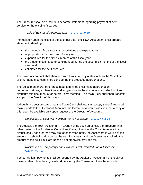The Treasurer shall also include a separate statement regarding payment of debt service for the ensuing fiscal year.

## *Table of Estimated Appropriations – G.L. c. 41, § 60*

Immediately upon the close of the calendar year, the Town Accountant shall prepare statements detailing:

- the preceding fiscal year's appropriations and expenditures,
- appropriations for the current fiscal year;
- expenditures for the first six months of the fiscal year;
- the amounts estimated to be expended during the second six months of the fiscal year; and
- estimates for the next fiscal year.

The Town Accountant shall then forthwith furnish a copy of this table to the Selectmen or other appointed committee considering the proposed appropriations.

The Selectmen and/or other appointed committee shall make appropriation recommendations, explanations and suggestions to the community and shall print and distribute this document at or before Town Meeting. The town Clerk shall then transmit a copy to the Director of Accounts.

Although this section states that the Town Clerk shall transmit a copy thereof and of all town reports to the Director of Accounts, the Bureau of Accounts advises that a copy of this report be available only upon request of the Director of Accounts.

*Notification of Debt Not Provided For to Assessors – G.L. c. 44, § 16*

The Auditor, the Town Accountant in towns having such an officer, the Treasurer in all other towns, or the Prudential Committee, if any, otherwise the Commissioners in a district, shall, not later than May first of each year, notify the Assessors in writing of the amount of debt falling due during the next fiscal year, and the Assessors shall add the amount to the next Tax Rate Recap if not otherwise provided for.

*Notification of Temporary Loan Payments Not Provided For to Assessors – G.L. c. 44, § 17*

Temporary loan payments shall be reported by the Auditor or Accountant of the city or town or other officer having similar duties, or by the Treasurer if there be no such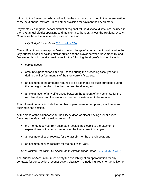officer, to the Assessors, who shall include the amount so reported in the determination of the next annual tax rate, unless other provision for payment has been made.

Payments by a regional school district or regional refuse disposal district are included in the next annual district operating and maintenance budget, unless the Regional District Committee has otherwise made provision therefor.

*City Budget Estimates – G.L. c. 44, § 31A*

Every officer in a city except in Boston having charge of a department must provide the City Auditor or officer having similar duties and the Mayor between November 1st and December 1st with detailed estimates for the following fiscal year's budget, including:

- capital needs;
- amount expended for similar purposes during the preceding fiscal year and during the first four months of the then current fiscal year;
- an estimate of the amounts required to be expended for such purposes during the last eight months of the then current fiscal year; and
- an explanation of any differences between the amount of any estimate for the next fiscal year and the amount expended or estimated to be required.

This information must include the number of permanent or temporary employees as outlined in the section.

At the close of the calendar year, the City Auditor, or officer having similar duties, furnishes the Mayor with a written report of:

- the money received from estimated receipts applicable to the payment of expenditures of the first six months of the then current fiscal year;
- an estimate of such receipts for the last six months of such year; and
- an estimate of such receipts for the next fiscal year.

*Construction Contracts, Certificate as to Availability of Funds – G.L. c. 44, § 31C*

The Auditor or Accountant must certify the availability of an appropriation for any contracts for construction, reconstruction, alteration, remodeling, repair or demolition of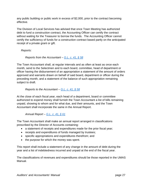any public building or public work in excess of \$2,000, prior to the contract becoming effective.

The Division of Local Services has advised that once Town Meeting has authorized debt to fund a construction contract, the Accounting Officer can certify the contract without waiting for the Treasurer to borrow the funds. The Accounting Officer cannot certify the sufficiency of funds for a construction contract based partly on the anticipated receipt of a private grant or gift.

*Reports:* 

*Reports from the Accountant – G.L. c. 41, § 58*

The Town Accountant shall, at regular intervals and as often at least as once each month, send to the Selectmen and to each board, committee, head of department or officer having the disbursement of an appropriation a statement of the amount of orders approved and warrants drawn on behalf of said board, department or officer during the preceding month, and a statement of the balance of such appropriation remaining subject to draft.

# *Reports to the Accountant – G.L. c. 41, § 58*

At the close of each fiscal year, each head of a department, board or committee authorized to expend money shall furnish the Town Accountant a list of bills remaining unpaid, showing to whom and for what due, and their amounts, and the Town Accountant shall incorporate the same in the Annual Report.

*Annual Report – G.L. c. 41, § 61*

The Town Accountant shall make an annual report arranged in classifications prescribed by the Director of Accounts containing:

- a statement of receipts and expenditures made for the prior fiscal year;
- receipts and expenditures of funds managed by trustees;
- specific appropriations and expenditures therefrom; and
- the purpose for which the money was spent.

This report shall include a statement of any change in the amount of debt during the year and a list of indebtedness incurred and unpaid at the end of the fiscal year.

The classifications of revenues and expenditures should be those reported in the UMAS Manual.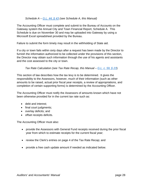### *Schedule A – G.L. 44, § 43 (see Schedule A, this Manual)*

The Accounting Officer must complete and submit to the Bureau of Accounts on the Gateway system the Annual City and Town Financial Report, Schedule A. This Schedule is due on November 30 and may be uploaded into Gateway by using a Microsoft Excel spreadsheet provided by the Bureau.

Failure to submit the form timely may result in the withholding of State aid.

If a city or town fails within sixty days after a request has been made by the Director to furnish the information authorized to be collected under the provisions of this section, the Director may obtain such information through the use of his agents and assistants and the cost assessed to the city or town.

*Tax Rate Calculation (see Tax Rate Recap, this Manual – G.L. c. 59, § 23*)

This section of law describes how the tax levy is to be determined. It gives the responsibility to the Assessors, however, much of their information (such as other amounts to be raised, actual prior fiscal year receipts, a review of appropriations, and completion of certain supporting forms) is determined by the Accounting Officer.

The Accounting Officer must notify the Assessors of amounts known which have not been otherwise provided for in the current tax rate such as:

- debt and interest;
- final court judgments;
- overlay deficits; and
- offset receipts deficits.

The Accounting Officer must also:

- provide the Assessors with General Fund receipts received during the prior fiscal year from which to estimate receipts for the current fiscal year;
- review the Clerk's entries on page 4 of the Tax Rate Recap; and
- provide a free cash update amount if needed as indicated below.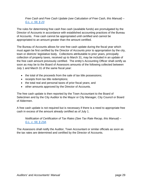*Free Cash and Free Cash Update (see Calculation of Free Cash, this Manual) – G.L. c. 59, § 23*

The rules for determining free cash free cash (available funds) are promulgated by the Director of Accounts in accordance with established accounting practices of the Bureau of Accounts. Free cash cannot be appropriated until certified and cannot be appropriated to an amount greater than the amount certified.

The Bureau of Accounts allows for one free cash update during the fiscal year which must again be first certified by the Director of Accounts prior to appropriation by the city, town or districts' legislative body. Collections attributable to prior years, principally collection of property taxes, received up to March 31, may be included in an update of the free cash amount previously certified. The entity's Accounting Officer shall certify as soon as may be to the Board of Assessors amounts of the following collected between July 1 and March 31 of the same fiscal year:

- the total of the proceeds from the sale of tax title possessions;
- receipts from tax title redemptions;
- the total real and personal taxes of prior fiscal years; and
- other amounts approved by the Director of Accounts.

The free cash update is then reported by the Town Accountant to the Board of Selectmen and by the City Auditor to the Mayor or City Manager, City Council or Board of Aldermen.

A free cash update is not required but is necessary if there is a need to appropriate free cash in excess of the amount already certified as of July 1.

*Notification of Certification of Tax Rates (See Tax Rate Recap, this Manual) – G.L. c. 59, § 23A*

The Assessors shall notify the Auditor, Town Accountant or similar officials as soon as the tax rates are determined and certified by the Director of Accounts.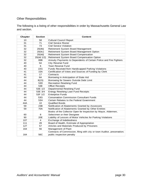# Other Responsibilities

.

The following is a listing of other responsibilities in order by Massachusetts General Law and section.

| Chapter | <b>Section</b> | <b>Content</b>                                                           |
|---------|----------------|--------------------------------------------------------------------------|
| 10      | 58             | <b>Cultural Council Report</b>                                           |
| 31      | 71             | <b>Civil Service Roster</b>                                              |
| 31      | 73             | <b>Civil Service Violation</b>                                           |
| 32      | 20(4b)         | Retirement System Board Management                                       |
| 32      | 20(4c)         | Retirement System Board Management Option                                |
| 32      | 20(4d)         | Retirement System Board Compensation                                     |
| 32      | 20(4d 1/2)     | Retirement System Board Compensation Option                              |
| 32      | 89B            | Annuity Payments to Dependents of Certain Police and Fire Fighters       |
| 40      | 5A             | <b>City Reserve Fund</b>                                                 |
| 40      | 6              | <b>Town Reserve Fund</b>                                                 |
| 40      | 22G            | Funds Received from Handicapped Parking Violations                       |
| 41      | <b>15A</b>     | Certification of Votes and Sources of Funding by Clerk                   |
| 41      | 17             | Contracts                                                                |
| 44      | 6A             | Borrowing in Anticipation of State Aid                                   |
| 44      | 8(15)          | Borrowing for Sewers Outside Debt Limit                                  |
| 44      | 53D            | <b>Recreation Revolving Fund</b>                                         |
| 44      | 53E            | <b>Offset Receipts</b>                                                   |
| 44      | 53E 1/2        | Departmental Revolving Fund                                              |
| 44      | 53E 3/4        | Energy Revolving Loan Fund Receipts                                      |
| 44      | 53F 1/2        | <b>Enterprise Funds</b>                                                  |
| 44      | 53G            | <b>Conservation Commission Consultant Funds</b>                          |
| 44      | 53H            | Certain Rebates to the Federal Government                                |
| 44A     | 10             | <b>Qualified Bonds</b>                                                   |
| 59      | 23B            | Notification of Abatements Granted by Assessors                          |
| 59      | <b>70A</b>     | Notification of Abatements Granted by Other Entities                     |
|         |                | Books of the Collector Open for Inspection by Mayor, Aldermen,           |
| 60      | 8              | Selectmen or their Designee                                              |
| 90      | 20E            | Liability of Lessors of Motor Vehicles for Parking Violations            |
| 107     | 4              | Exchange of Indebtedness                                                 |
| 111     | 28             | Board of Health, Estimate of Appropriation                               |
| 127     | 57             | Articles and Materials Produced by Prisoners                             |
| 164     | 56             | Management of Plant                                                      |
|         |                | Contracts of Commission, filing with city or town Auditor, preservation; |
| 164     | 56C            | public inspection penalty                                                |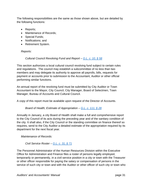The following responsibilities are the same as those shown above, but are detailed by the following functions:

- Reports;
- Maintenance of Records;
- Special Funds:
- Notifications; and
- Retirement System.

# *Reports:*

# *Cultural Council Revolving Fund and Report – G.L. c. 10, § 58*

This section authorizes a local cultural council revolving fund subject to certain rules and regulations. The council may establish a subcommittee of no less than two members and may delegate its authority to approve all payrolls, bills, requests for payment or accounts prior to submission to the Accountant, Auditor or other official performing similar functions.

An annual report of the revolving fund must be submitted by City Auditor or Town Accountant to the Mayor, City Council, City Manager, Board of Selectmen, Town Manager, Bureau of Accounts and Cultural Council.

A copy of this report must be available upon request of the Director of Accounts.

# *Board of Health, Estimate of Appropriation – G.L. c. 111, § 28*

Annually in January, a city Board of Health shall make a full and comprehensive report to the City Council of its acts during the preceding year and of the sanitary condition of the city. It shall also, if the City Council or the standing committee on finance thereof so requires, send to the City Auditor a detailed estimate of the appropriation required by its department for the next fiscal year.

*Maintenance of Records:* 

*Civil Service Roster – G.L. c. 31, § 71*

The Personnel Administrator of the Human Resources Division within the Executive Office for Administration and Finance files a roster of persons legally employed, temporarily or permanently, in a civil service position in a city or town with the Treasurer or other officer responsible for paying the salary or compensation of persons in the service of such city or town and with the Auditor or other officer of such city or town who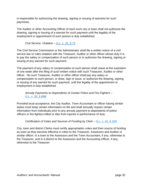is responsible for authorizing the drawing, signing or issuing of warrants for such payments.

The Auditor or other Accounting Officer of each such city or town shall not authorize the drawing, signing or issuing of a warrant for such payment until the legality of the employment or appointment of such person is duly established.

*Civil Service, Violation – G.L. c. 31, § 73*

The Civil Service Commission or the Administrator shall file a written notice of a civil service law or rules violation with the Treasurer, Auditor or other officer whose duty it is to pay the salary or compensation of such person or to authorize the drawing, signing or issuing of any warrant for such payment.

The payment of any salary or compensation to such person shall cease at the expiration of one week after the filing of such written notice with such Treasurer, Auditor or other officer. No such Treasurer, Auditor or other officer shall pay any salary or compensation to such person, or draw, sign or issue, or authorize the drawing, signing or issuing of any warrant for such payment, until the legality of the appointment or employment is duly established.

*Annuity Payments to Dependents of Certain Police and Fire Fighters – G.L. c. 32, § 89B*

Provided local acceptance, the City Auditor, Town Accountant or officer having similar duties must keep certain information on file and shall annually require certain information from individuals prior to any annuity payment to dependents of police officers or fire fighters killed or dies from injuries in performance of duty.

*Certification of Votes and Sources of Funding by Clerk – G.L. c. 41, § 15A*

City, town and district Clerks must certify appropriation votes and their source of funding as soon as they become effective in cities to the Treasurer, Assessors and Auditor or similar officer, in a town to the Assessors and the Town Accountant, if any, otherwise to the Treasurer, and in a district to the Assessors and the Accounting Officer, if any, otherwise to the Treasurer.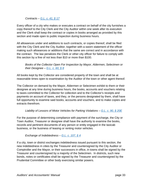# *Contracts – G.L. c. 41, § 17*

Every officer of a city who makes or executes a contract on behalf of the city furnishes a copy thereof to the City Clerk and the City Auditor within one week after its execution and the Clerk shall keep the contract or copies in books arranged as provided by this section and made open to public inspection during business hours.

All allowances under and additions to such contracts, or copies thereof, shall be filed with the City Clerk and the City Auditor, together with a sworn statement of the officer making such allowances or additions that the same are correct and in accordance with the contract. The law penalizes the Clerk or other city officer for failure to comply with this section by a fine of not less than \$10 or more than \$100.

*Books of the Collector Open For Inspection by Mayor, Aldermen, Selectmen or their Designee – G.L. c. 60, § 8*

All books kept by the Collector are considered property of the town and shall be at reasonable times open to examination by the Auditor of the town or other agent thereof.

The Collector on demand by the Mayor, Aldermen or Selectmen exhibit to them or their designee at any time during business hours, the books, accounts and vouchers relating to taxes committed to the Collector for collection and to the Collector's receipts and payments on account of taxes, and they, or the persons designated by them, shall have full opportunity to examine said books, accounts and vouchers, and to make copies and extracts therefrom.

*Liability of Lessors of Motor Vehicles for Parking Violations – G.L. c. 90, § 20E*

For the purpose of determining compliance with payment of the surcharge, the City or Town Auditor, Treasurer or designee shall have the authority to examine the books, records and pertinent documents of any person or entity engaged in the taxicab business, or the business of leasing or renting motor vehicles.

*Exchange of Indebtedness – G.L. c. 107, § 4*

If a city, town or district exchanges indebtedness issued pursuant to this section, the new indebtedness in cities by the Treasurer and countersigned by the City Auditor or Comptroller and the Mayor, or their successors in office, in towns shall be signed by the Treasurer and countersigned by a majority of the Selectmen. In districts, such new bonds, notes or certificates shall be signed by the Treasurer and countersigned by the Prudential Committee or other body exercising similar powers.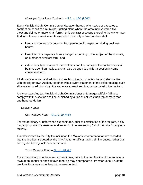# *Municipal Light Plant Contracts – G.L. c. 164, § 56C*

Every Municipal Light Commission or Manager thereof, who makes or executes a contract on behalf of a municipal lighting plant, where the amount involved is five thousand dollars or more, shall furnish said contract or a copy thereof to the city or town Auditor within one week after its execution. Said city or town Auditor shall:

- keep such contract or copy on file, open to public inspection during business hours;
- keep them in a separate book arranged according to the subject of the contract, or in other convenient form; and
- index the subject matter of the contracts and the names of the contractors shall be made semi-annually and shall also be open to public inspection in some convenient form.

All allowances under and additions to such contracts, or copies thereof, shall be filed with the city or town Auditor, together with a sworn statement of the officer making such allowances or additions that the same are correct and in accordance with the contract.

A city or town Auditor, Municipal Light Commissioner or Manager willfully failing to comply with this section shall be punished by a fine of not less than ten or more than one hundred dollars.

*Special Funds:* 

*City Reserve Fund – G.L. c. 40, § 5A* 

For extraordinary or unforeseen expenditures, prior to certification of the tax rate, a city may appropriate to a reserve fund an amount not exceeding 5% of the prior fiscal year's tax levy.

Transfers voted by the City Council upon the Mayor's recommendation are recorded into the line-item so voted by the City Auditor or officer having similar duties, rather than directly drafted against the reserve fund.

*Town Reserve Fund – G.L. c. 40, § 6*

For extraordinary or unforeseen expenditures, prior to the certification of the tax rate, a town at an annual or special town meeting may appropriate or transfer up to 5% of the previous fiscal year's tax levy into a reserve fund.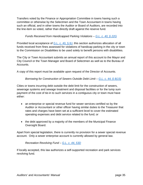Transfers voted by the Finance or Appropriation Committee in towns having such a committee or otherwise by the Selectmen and the Town Accountant in towns having such an official, and in other towns the Auditor or Board of Auditors, are recorded into the line-item so voted, rather than directly draft against the reserve fund.

# *Funds Received from Handicapped Parking Violations – G.L. c. 40, § 22G*

Provided local acceptance of  $G.L. c. 40, § 8J$ , this section authorizes allocation of all funds received from fines assessed for violations of handicap parking in the city or town to the Commission on Disabilities to be used solely to benefit persons with disabilities.

The City or Town Accountant submits an annual report of this account to the Mayor and City Council or the Town Manager and Board of Selectmen as well as to the Bureau of Accounts.

A copy of this report must be available upon request of the Director of Accounts.

*Borrowing for Construction of Sewers Outside Debt Limit – G.L. c. 44, § 8(15)*

Cities or towns incurring debt outside the debt limit for the construction of sewers, sewerage systems and sewage treatment and disposal facilities or for the lump sum payment of the cost of tie-in to such services in a contiguous city or town must have either:

- an enterprise or special revenue fund for sewer services certified so by the Auditor or Accountant or other officer having similar duties to the Treasurer that rates and charges have been set at a sufficient level to cover the estimated operating expenses and debt service related to the fund; or
- the debt approved by a majority of the members of the Municipal Finance Oversight Board.

Apart from special legislation, there is currently no provision for a sewer special revenue account. Only a sewer enterprise account is currently allowed by general law.

# *Recreation Revolving Fund – G.L. c. 44, 53D*

If locally accepted, this law authorizes a self-supported recreation and park services revolving fund.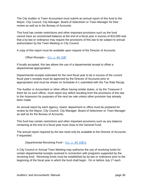The City Auditor or Town Accountant must submit an annual report of this fund to the Mayor, City Council, City Manager, Board of Selectmen or Town Manager for their review as well as to the Bureau of Accounts.

This fund has certain restrictions and other important provisions such as the fund cannot have an unrestricted balance at the end of a fiscal year in excess of \$10,000 and that a by-law or ordinance may require the provisions of this law to be subject to annual authorization by the Town Meeting or City Council.

A copy of this report must be available upon request of the Director of Accounts.

*Offset Receipts – G.L. c. 44, 53E*

If locally accepted, this law allows the use of a departmental receipt to offset a departmental appropriation.

Departmental receipts estimated for the next fiscal year to be in excess of the current fiscal year's receipts must be approved by the Director of Accounts prior to appropriation and must be shown on Schedule A-1 submitted with the Tax Rate Recap.

The Auditor or Accountant or other officer having similar duties, or by the Treasurer if there be no such officer, must report any deficit resulting from the provisions of this law to the Assessors for purposes of the next tax rate unless other provision has already been made.

An annual report by each agency, board, department or office must be prepared for review by the Mayor, City Council, City Manager, Board of Selectmen or Town Manager as well as for the Bureau of Accounts.

This fund has certain restrictions and other important provisions such as any balance remaining at the end of a fiscal year must close to the General Fund.

The annual report required by the law need only be available to the Director of Accounts if requested.

*Departmental Revolving Fund – G.L. c. 44, 53E½*

A City Council or Annual Town Meeting may authorize the use of revolving funds for certain departmental receipts received in connection with programs supported by the revolving fund. Revolving funds must be established by by-law or ordinance prior to the beginning of the fiscal year in which the fund shall begin. On or before July 1<sup>st</sup> each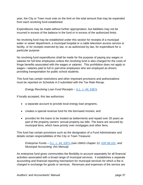year, the City or Town must vote on the limit on the total amount that may be expended from each revolving fund established.

Expenditures may be made without further appropriation, but liabilities may not be incurred in excess of the balance in the fund or in excess of the authorized limits.

No revolving fund may be established under this section for receipts of a municipal water or sewer department, a municipal hospital or a cable television access service or facility, or for receipts reserved by law, or as authorized by law, for expenditure for a particular purpose.

No revolving fund expenditures shall be made for the purpose of paying any wages or salaries for full time employees unless the revolving fund is also charged for the costs of fringe benefits associated with the wages or salaries. This prohibition does not apply to wages r salaries paid to full or part-time employees who are employed as drivers providing transportation for public school students.

This fund has certain restrictions and other important provisions and authorizations must be reported on Schedule A-3 submitted with the Tax Rate Recap.

*Energy Revolving Loan Fund Receipts – G.L. c. 44, 53E¾*

If locally accepted, this law authorizes:

- a separate account to provide local energy loan programs,
- creates a special revenue fund for the borrowed monies; and
- provides for the loans to be treated as betterments and repaid over 20 years as part of the property owners' annual property tax bills. The loans are secured by municipal liens, which have priority over mortgages and other liens.

This fund has certain provisions such as the designation of a Fund Administrator and details certain responsibilities of the City or Town Treasurer.

*Enterprise Funds – G.L. c. 44, 53F½ (see UMAS chapter 12, IGR 08-101, and Municipal Accounting, this Manual)* 

An enterprise fund gives communities the flexibility to account separately for all financial activities associated with a broad range of municipal services. It establishes a separate accounting and financial reporting mechanism for municipal services for which a fee is charged in exchange for goods or services. Revenues and expenses of the service are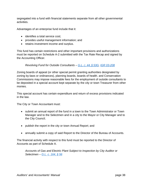segregated into a fund with financial statements separate from all other governmental activities.

Advantages of an enterprise fund include that it:

- identifies a total service cost;
- provides useful management information; and
- retains investment income and surplus.

This fund has certain restrictions and other important provisions and authorizations must be reported on Schedule A-2 submitted with the Tax Rate Recap and signed by the Accounting Officer.

*Revolving Fund for Outside Consultants – G.L. C. 44, § 53G, IGR 03-208* 

Zoning boards of appeal (or other special permit granting authorities designated by zoning by-laws or ordinances), planning boards, boards of health. and Conservation Commissions may impose reasonable fees for the employment of outside consultants to be deposited in a special account kept separate by the city or town Treasurer from other monies.

This special account has certain expenditure and return of excess provisions indicated in the law.

The City or Town Accountant must:

- submit an annual report of the fund in a town to the Town Administrator or Town Manager and to the Selectmen and in a city to the Mayor or City Manager and to the City Council;
- publish the report in the city or town Annual Report; and
- annually submit a copy of said Report to the Director of the Bureau of Accounts.

The financial activity with respect to this fund must be reported to the Director of Accounts as part of Schedule A.

*Accounts of Gas and Electric Plant Subject to Inspection by City Auditor or Selectmen – G.L. c. 164, § 56*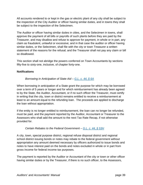All accounts rendered to or kept in the gas or electric plant of any city shall be subject to the inspection of the City Auditor or officer having similar duties, and in towns they shall be subject to the inspection of the Selectmen.

The Auditor or officer having similar duties in cities, and the Selectmen in towns, shall approve the payment of all bills or payrolls of such plants before they are paid by the Treasurer, and may disallow and refuse to approve for payment, in whole or in part, any claim as fraudulent, unlawful or excessive; and in that case the auditor or officer having similar duties, or the Selectmen, shall file with the city or town Treasurer a written statement of the reasons for the refusal; and the Treasurer shall not pay any claim or bill so disallowed.

This section shall not abridge the powers conferred on Town Accountants by sections fifty-five to sixty-one, inclusive, of chapter forty-one.

# **Notifications**

# *Borrowing in Anticipation of State Aid – G.L. c. 44, § 6A*

When borrowing in anticipation of a State grant the purpose for which may be borrowed over a term of 5 years or longer and for which reimbursement has already been agreed to by the State, the Auditor, Accountant, or if no such officer the Treasurer, must certify in writing that the city, town or district remains entitled to receive a reimbursement at least to an amount equal to the refunding loan. The proceeds are applied to discharge the loan without appropriation.

If the entity is no longer entitled to reimbursement, the loan can no longer be refunded, must be paid, and the payment reported by the Auditor, Accountant or Treasurer to the Assessors who shall add the amount to the next Tax Rate Recap, if not otherwise provided for.

# *Certain Rebates to the Federal Government – G.L. c. 44, § 53H*

A city, town, special purpose district, regional refuse disposal district and regional school district issuing bonds or notes may rebate to the federal government without appropriation any amount deemed necessary by officers authorized to issue bonds and notes to have interest paid on the bonds and notes excluded in whole or in part from gross income for federal income tax purposes.

The payment is reported by the Auditor or Accountant of the city or town or other officer having similar duties or by the Treasurer, if there is no such officer, to the Assessors,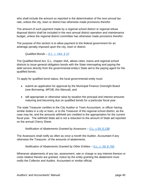who shall include the amount so reported in the determination of the next annual tax rate, unless the city, town or district has otherwise made provisions therefor.

The amount of such payment made by a regional school district or regional refuse disposal district shall be included in the next annual district operation and maintenance budget, unless the regional district committee has otherwise made provisions therefor.

The purpose of this section is to allow payment to the federal government for an arbitrage penalty imposed upon the city, town or district.

*Qualified Bonds – G.L. c. 44A, § 10*

The Qualified Bond Act, G.L. chapter 44A, allows cities, towns and regional school districts to issue general obligation bonds with the State intercepting and paying the debt service directly from the governmental entity's State aid to the paying agent for the qualified bonds.

To apply for qualified bond status, the local governmental entity must:

- submit an application for approval by the Municipal Finance Oversight Board (*see Borrowing, MFOB, this Manual*); and
- still appropriate or otherwise raise by taxation the principal and interest amounts maturing and becoming due on qualified bonds for a particular fiscal year.

The state Treasurer certifies to the City Auditor or Town Accountant, or officer having similar duties in a city or town, or to the Treasurer of the regional school district, as the case may be, and the amounts withheld are credited to the appropriation for the current fiscal year. The withheld State aid is not a reduction to the amount of State aid reported on the annual Cherry Sheet.

# *Notification of Abatements Granted by Assessors – G.L. c.59, § 23B*

The Assessors shall notify as often as once a month the Auditor, Accountant if any otherwise the Treasurer, of the amounts of abatements.

*Notification of Abatements Granted by Other Entities – G.L. c. 59, § 70A* 

Whenever abatements of any tax, assessment, rate or charge or any interest thereon or costs relative thereto are granted, notice by the entity granting the abatement must notify the Collector and Auditor, Accountant or similar official.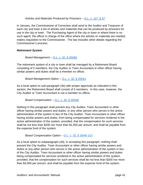*Articles and Materials Produced by Prisoners – G.L. c. 127, § 57*

In January, the Commissioner of Correction shall send to the Auditor and Treasurer of each city and town a list of articles and materials that can be produced by prisoners for use in the city or town. The Purchasing Agent of the city or town or where there is no such agent, the officer in charge of the office where the articles or materials are needed, makes requisition to the Commissioner. The law includes other details regarding the Commissioner's process.

# *Retirement System*

*Board Management – G.L. c. 32, § 20(4b)*

The retirement system of a city or town shall be managed by a Retirement Board consisting of 5 members, the City Auditor or Town Accountant or other officer having similar powers and duties shall be a member ex officio.

# *Board Management Option – G.L. c. 32, § 20(4c)*

As a local option to sub-paragraph (4b) with proper approvals as indicated in this section, the Retirement Board shall consist of 5 members. In this case, however, the City Auditor or Town Accountant is not a member ex officio.

*Board Compensation – G.L. c. 32, § 20(4d)*

Nothing in this paragraph shall prevent any City Auditor, Town Accountant or other officer having similar powers and duties, or any other person who serves in the active administration of the system in lieu of the City Auditor, Town Accountant or other officer having similar powers and duties, from being compensated for services rendered in the active administration of the system; provided, that the compensation for such services shall be not less than \$200 nor more than \$1,500 per annum, and shall be payable from the expense fund of the system.

# *Board Compensation Option – G.L. c. 32, § 20(4d 1/2)*

As a local option to subparagraph (4d), in accepting this paragraph, nothing shall prevent the City Auditor, Town Accountant or other officer having similar powers and duties or any other person who serves in the active administration of the system in lieu of the City Auditor, Town Accountant or other officer having similar powers and duties being compensated for services rendered in the active administration of the system; provided, that the compensation for such services shall be not less than \$200 nor more than \$3,000 per annum, and shall be payable from the expense fund of the system.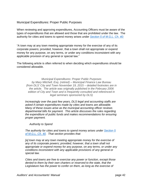# Municipal Expenditures: Proper Public Purposes

When reviewing and approving expenditures, Accounting Officers must be aware of the types of expenditures that are allowed and those that are prohibited under the law. The authority for cities and towns to spend money arises under *Section 5 of M.G.L. Ch. 40:*

"A town may at any town meeting appropriate money for the exercise of any of its corporate powers; provided, however, that a town shall not appropriate or expend money for any purpose, on any terms, or under any conditions inconsistent with any applicable provision of any general or special law."

The following article is often referred to when deciding which expenditures should be considered allowable.

*Municipal Expenditures: Proper Public Purposes by Mary Mitchell, Esq. (retired) – Municipal Finance Law Bureau (from DLS' City and Town November 19, 2015 – detailed footnotes are in the article. The article was originally published in the February 2006 edition of City and Town and is frequently consulted and referenced in legal seminars sponsored by DLS)* 

*Increasingly over the past few years, DLS legal and accounting staffs are asked if certain expenditures made by cities and towns are allowable. Many of these issues arise as the municipal accounting officer reviews departmental bills for payment. This article discusses the rules regarding the expenditure of public funds and makes recommendations for ensuring proper payment.* 

*Authority to Spend* 

*The authority for cities and towns to spend money arises under Section 5 of M.G.L. Ch. 40. That section provides that:* 

*[a] town may at any town meeting appropriate money for the exercise of any of its corporate powers; provided, however, that a town shall not appropriate or expend money for any purpose, on any terms, or under any conditions inconsistent with any applicable provisions of any general or special law.* 

*Cities and towns are free to exercise any power or function, except those denied to them by their own charters or reserved to the state, that the Legislature has the power to confer on them, as long as the exercise of*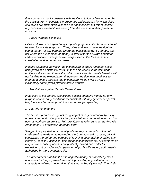*these powers is not inconsistent with the Constitution or laws enacted by the Legislature. In general, the properties and purposes for which cities and towns are authorized to spend are not specified, but rather include any necessary expenditures arising from the exercise of their powers or functions.* 

#### *Public Purpose Limitation*

*Cities and towns can spend only for public purposes. Public funds cannot be used for private purposes. Thus, cities and towns have the right to spend money for any purpose where the public good will be served, but not where the expenditure of money is directly for the private benefit of certain individuals. The principle is expressed in the Massachusetts constitution and in numerous cases.* 

*In some situations, however, the expenditure of public funds advances both public and private interests. In those situations, if the dominant motive for the expenditure is the public one, incidental private benefits will not invalidate the expenditure. If, however, the dominant motive is to promote a private purpose, the expenditure will be invalid even if incidentally some public purpose also is served.* 

#### *Prohibitions Against Certain Expenditures*

*In addition to the general prohibitions against spending money for any purpose or under any conditions inconsistent with any general or special law, there are two other prohibitions on municipal spending:* 

#### *1.) Anti-Aid Amendment*

*The first is a prohibition against the giving of money or property by a city or town to or in aid of any individual, association or corporation embarking upon any private enterprise. This prohibition is referred to as the Anti-Aid Amendment. It provides in pertinent part:* 

*"No grant, appropriation or use of public money or property or loan of credit shall be made or authorized by the Commonwealth or any political subdivision thereof for the purpose of founding, maintaining or aiding any infirmary, hospital, institution, primary or secondary school, or charitable or religious undertaking which is not publically owned and under the exclusive control, order and supervision of public officers or public agents authorized by the Commonwealth."* 

*This amendment prohibits the use of public money or property by cities and towns for the purpose of maintaining or aiding any institution or charitable or religious undertaking that is not publically owned. The kinds*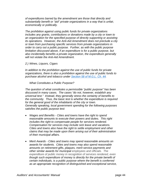*of expenditures barred by the amendment are those that directly and substantially benefit or "aid" private organizations in a way that is unfair, economically or politically.* 

*The prohibition against using public funds for private organizations includes any grants, contributions or donations made by a city or town to an organization for the specified purpose of directly supporting or assisting its operations. However, the Anti-Aid Amendment does not preclude a city or town from purchasing specific services from private organizations in order to carry out a public purpose. Further, as with the public purpose limitation discussed above, if an expenditure is for a public purpose, but also incidentally benefits a private organization, the expenditure generally will not violate the Anti-Aid Amendment.* 

*2.) Wines, Liquors, Cigars* 

*In addition to the prohibition against the use of public funds for private organizations, there is also a prohibition against the use of public funds to purchase alcohol and tobacco under Section 58 of M.G.L. Ch. 44.* 

*What Constitutes a Public Purpose?* 

*The question of what constitutes a permissible "public purpose" has been discussed in many cases. The cases "do not, however, establish any universal test." Instead, they generally stress the certainty of benefits to the community. Thus, the basic test is whether the expenditure is required for the general good of the inhabitants of the city or town. Generally speaking, local government spending for the following purposes satisfies the public purpose test:* 

- *Wages and Benefits Cities and towns have the right to spend reasonable amounts to execute their powers and duties. This right includes the right to compensate people for services rendered. Compensation for services may include sick leave and vacations. Cities and towns also have the right to settle employment and other claims that may be made upon them arising out of their administration of their municipal affairs.*
- *Merit Awards Cities and towns may spend reasonable amounts on awards for students. Cities and towns may also spend reasonable amounts on retirement gifts, plaques, merit service payments and other similar awards for municipal employees and officials. The expenditure of public money in recognition of services rendered, even though such expenditure of money is directly for the private benefit of certain individuals, is a public purpose where the benefit is conferred as an appropriate recognition of distinguished and exceptional service,*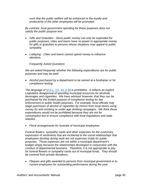*such that the public welfare will be enhanced or the loyalty and productivity of the other employees will be promoted.* 

*By contrast, local government spending for these purposes does not satisfy the public purpose test:* 

- *Gifts and Gratuities Since public money can only be expended for public purposes, cities and towns have no power to appropriate money for gifts or gratuities to persons whose situations may appeal to public sympathy.*
- *Lobbying Cities and towns cannot spend money to influence elections.*

*Frequently Asked Questions* 

*We are asked frequently whether the following expenditures are for public purposes and may be paid:* 

 *Alcohol purchased by a department to be served at a fundraiser or for compliance testing.* 

*The language of M.G.L. Ch. 44, § 58 is prohibitive. It reflects an explicit Legislative disapproval of spending municipal resources for alcoholic beverages and cigarettes. We have advised, however, that they can be purchased for the limited purpose of compliance testing for law enforcement or public health purposes. For example, local officials may stage purchases of alcohol or cigarettes by minors from local stores using money for anti-smoking or under-age drinking campaigns. We think those expenditures would not be prohibited because they are not for consumption but to ensure compliance with local regulations and state statutes.* 

*Floral arrangements for funerals of municipal employees.* 

*Funeral flowers, sympathy cards and other expenses for the customary expression of sentiments that are incidental to the social relationships that employees develop during work are not expenses made for public purposes. Those expenses are not within a municipal department's budget simply because the relationships developed in conjunction with the conduct of departmental business. Therefore, it is not appropriate to pay for funeral flowers or sympathy cards out of municipal funds. They should be covered from private donations.* 

 *Plaques and gifts awarded to persons from municipal government or to current employees for outstanding performance during the year.*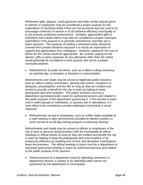*Retirement gifts, plaques, merit payments and other similar awards given to retirees or employees may be considered a proper purpose for the expenditure of municipal funds if they are not excessive and are used to (i) encourage continuity of service or to (ii) enhance efficiency and loyalty or to (iii) promote productive performance. Similarly, appreciation gifts to volunteers and unpaid interns may also be considered a proper municipal expenditure if the purpose is to promote volunteerism and they are in token amounts. The expense of holding a retirement party should be covered from private donations because it is mostly an expression of support and appreciation from colleagues. However, paying for the cost of dinner for the retiree would be appropriate. By contrast, paying for the dinners, gifts or party expenses for any attendees other than the retiree would generally be considered a mere gratuity and not for a proper municipal purpose.* 

 *Refreshments at public functions, such as a ribbon-cutting ceremony, an opening day, a reception or banquet or a presentation.* 

*Refreshments and meals may be served at legitimate public functions such as ribbon-cutting ceremonies, opening day events, receptions or banquets, presentations, and the like so long as they are modest and served to provide a benefit for the city or town by helping to keep participants alert and receptive. The public functions must be a department sponsored public event for authorized persons and related to the public purpose of the department sponsoring it. If the function is open only to select groups or individuals, or spouses are in attendance, it is more likely to be considered a private celebration of primarily a social character.* 

 *Refreshments served to employees, such as coffee made available at a staff meeting or light refreshments provided to election workers or lunch served at an all-day training program or planning meeting.* 

*Refreshments and meals may be served to officers or employees of the city or town or persons doing business with the municipality at official meetings or official events so long as they are modest and benefit the city or town by helping to keep the participants alert and receptive or by enhancing efficiency by avoiding loss of time and disruption if participants leave the premises. The official meeting or event must be a department or municipal sponsored meeting or event for authorized persons and related to the public purpose of the sponsor.* 

 *Reimbursement of a department head for attending retirement or department dinners or parties or for attending other events not sponsored by the department or municipality.*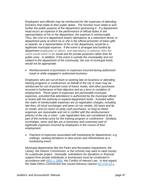*Employees and officials may be reimbursed for the expenses of attending functions that relate to their public duties. The function must relate to and*  further the public purpose of the department sponsoring it. If a department *head incurs an expense in the performance of official duties in the representation of his or her department, the expense is reimbursable. Thus, the cost of a department head's attendance at a retirement dinner or department party at which he or she is the official presenter of token gifts or awards, as a representative of his or her department, would be a legitimate municipal expense. If the event is arranged and funded by department employees or others, and attendance is optional, then the event would seem to be social and for private purposes rather than for public ones. In addition, if the event is outside the municipality and not related to the department of the community, the use of municipal funds would not be appropriate.* 

 *Reimbursement of purchases or expenses incurred during authorized travel or while engaged in authorized business.* 

*Employees who are out-of-town or working late on business or attending training programs or conferences on behalf of the city or town may be reimbursed for out-of-pocket costs of travel, meals, and other purchases incurred in furtherance of that objective and as a term or condition of employment. These types of expenses are permissible municipal expenses, provided that attendance is authorized by the municipal official or board with the authority to expend department funds. Included within the realm of reimbursable expenses are (i) registration charges, including late fees; (ii) local surcharges and taxes on car rentals; (iii) taxes and tip on meals; and (iv) taxes on petty cash purchases, so long as these expenses are reasonable and not in conflict with the reimbursement policies of the city or town. Late registration fees are considered to be*  part of the contract price for the training program or conference. Similarly, *surcharges, taxes and tips are a necessary and customary part of legitimate expenses incurred by employees in the course of their employment.* 

 *Payment of expenses associated with fundraising for departments, e.g. mailings, seeking donations or door prizes and refreshments at a fundraising event.* 

*Municipal departments like the Parks and Recreation Department, the Library, the Historic Commission, or the schools may want to raise money for a particular project. Generally, solicitations for donations or financial support from private individuals or businesses must be conducted in accordance with MGL c. 268A, the Conflict of Interest Law. In that regard, the State Ethics Commission has issued Advisory Opinion EC-COI-12-1,*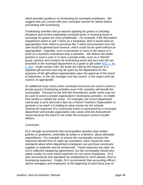*which provides guidance on fundraising by municipal employees. We suggest that you consult with your municipal counsel for advice before proceeding with fundraising.* 

*Fundraising activities that go beyond applying for grants or soliciting donations and involve expending municipal funds or receiving funds in exchange for goods are more problematic. For example, if the Recreation Department wants to sell T-shirts as a fundraiser, then it would need an appropriation from which to purchase the T-shirts and proceeds from the sale would be general fund revenue, which could not be spent without an appropriation. Arguably, such a transaction is more in the nature of a profit on a business transaction than a donation. We believe the better practice in such a case is to have a private entity, such as a "friends" group, sponsor and conduct the fundraising event and turn over the net proceeds to the municipal department as a grant or gift under MGL c. 40, s. 53A. Under section 53A, the funds are held by the treasurer in a separate gift account and may be spent by the department for the purposes of the gift without appropriation upon the approval of the board of selectmen, or the city manager and city council, or the mayor and city council, as appropriate.* 

*An additional issue arises when municipal resources are used to assist a private group's fundraising activities even if the activities will benefit the municipality. Pursuant to the Anti-Aid Amendment, public funds may not be used to assist a private organization's fundraising activities, no matter how worthy or related the cause. For example, the school department cannot pay to print and mail a flyer by a Parent-Teachers Organization to promote a car wash it is holding to raise monies for the schools. Sharing the expenses of a community event co-sponsored by a municipal department and private organization also raises Anti-Aid Amendment issues because the event is not under the exclusive control of public officers.* 

#### *Conclusion*

*DLS strongly recommends that municipalities develop clear written policies or guidelines, preferably by bylaw or ordinance, about allowable expenditures. For example, to ensure the municipality receives the maximum benefit from its sales tax exemption, there should be clear standards about when department employees can purchase necessary supplies or materials and be reimbursed. Travel expenses are often set out in collective bargaining agreements, but the municipality should also adopt a policy to cover travel expenses for non-union employees. DLS also recommends that standards be established for merit awards, food or fundraising expenses. Finally, DLS recommends that accounting officers advise managers and employees at the beginning of each fiscal year of*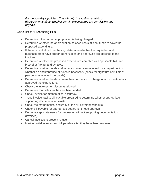*the municipality's policies. This will help to avoid uncertainty or disagreements about whether certain expenditures are permissible and payable.* 

# Checklist for Processing Bills

- Determine if the correct appropriation is being charged.
- Determine whether the appropriation balance has sufficient funds to cover the proposed expenditure.
- If there is centralized purchasing, determine whether the requisition and purchase order have proper authorization and approvals are attached to the invoices.
- Determine whether the proposed expenditure complies with applicable bid-laws [40:4b] or [40:4g] and by-laws.
- Determine whether goods and services have been received by a department or whether an encumbrance of funds is necessary (check for signature or initials of person who received the goods).
- Determine whether the department head or person in charge of appropriation has approved the expenditure.
- Check the invoices for discounts allowed.
- Determine that sales tax has not been added.
- Check invoice for mathematical accuracy.
- Trace invoice total to bill payable prepared to determine whether appropriate supporting documentation exists.
- Check the mathematical accuracy of the bill payment schedule.
- Check bill payable for appropriate department head approval.
- Do not accept statements for processing without supporting documentation (invoices).
- Cancel invoices to prevent re-use.
- Mark or initial invoices and bill payable after they have been reviewed.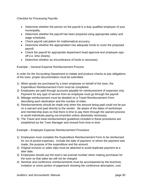Checklist for Processing Payrolls

- Determine whether the person on the payroll is a duly qualified employee of your municipality.
- Determine whether the payroll has been prepared using appropriate salary and wage schedules.
- Check payroll calculation for mathematical accuracy.
- Determine whether the appropriation has adequate funds to cover the proposed payroll.
- Check the payroll for appropriate department head approval and employee signoff (i.e. time sheets).
- Determine whether an encumbrance of funds is necessary

Example – General Expense Reimbursement Process

In order for the Accounting Department to initiate and produce checks to pay obligations of the town, proper documentation must be submitted.

- 1) When goods are purchased by a town employee on behalf of the town, the Expenditure Reimbursement Form must be completed.
- 2) Employees are paid through accounts payable for reimbursement of expenses only. Payment for any type of service from an employee must go through the payroll.
- 3) Mileage reimbursement must be detailed on a Travel Reimbursement Form describing each destination and the number of miles.
- 4) Reimbursements should be made only when the amount being paid could not be put on a warrant and paid directly to the vendor. Be aware of the dates of workshops and membership dues so that there is time to pay them through the warrant process to avoid individuals paying out-of-pocket unless absolutely necessary.
- 5) The Travel and meal reimbursement guidelines included in these procedures are established by the Town Manager and revised from time to time.

Example – Employee Expense Reimbursement Procedure

- 1) Employees must complete the Expenditure Reimbursement Form to be reimbursed for out of pocket expenses. Include the date of payment, to whom the payment was made, the purpose of the expenditure and the amount.
- 2) Original invoices or sales slips must be attached to avoid duplicate payment at a later date.
- 3) Employees should use the town's tax-exempt number when making purchases for the town so that sales tax will not be charged.
- 4) Seminar and conference reimbursements must be accompanied by the brochure, invitation or some portion of paperwork showing the conference description, cost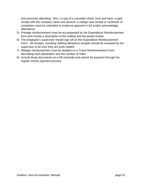and person(s) attending. Also, a copy of a canceled check, front and back, a paid receipt with the company name and amount, a charge card receipt or certificate of completion must be submitted to evidence payment in full and/or acknowledge attendance.

- 5) Postage reimbursement must be accompanied by the Expenditure Reimbursement form and include a description of the mailing and the postal receipt.
- 6) The employee's supervisor should sign off on the Expenditure Reimbursement Form. All receipts, including clothing allowance receipts should be reviewed by the supervisor to be sure they are work related.
- 7) Mileage reimbursement must be detailed on a Travel Reimbursement Form describing each destination and the number of miles.
- 8) Include these documents on a bill schedule and submit for payment through the regular invoice payment process.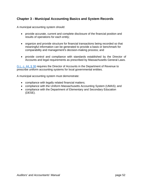# **Chapter 3 - Municipal Accounting Basics and System Records**

A municipal accounting system should:

- provide accurate, current and complete disclosure of the financial position and results of operations for each entity;
- organize and provide structure for financial transactions being recorded so that meaningful information can be generated to provide a basis or benchmark for comparability and management's decision-making process; and
- provide control and compliance with standards established by the Director of Accounts and legal requirements as prescribed by Massachusetts General Laws.

G.L. c. 44, § 38 requires the Director of Accounts in the Department of Revenue to prescribe uniform accounting systems for local governmental entities.

A municipal accounting system must demonstrate:

- compliance with legally related financial matters;
- compliance with the Uniform Massachusetts Accounting System (UMAS); and
- compliance with the Department of Elementary and Secondary Education (DESE).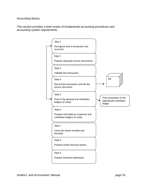#### Accounting Basics

This section provides a brief review of fundamental accounting procedures and accounting system requirements.

Step 1 Recognize that a transaction has occurred Step 2 Prepare adequate source documents Step 3 Validate the transaction Step 4 Record the transaction and file the source document Step 5 Post to the general and subsidiary ledgers (if used) Step 6 Prepare trial balance of general and subsidiary ledgers (if used) Step 7 Close the books monthly and annually Step 8 Prepare timely financial reports file Post transaction to the appropriate subsidiary ledger. Step 9 Prepare financial statements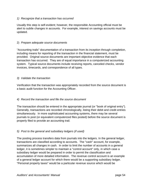# *1) Recognize that a transaction has occurred*

Usually this step is self-evident; however, the responsible Accounting official must be alert to subtle changes in accounts. For example, interest on savings accounts must be updated.

#### 2) *Prepare adequate source documents*

"Accounting trails" documentation of a transaction from its inception through completion, including means for reporting of the transaction in the financial statement, must be provided. Original source documents are important objective evidence that each transaction has occurred. They are of equal importance in a computerized accounting system. Typical source documents include receiving reports, canceled checks, vendor invoices, timecards, and correspondence of all types.

#### *3) Validate the transaction*

Verification that the transaction was appropriately recorded from the source document is a basic audit function for the Accounting Officer.

# *4) Record the transaction and file the source document*

The transaction should be entered in the appropriate journal (or "book of original entry"). Generally, transactions are recorded chronologically, listing their debit and credit entries simultaneously. In more sophisticated accounting systems, there may be several journals to post (or equivalent computerized files posted) before the source document is properly filed to provide an accounting trail.

#### *5) Post to the general and subsidiary ledgers (if used)*

The posting process transfers data from journals into the ledgers. In the general ledger, transactions are classified according to accounts. The "cash" account, for example, summarizes all changes in cash. In order to limit the number of accounts in a general ledger, it is sometimes simpler to maintain a "control account" only, in which case a subsidiary ledger would be prepared in order to permit the classification and accumulation of more detailed information. The revenue control account is an example of a general ledger account for which there would be a supporting subsidiary ledger. "Personal property taxes" would be a particular revenue source which would be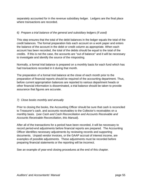separately accounted for in the revenue subsidiary ledger. Ledgers are the final place where transactions are recorded.

# *6) Prepare a trial balance of the general and subsidiary ledgers (if used)*

This step ensures that the total of the debit balances in the ledger equals the total of the credit balances. The formal preparation lists each account on a work paper and enters the balance of the account in the debit or credit column as appropriate. When each account has been recorded, the total of the debits should be equal to the total of the credits. If this is not the case, the accounts are "out of balance" and it will be necessary to investigate and identify the source of the misposting.

Normally, a formal trial balance is prepared on a monthly basis for each fund which has had transactions recorded in it during that month.

The preparation of a formal trial balance at the close of each month prior to the preparation of financial reports should be required of the accounting department. Thus, before current appropriation balances are reported to various department heads or other financial information is disseminated, a trial balance should be taken to provide assurance that figures are accurate.

# *7) Close books monthly and annually*

Prior to closing the books, the Accounting Officer should be sure that cash is reconciled to Treasurer's cash, and accounts receivables to the Collector's receivables on a monthly basis. (*see Cash and Cash Reconciliation and Accounts Receivable and Accounts Receivable Reconciliation, this Manual*).

After all of the transactions for a period have been recorded, it will be necessary to record period-end adjustments before financial reports are prepared. The Accounting Officer identifies necessary adjustments by reviewing records and supporting documents. Unpaid vendor invoices, or the GAAP accrual of interest income, are examples of possible adjustments. These adjustments must be recorded before preparing financial statements or the reporting will be incorrect.

See an example of year-end closing procedures at the end of this chapter.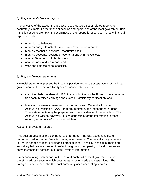#### *8) Prepare timely financial reports*

The objective of the accounting process is to produce a set of related reports to accurately summarize the financial position and operations of the local government unit. If this is not done promptly, the usefulness of the reports is lessened. Periodic financial reports include:

- monthly trial balances;
- monthly budget to actual revenue and expenditure reports;
- monthly reconciliations with Treasurer's cash;
- monthly accounts receivable reconciliations with the Collector;
- annual Statement of Indebtedness:
- annual Snow and Ice report; and
- year-end balance sheet checklist.

#### *9) Prepare financial statements*

Financial statements present the financial position and result of operations of the local government unit. There are two types of financial statements:

- combined balance sheet (UMAS) that is submitted to the Bureau of Accounts for free cash, retained earnings and excess & deficiency certification; and
- financial statements presented in accordance with Generally Accepted Accounting Principles (GAAP) that are audited by the independent auditor. These statements may be prepared with the assistance of the audit firm. The Accounting Officer, however, is fully responsible for the information in these reports, regardless of who prepared them.

#### Accounting System Records

This section describes the components of a "model" financial accounting system recommended for normal financial management needs. Theoretically, only a general journal is needed to record all financial transactions. In reality, special journals and subsidiary ledgers are needed to reflect the growing complexity of local finances and show increasingly detailed, but useful levels of information.

Every accounting system has limitations and each unit of local government must therefore adopt a system which best meets its own needs and capabilities. The paragraphs below describe the most commonly used accounting records.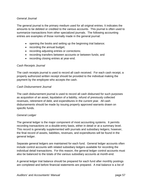#### *General Journal*

The general journal is the primary medium used for all original entries. It indicates the amounts to be debited or credited to the various accounts. This journal is often used to summarize transactions from other specialized journals. The following accounting entries are examples of those normally made in the general journal:

- opening the books and setting up the beginning trial balance;
- recording the annual budget;
- recording adjusting entries or corrections;
- recording transfers between accounts or between funds; and
- recording closing entries at year-end.

#### *Cash Receipts Journal*

The cash receipts journal is used to record all cash received. For each cash receipt, a properly authorized written receipt should be provided to the individual making the payment by the employee who accepts the cash.

#### *Cash Disbursement Journal*

The cash disbursement journal is used to record all cash disbursed for such purposes as acquisition of an asset, liquidation of a liability, refund of previously collected revenues, retirement of debt, and expenditures in the current year. All cash disbursements should be made by issuing properly approved warrants drawn on specific funds.

# *General Ledger*

The general ledger is the major component of most accounting systems. It permits recording transactions on a double-entry basis, either in detail or at a summary level. This record is generally supplemented with journals and subsidiary ledgers; however, the final record of assets, liabilities, revenues, and expenditures will be found in the general ledger.

Separate general ledgers are maintained for each fund. General ledger accounts often include control accounts with related subsidiary ledgers available for recording the individual detail transactions. For this reason, the general ledger control accounts must also be balanced to the totals of the various subsidiary accounts at month-end.

A general ledger trial balance should be prepared for each fund after monthly postings are completed and before financial statements are prepared. A trial balance is a list of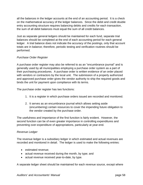all the balances in the ledger accounts at the end of an accounting period. It is a check on the mathematical accuracy of the ledger balances. Since the debit and credit double entry accounting structure requires balancing debits and credits for each transaction, the sum of all debit balances must equal the sum of all credit balances.

Just as separate general ledgers should be maintained for each fund, separate trial balances should be completed at the end of each accounting period for each general ledger. A trial balance does not indicate the accuracy of the postings, only that account totals are in balance; therefore, periodic testing and verification routines should be performed.

# *Purchase Order Register*

A purchase order register may also be referred to as an "encumbrance journal" and is generally used by all municipalities employing a purchase order system as a part of their purchasing procedures. A purchase order is written evidence of an order placed with vendors or contractors by the local unit. The submission of a properly authorized and approved purchase order gives the vendor authority to ship the required goods and binds the unit for payment upon compliance with its terms.

The purchase order register has two functions:

- 1. It is a register in which purchase orders issued are recorded and monitored.
- 2. It serves as an encumbrance journal which allows setting aside (encumbering) certain resources to cover the impending future obligation to the vendor created by the purchase order.

The usefulness and importance of the first function is fairly evident. However, the second function can be of even greater importance in controlling expenditures and preventing over-expenditure of appropriations, particularly at year-end.

#### *Revenue Ledger*

The revenue ledger is a subsidiary ledger in which estimated and actual revenues are recorded and monitored in detail. The ledger is used to make the following entries:

- estimated revenue;
- actual revenue received during the month, by type; and
- actual revenue received year-to-date, by type.

A separate ledger sheet should be maintained for each revenue source, except where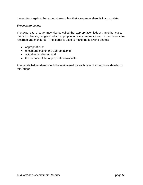transactions against that account are so few that a separate sheet is inappropriate.

# *Expenditure Ledger*

The expenditure ledger may also be called the "appropriation ledger". In either case, this is a subsidiary ledger in which appropriations, encumbrances and expenditures are recorded and monitored. The ledger is used to make the following entries:

- appropriations;
- encumbrances on the appropriations;
- actual expenditures; and
- the balance of the appropriation available.

A separate ledger sheet should be maintained for each type of expenditure detailed in this ledger.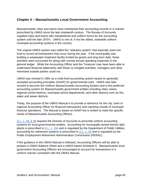# **Chapter 4 – Massachusetts Local Government Accounting**

Massachusetts' cities and towns have maintained their accounting records in a manner prescribed by UMAS since the late nineteenth century. The Bureau of Accounts supplied cities and towns with standardized and uniform forms for the accounting system until the late 1970's. UMAS is one of, if not the oldest, statewide uniform municipal accounting systems in the country.

The original UMAS system was called the "statutory system" that basically used one fund to record all transactions that occur during the year. If the municipality was building a wastewater treatment facility funded by grants and long-term debt, these activities were accounted for along with normal annual operating expenses in the general ledger. While the Accounting Officer and the Treasurer may have been able to understand financial statements with these co-mingled activities, managers and other interested outside parties could not.

UMAS was revised in 1981 as a multi-fund accounting system based on generally accepted accounting principles (GAAP) for governmental units. UMAS was later revised to become the Uniform Massachusetts Accounting System and is the preferred accounting system for Massachusetts government entities including cities, towns, regional school districts, municipal school departments, and other districts such as fire, water and sewer districts.

Today, the purpose of the UMAS Manual is to provide a reference for the city, town or regional Accounting Officer for financial transactions and reporting results of municipal financial operations. The Manual is based on GAAP but is written to meet the specific needs of Massachusetts Accounting Officers.

G.L. c. 44, § 38 requires the Director of Accounts to prescribe uniform accounting systems for local governmental entities. Accounting for municipally owned electric light plants is prescribed in G.L. c. 164 and is regulated by the Department of Public Utilities; accounting for retirement systems is prescribed in G.L. c. 32 and is regulated by the Public Employment Retirement Administration Commission (PERAC).

If the guidance in the UMAS Manual is followed, Accounting Officers will be able to prepare a UMAS Balance Sheet and a UMAS based Schedule A. Massachusetts local government Accounting Officers are encouraged to account for transactions in a uniform manner consistent with the UMAS Manual.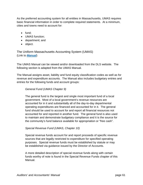As the preferred accounting system for all entities in Massachusetts, UMAS requires basic financial information in order to complete required statements. At a minimum, cities and towns need to account for:

- $\bullet$  fund:
- **UMAS** function:
- department; and
- object.

The Uniform Massachusetts Accounting System (UMAS) (Link to *Manual*)

The UMAS Manual can be viewed and/or downloaded from the DLS website. The following section is adapted from the UMAS Manual.

The Manual assigns asset, liability and fund equity classification codes as well as for revenue and expenditure accounts. The Manual also includes budgetary entries and entries for the following funds and account groups:

#### *General Fund (UMAS Chapter 9)*

The general fund is the largest and single most important fund of a local government. Most of a local government's revenue resources are accounted for in it and substantially all of the day-to-day departmental operating expenditures are financed and accounted for in it. The general fund should be used to account for and report all financial resources not accounted for and reported in another fund. The general fund is also used to maintain and demonstrate budgetary compliance and it is the source for the community's fund balance available for appropriation or "free cash".

#### *Special Revenue Fund (UMAS, Chapter 10)*

Special revenue funds account for and report proceeds of specific revenue sources that are legally restricted to expenditure for specified operating purposes. Special revenue funds must be established by statute or may be established via guidance issued by the Director of Accounts.

A more detailed description of special revenue funds along with certain funds worthy of note is found in the Special Revenue Funds chapter of this Manual.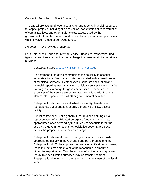#### *Capital Projects Fund (UMAS Chapter 11)*

The capital projects fund type accounts for and reports financial resources for capital projects, including the acquisition, construction or reconstruction of capital facilities, and other major capital assets used by the government. A capital projects fund is used for all projects and purchases which involve the use of borrowed funds.

#### *Proprietary Fund (UMAS Chapter 12)*

Both Enterprise Funds and Internal Service Funds are Proprietary Fund types, i.e. services are provided for a charge in a manner similar to private business.

#### *Enterprise Funds G.L. c. 44, § 53F½ (IGR 08-101)*

An enterprise fund gives communities the flexibility to account separately for all financial activities associated with a broad range of municipal services. It establishes a separate accounting and financial reporting mechanism for municipal services for which a fee is charged in exchange for goods or services. Revenues and expenses of the service are segregated into a fund with financial statements separate from all other governmental activities.

Enterprise funds may be established for a utility, health care, recreational, transportation, energy generating or PEG access facility.

Similar to free cash in the general fund, retained earnings is a representation of unobligated enterprise fund cash which may be appropriated once certified by the Bureau of Accounts for further use by the governmental entity's legislative body. IGR 08-101 details the proper use of retained earnings.

Enterprise funds are allowed to charge indirect costs, i.e. costs appropriated usually in the General Fund but attributable to the Enterprise fund. To be approved for tax rate certification purposes, these indirect cost amounts must be reasonable in amount or otherwise explainable. Only the amount of indirect costs approved for tax rate certification purposes may be transferred from Enterprise fund revenues to the other fund by the close of the fiscal year.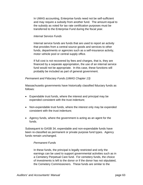In UMAS accounting, Enterprise funds need not be self-sufficient and may require a subsidy from another fund. The amount equal to the subsidy as voted for tax rate certification purposes must be transferred to the Enterprise Fund during the fiscal year.

#### *Internal Service Funds*

Internal service funds are funds that are used to report an activity that provides from a central source goods and services to other funds, departments or agencies such as a self-insurance activity, motor vehicle pool or central supply office.

If full cost is not recovered by fees and charges, that is, they are financed by a separate appropriation, the use of an internal service fund would not be appropriate. In this case, these functions will probably be included as part of general government.

#### *Permanent and Fiduciary Funds (UMAS Chapter 13)*

Massachusetts governments have historically classified fiduciary funds as follows:

- Expendable trust funds, where the interest and principal may be expended consistent with the trust indenture;
- Non-expendable trust funds, where the interest only may be expended consistent with the trust indenture;
- Agency funds, where the government is acting as an agent for the funds.

Subsequent to GASB 34, expendable and non-expendable funds have been re-classified as permanent or private purpose fund types. Agency funds remain unchanged.

#### *Permanent Funds*

In these funds, the principal is legally restricted and only the earnings can be used to support governmental activities such as in a Cemetery Perpetual Care fund. For cemetery funds, the choice of investments is left to the donor or if the donor has not stipulated, the Cemetery Commissioners. These funds are similar to the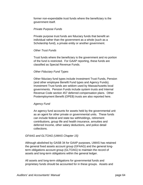former non-expendable trust funds where the beneficiary is the government itself.

### *Private Purpose Funds*

Private purpose trust funds are fiduciary funds that benefit an individual rather than the government as a whole (such as a Scholarship fund), a private entity or another government.

### *Other Trust Funds*

Trust funds where the beneficiary is the government and no portion of the fund is restricted. For GAAP reporting, these funds are classified as Special Revenue Funds.

# *Other Fiduciary Fund Types*

Other fiduciary fund types include Investment Trust Funds, Pension (and other employee Benefit Fund types and Agency Funds). Investment Trust funds are seldom used by Massachusetts local governments. Pension Funds include system trusts and Internal Revenue Code section 457 deferred compensation plans. Other Postemployment Benefit (OPEB) trusts are also reported here.

# *Agency Fund*

An agency fund accounts for assets held by the governmental unit as an agent for other private or governmental units. These funds can include federal and state tax withholdings, retirement contributions, group life and health insurance, annuities and deferred Income, other salary deductions, and police detail collections.

# *GFAAG and GLTOAG (UMAS Chapter 15)*

Although abolished by GASB 34 for GAAP purposes, UMAS has retained the general fixed assets account group (GFAAG) and the general longterm obligations account group (GLTOAG) to maintain the record of assets and long-term obligations within the general ledger.

All assets and long-term obligations for governmental funds and proprietary funds should be accounted for in these groups. Assets and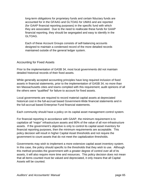long-term obligations for proprietary funds and certain fiduciary funds are accounted for in the GFAAG and GLTOAG for UMAS and are reported (for GAAP financial reporting purposes) in the specific fund with which they are associated. Due to the need to reallocate these funds for GAAP financial reporting, they should be segregated and easy to identify in the GLTOAG.

Each of these Account Groups consists of self-balancing accounts designed to maintain a condensed record of the more detailed records maintained outside of the general ledger system.

# Accounting for Fixed Assets

Prior to the implementation of GASB 34, most local governments did not maintain detailed historical records of their fixed assets.

While generally accepted accounting principles have long required inclusion of fixed assets in financial statements, prior to the implementation of GASB 34, no more than ten Massachusetts cities and towns complied with this requirement; audit opinions of all the others were "qualified" for failure to account for fixed assets.

Local governments are required to record material capital assets at depreciated historical cost in the full-accrual based Government-Wide financial statements and in the full-accrual based Enterprise Fund financial statements.

Each community should have a policy on its capital asset management control system.

For financial reporting in accordance with GAAP, the minimum requirement is to capitalize all "major" infrastructure assets and 80% of the value of all non-infrastructure assets. If the government's objective is only to control its capital asset inventory for financial reporting purposes, then the minimum requirements are acceptable.This policy decision will result in higher Capital Asset thresholds and not require the government to count assets that do not meet the capitalization thresholds.

Governments may wish to implement a more extensive capital asset inventory system. In this case, the policy should specific to the thresholds that they wish to use. Although this method provides the government with a greater degree of control over all of its assets, it will also require more time and resources. This policy decision does not mean that all items counted must be valued and depreciated, it only means that all Capital Assets will be counted.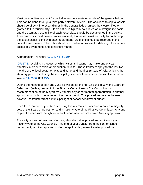Most communities account for capital assets in a system outside of the general ledger. This can be done through a third-party software system. The additions to capital assets should tie directly into expenditures in the general ledger unless they were gifted or granted to the municipality. Depreciation is typically calculated on a straight-line basis and the estimated useful life of each asset class should be documented in the policy. The community must have a process to verify that assets exist annually by confirming the capital asset listing with each department. Deletions should be recorded in the capital asset system. The policy should also define a process for deleting infrastructure assets in a systematic and consistent manner.

# Appropriation Transfers *(G.L. c. 44, § 33B)*

IGR 17-13 explains a process by which cities and towns may make end of year transfers in order to avoid appropriation deficits. These transfers apply for the last two months of the fiscal year, i.e., May and June, and the first 15 days of July, which is the statutory period for closing the municipality's financial records for the fiscal year under G.L. c. 44, §§ 56 and 56A.

During the months of May and June as well as for the first 15 days in July, the Board of Selectmen (with agreement of the Finance Committee) or City Council (upon recommendation of the Mayor) may transfer any departmental appropriation to another appropriation within the same or other department. This procedure may not be used, however, to transfer from a municipal light or school department budget.

For a town, an end of year transfer using this alternative procedure requires a majority vote of the Board of Selectmen and a majority vote of the Finance Committee. Any end of year transfer from the light or school department requires Town Meeting approval.

For a city, an end of year transfer using this alternative procedure requires only a majority vote of the City Council. Any end of year transfer from the light or school department, requires approval under the applicable general transfer procedure.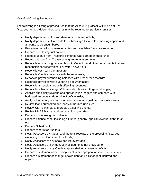### Year-End Closing Procedures

The following is a listing of procedures that the Accounting Officer will find helpful at fiscal year-end. Additional procedures may be required for particular entities.

- Notify departments of cut-off date for submission of bills;
- Notify departments of late date for submitting a list of bills remaining unpaid and amounts to be encumbered;
- Be certain that all town meeting votes from available funds are recorded;
- Prepare pre-closing trial balance;
- Request update from Treasurer if interest was earned on trust funds;
- Request update from Treasurer of grant reimbursements;
- Reconcile outstanding receivables with Collector and other departments that are responsible for receivables, i.e. water, sewer, etc.;
- Reconcile cash with the Treasurer;
- Reconcile Overlay balances with the Assessors;
- Reconcile payroll withholding balances with Treasurer's records;
- Reconcile payables with supporting documentation;
- Reconcile all receivables with offsetting revenues;
- Reconcile subsidiary ledgers/classification books with general ledger;
- Analyze subsidiary revenue and appropriation ledgers and compare with budgeted amounts to determine if deficits exist;
- Analyze fund equity accounts to determine what adjustments are necessary;
- Review loans authorized and loans authorized unissued;
- Review UMAS Manual and prepare adjusting entries;
- Review UMAS Manual and prepare closing entries;
- Prepare post-closing trial balance;
- Prepare balance sheet including all funds, general, special revenue, debt, trust, etc.;
- Prepare Schedule A;
- Prepare reports for Auditors;
- Notify Assessors by August 1 of the total receipts of the preceding fiscal year, excluding taxes, loans and trust funds;
- Notify Assessors of any snow and ice overdrafts;
- Notify Assessors of payment of final judgments not provided for;
- Notify Assessors of any Overlay, appropriation or revenue deficits;
- Prepare a statement of preceding fiscal year appropriations and expenditures;
- Prepare a statement of change in town debt and a list of debt incurred and unpaid.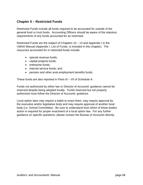# **Chapter 5 – Restricted Funds**

Restricted Funds include all funds required to be accounted for outside of the general fund or trust funds. Accounting Officers should be aware of the statutory requirements of any funds accounted for as restricted.

Restricted Funds are the subject of Chapters 10 – 13 and Appendix I in the UMAS Manual (Appendix I, List of Funds, is included in this chapter). The resources accounted for in restricted funds include:

- special revenue funds;
- capital projects funds;
- enterprise funds;
- internal service funds; and
- pension and other post-employment benefits funds.

These funds are also reported in Parts III – VII of Schedule A.

Funds not authorized by either law or Director of Accounts' guidance cannot be reserved despite being adopted locally. Funds reserved but not properly authorized must follow the Director of Accounts' guidance.

Local option laws may require a ballot to enact them, may require approval by the executive and/or legislative body and may require approval of another local body (i.e. School Committee). Be sure to understand from which of these bodies action is required for proper enactment of a local option law. For any further guidance on specific questions, please contact the Bureau of Accounts directly.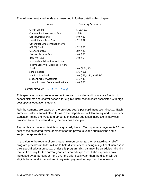| Name                                  | <b>Statutory Reference</b>   |
|---------------------------------------|------------------------------|
| Circuit Breaker                       | c.71B, $§$ 5A                |
| <b>Community Preservation Fund</b>    | c. 44B                       |
| <b>Conservation Fund</b>              | c.40, $§$ 8C                 |
| <b>Health Claims Trust Fund</b>       | c.32, § $3A$                 |
| <b>Other Post-Employment Benefits</b> |                              |
| (OPEB) Fund                           | c.32, § 20                   |
| <b>Overlay Surplus</b>                | c.59, §25                    |
| <b>Pension Reserve Fund</b>           | c.40, $§$ 5D                 |
| Reserve Fund                          | c.40, § 6                    |
| Scholarship, Education, and Low       |                              |
| Income Elderly or Disabled Persons    |                              |
| Fund                                  | $c.60,$ §§ 3C, 3D            |
| <b>School Choice</b>                  | c.76, $§$ 12B                |
| <b>Stabilization Fund</b>             | c.40, § 5B, c. 71, § 16G 1/2 |
| <b>Student Activity Accounts</b>      | c.71, § 47                   |
| Unemployment Compensation Fund        | c.40, $§$ 5E                 |

The following restricted funds are presented in further detail in this chapter:

### *Circuit Breaker (G.L. c. 71B, § 5A)*

This special education reimbursement program provides additional state funding to school districts and charter schools for eligible instructional costs associated with highcost special education students.

Reimbursements are based on the previous year's per pupil instructional costs. Each summer, districts submit claim forms to the Department of Elementary and Secondary Education listing the types and amounts of special education instructional services provided to each student during the previous fiscal year.

Payments are made to districts on a quarterly basis. Each quarterly payment is 25 per cent of the estimated reimbursements for the previous year's submissions and is subject to appropriation.

In addition to the regular circuit breaker reimbursements, the "extraordinary relief" program provides up to \$5 million to help districts experiencing a significant increase in their special education costs. Under this program, districts may file an additional claim form in February for the current year's estimated expenses. If the expenses have increased by 25 percent or more over the prior fiscal year, then the district will be eligible for an additional extraordinary relief payment to help fund the increase.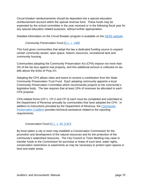Circuit breaker reimbursements should be deposited into a special education reimbursement account within the special revenue fund. These funds may be expended by the school committee in the year received or in the following fiscal year for any special education related purposes, without further appropriation.

Detailed information on the Circuit Breaker program is available on the DESE website.

*Community Preservation Fund (G.L. c. 44B)* 

This fund gives communities that adopt the law a dedicated funding source to expand certain community assets: open space, historic resources, recreational land and community housing.

Communities adopting the Community Preservation Act (CPA) impose not more than 3% of the tax levy against real property, and this additional amount is collected on tax bills above the limits of Prop 2½.

Adopting the CPA allows cities and towns to receive a contribution from the State Community Preservation Trust Fund. Each adopting community appoints a local Community Preservation Committee which recommends projects to the community's legislative body. The law requires that at least 10% of revenues be allocated to each CPA purpose.

CPA-related forms (CP-1, CP-2 and CP-3) each must be completed and submitted to the Department of Revenue annually by communities that have adopted the CPA. In addition to instructions provided by the Department of Revenue, the Community Preservation Coalition provides technical assistance related to the reporting requirements.

*Conservation Fund (G.L. c. 40, § 8C)* 

By local option a city or town may establish a Conservation Commission for the promotion and development of the natural resources and for the protection of the community's watershed resources. The City Council or Town Meeting may raise or transfer funds to the Commission for purchase or lease of such land, water rights, conservation restrictions or easements as may be necessary to protect open spaces in land and water areas.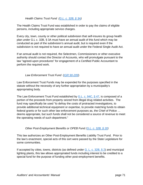*Health Claims Trust Fund (G.L. c. 32B, § 3A)*

The Health Claims Trust Fund was established in order to pay the claims of eligible persons, including appropriate service charges.

Every city, town, county or other political subdivision that self-insures its group health plan under G.L c. 32B, § 3A must have an annual audit of this fund which may be conducted as part of the subdivision's annual audit, but is required even if the subdivision is not required to have an annual audit under the Federal Single Audit Act.

If an annual audit is not required, the Selectmen, Commissioners or other executive authority should contact the Director of Accounts, who will promulgate pursuant to the law "agreed-upon procedures" for engagement of a Certified Public Accountant to perform the required work.

# *Law Enforcement Trust Fund* (*IGR 90-209*)

Law Enforcement Trust Funds may be expended for the purposes specified in the statute without the necessity of any further appropriation by a municipality's appropriating body.

The Law Enforcement Trust Fund established by G.L. c. 94C, § 47, is composed of a portion of the proceeds from property seized from illegal drug related activities. The fund may specifically be used "to defray the costs of protracted investigations, to provide additional technical equipment or expertise, to provide matching funds to obtain federal grants or for such other law enforcement purposes as, the Chief of Police … deems appropriate, but such funds shall not be considered a source of revenue to meet the operating needs of such department."

# *Other Post-Employment Benefits or OPEB Fund (G.L. c. 32B, § 20)*

This law authorizes an Other Post-Employment Benefits Liability Trust Fund. Prior to the law's enactment, special acts of this sort were passed by the State Legislature for some communities.

If accepted by cities, towns, districts (as defined under G. L. c. 32B, § 2) and municipal lighting plants, this law allows appropriated funds including interest to be credited to a special fund for the purpose of funding other post-employment benefits.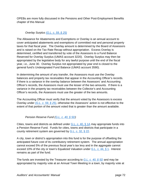OPEBs are more fully discussed in the Pensions and Other Post-Employment Benefits chapter of this Manual

# *Overlay Surplus (G.L. c. 59, § 25)*

The Allowance for Abatements and Exemptions or Overlay is an annual account to cover anticipated abatements and exemptions of committed real and personal property taxes for that fiscal year. The Overlay amount is determined by the Board of Assessors and is raised on the Tax Rate Recap without appropriation. Excess Overlay is determined, certified and transferred by vote of the Assessors to a Fund Balance Reserved for Overlay Surplus (UMAS account 3220). Overlay Surplus may then be appropriated by the legislative body for any lawful purpose until the end of the fiscal year, i.e., June 30. Overlay Surplus not appropriated by year end is closed to the general fund's Undesignated Fund Balance (UMAS account 3590).

In determining the amount of any transfer, the Assessors must use the Overlay balances and property tax receivables that appear in the Accounting Officer's records. If there is a variance in the overlay balance between the Assessors' and Accounting Officer's records, the Assessors must use the lesser of the two amounts. If there is a variance in the property tax receivables between the Collector's and Accounting Officer's records, the Assessors must use the greater of the two amounts.

The Accounting Officer must verify that the amount voted by the Assessors is excess Overlay under *(G.L. c. 59, § 25)*, otherwise the Assessors' action is not effective to the extent of that portion of the amount voted that is greater than the amount available.

# *Pension Reserve Fund (G.L. c. 40, § 5D)*

Cities, towns and districts as defined under G.L. c. 40,  $\S$  1A may appropriate funds into a Pension Reserve Fund. Funds for cities, towns and districts that participate in a county retirement system are governed by G.L. c. 32, § 22.

A city, town or district's appropriation into this fund is for the purpose of offsetting the anticipated future cost of its contributory retirement system. The annual appropriation cannot exceed 5% of the previous fiscal year's tax levy and in the aggregate cannot exceed 10% of the city or town's Equalized Valuation under G.L. c. 44, § 1. Interest remains as part of the fund.

The funds are invested by the Treasurer according to *G.L. c. 40, § 5D* and may be appropriated by majority vote at an Annual Town Meeting in a town, by majority vote at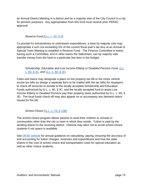an Annual District Meeting in a district and by a majority vote of the City Council in a city for pension purposes. Any appropriation from this fund must receive prior PERAC approval.

# *Reserve Fund (G.L. c. 40, § 6)*

To provide for extraordinary or unforeseen expenditures, a town by majority vote may appropriate a sum not exceeding 5% of the current fiscal year's tax levy at an Annual or Special Town Meeting to establish a Reserve Fund. The Finance Committee in towns having such a Committee, and in other towns the Selectmen, can by majority vote transfer money from the fund to a particular line-item in the budget.

*Scholarship, Education and Low Income Elderly or Disabled Persons Fund, G.L. c. 60, § 3C, and G.L. c. 60, § 3D.* 

Cities and towns may designate a place on the property tax bill or the motor vehicle excise tax bills (or design a separate form to be mailed with the tax bills) for taxpayers to check off amounts to donate to the locally accepted Scholarship and Education Funds authorized by G.L. c. 60, § 3C, and the locally accepted fund to assist Low Income Elderly or Disabled Persons pay their property taxes authorized by G.L. c. 60, § 3D. The local funds check-off may also appear on or accompany any demand notice issued for the bill.

*School Choice (G.L. c. 76, § 12B)*

The school choice program allows parents to send their children to schools in communities other than the city or town in which they reside. Tuition is paid by the sending district to the receiving district. Districts may elect not to enroll school choice students if not space is available.

See **DESE** website for annual guidance on calculating, paying, ensuring the accuracy of and accounting for tuition charges, revenues and expenditures and how the state shares in the cost of school choice and transportation costs for special education as well as other choice students..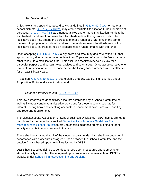## *Stabilization Fund*

Cities, towns and special purpose districts as defined in  $G.L. c. 40,  $\S 1A$  (for regional$ school districts, G.L. c. 71, § 16G1/2) may create multiple Stabilization Funds for different purposes. G.L. Ch. 40, § 5B as amended allows one or more Stabilization Funds to be established for different purposes by a two-thirds vote of the legislative body. The legislative body may amend the purposes of those funds at a later time in the same manner. Appropriations both into and from the funds require a two-thirds vote of the legislative body. Interest earned on all stabilization funds remains with the funds.

Upon accepting G.L. Ch. 40, § 5B, a city, town or district may dedicate, without further appropriation, all or a percentage not less than 25 percent, of a particular fee, charge or other receipt to a stabilization fund. This excludes receipts reserved by law for a particular purpose and certain taxes, excises and surcharges. Once accepted, a vote to terminate a dedication must be made before the fiscal year commences and is effective for at least 3 fiscal years.

In addition,  $G.L.$  Ch. 59, § 21C(g) authorizes a property tax levy limit override under Proposition 2½ to fund a stabilization fund..

# *Student Activity Accounts (G.L. c. 71, § 47)*

This law authorizes student activity accounts established by a School Committee as well as includes certain administrative provisions for these accounts such as for interest-bearing bank and checking accounts, disbursement procedures and auditing and reporting requirements.

The Massachusetts Association of School Business Officials (MASBO) has published a handbook for their members entitled Student Activity Accounts Guidelines For Massachusetts School Districts to provide specific guidance on maintaining student activity accounts in accordance with the law.

There shall be an annual audit of the student activity funds which shall be conducted in accordance with procedures as agreed upon between the School Committee and the outside Auditor based upon guidelines issued by DESE.

DESE has issued guidelines to conduct agreed upon procedures engagements for student activity accounts. These agreed upon procedures are available on DESE's website under School Finance/Accounting and Auditing.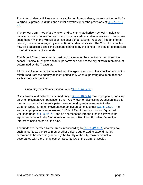Funds for student activities are usually collected from students, parents or the public for yearbooks, proms, field trips and similar activities under the provisions of *G.L. c. 71, § 47*.

The School Committee of a city, town or district may authorize a school Principal to receive money in connection with the conduct of certain student activities and to deposit such money, with the Municipal or Regional School District Treasurer, into an interest bearing bank account (agency account), for student activities. The School Committee may also establish a checking account controlled by the school Principal for expenditure of certain student activity funds.

The School Committee votes a maximum balance for the checking account and the school Principal must give a faithful performance bond to the city or town in an amount determined by the Treasurer.

All funds collected must be collected into the agency account. The checking account is reimbursed from the agency account periodically when supporting documentation for each expense is provided.

# *Unemployment Compensation Fund (G.L. c. 40, § 5E)*

Cities, towns, and districts as defined under G.L. c. 40,  $\S$  1A may appropriate funds into an Unemployment Compensation Fund. A city town or district's appropriation into this fund is to provide for the anticipated costs of funding reimbursements to the Commonwealth for unemployment compensation benefits under G.L. c. 151A. The annual appropriation cannot exceed 1/10th of 1% of the city or town's Equalized Valuation under  $G.L. c. 44, § 1$  and no appropriation into the fund is allowed if the aggregate amount in the fund equals or exceeds 1% of that Equalized Valuation. Interest remains as part of the fund.

The funds are invested by the Treasurer according to *G.L. c. 40, § 5E* who may pay such amounts as the Selectmen or other officers authorized to expend money determine to be necessary to satisfy the liability of the city, town or district in accordance with the Unemployment Security law of the Commonwealth.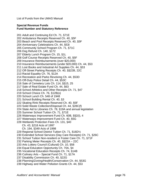List of Funds from the UMAS Manual

#### **Special Revenue Funds Fund Number and Statutory Reference**

201 Adult and Continuing Ed Ch. 71, §71E 202 Ambulance Receipts Reserved Ch. 40, §5F 203 Beach and Pool Receipts Reserved Ch. 40, §5F 204 Anniversary Celebrations Ch. 44, §53I 205 Community School Program Ch. 71, §71C 206 Dog Refund Ch. 140, §172 207 Elderly Lunch Program Ch. 15, §1L 208 Golf Course Receipts Reserved Ch. 40, §5F 209 Insurance Reimbursements (over \$20,000) 210 Insurance Reimbursements (under \$20,000) Ch. 44, §53 211 Lost Books and Industrial Art Supplies Ch. 44, §53 212 Off-Street Parking Receipts Ch. 40, §§22B, 22C 213 Racial Equality Ch. 76, §12A 214 Recreation and Parks Revolving Ch. 44, §53D 215 Off-Duty Police Detail Ch. 44, §53C 216 Sale of Cemetery Lots Ch. 114, §§15, 25 217 Sale of Real Estate Fund Ch. 44, §63 218 School Athletics and Other Receipts Ch. 71, §47 219 School Choice Ch. 76, §12B(o) 220 School Lunch Ch. 548 of 1948 221 School Building Rental Ch. 40, §3 222 Skating Rink Receipts Reserved Ch. 40, §5F 223 Solid Waste Collection/Disposal Ch. 44, §28C(f) 224 State Aid to Libraries Ch. 78, §19A and annual legislation 225 Summer School Tuition Ch. 71, §71E 226 Waterways Improvement Fund Ch. 60B, §§2(I), 4 227 Waterways Improvement Fund Ch. 40, §5G 228 Wetlands Protection Fees Ch. 131, §40 Ch. 43, §218 Acts of 1997 Ch. 194, §349 Acts of 1998 229 Regional School District Tuition Ch. 71, §16D½ 230 Extended School Services (Day Care Receipts) Ch. 71, §26C 231 School Tuition Non-resident or Foster Care Ch. 71, §71F 232 Parking Meter Receipts Ch. 40, §§22A – 22C 233 Arts Lottery Council (Cultural) Ch. 10, §58 234 Equal Education Opportunity Ch. 70A, §4 235 Vocational Education Receipts Ch. 74, §14B 236 Culinary Arts – Special Fund Ch. 71, §17A 237 Disability Commission Ch. 40, §22G 238 Planning/Zoning/Health/Conservation Ch. 44, §53G 239 Highway and Water Pollution Grants Ch. 44, §53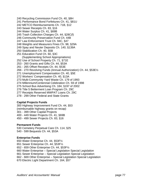240 Recycling Commission Fund Ch. 40, §8H 241 Performance Bond Forfeitures Ch. 41, §81U 242 METCO Reimbursements Ch. 71B, §12 243 Sewer Receipts Ch. 83, §16 244 Water Surplus Ch. 41, §69B 245 Trash Collection Charges Ch. 44, §28C(f) 246 Community Preservation Fund Ch. 44B 247 Law Enforcement Trust Ch. 94C, §47 248 Weights and Measurers Fines Ch. 98, §29A 249 Spay and Neuter Deposits Ch. 140, §139A 250 Stabilization Ch. 40, §5B 251 Education Fund Ch. 60, §3C (Supplementing School Appropriations) 252 Use of School Property Ch. 71, §71E 253 - 260 Grants and Gifts Ch. 44, §53A 261 - 265 Offset Receipts Ch. 44, §53E 266 - 270 Revolving Funds (Annual Authorization) Ch. 44, §53E½ 271 Unemployment Compensation Ch. 40, §5E 272 Workers' Compensation Ch. 40, §13A 273 Multi-Community Yard Waste Ch. 179 of 1993 274 Millennium/Centennial Celebration Ch. 59 of 1998 275 School Bus Advertising Ch. 184, §197 of 2002 276 Title 5 Betterment Loan Program Ch. 29C 277 Receipts Reserved MWPAT Loans Ch. 29C 278 - 299 Other Federal and State Grants

#### **Capital Projects Funds**

300 Highway Improvement Fund Ch. 44, §53 (reimbursable highway grants on recap) 301 - 399 Other Capital Projects 400 - 449 Water Projects Ch. 41, §69B 450 - 499 Sewer Projects Ch. 83, §16

#### **Permanent Funds**

530 Cemetery Perpetual Care Ch. 114, §25 540 - 599 Bequests Ch. 44, §53A

#### **Enterprise Funds**

650 Water Enterprise Ch. 44, §53F½ 651 Sewer Enterprise Ch. 44, §53F½ 652 - 659 Other Enterprise Ch. 44, §53F½ 660 Water Enterprise – Special Legislation Special Legislation 661 Sewer Enterprise – Special Legislation Special Legislation 662 - 669 Other Enterprise – Special Legislation Special Legislation 670 Electric Light Department Ch. 164, §57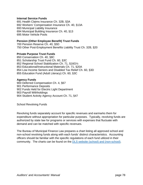#### **Internal Service Funds**

691 Health Claims Insurance Ch. 32B, §3A 692 Workers' Compensation Insurance Ch. 40, §13A 693 Municipal Liability Insurance 694 Municipal Building Insurance Ch. 40, §13 695 Motor Vehicle Pools

#### **Pension (Other Employee Benefit) Trust Funds**

700 Pension Reserve Ch. 40, §5D 750 Other Post-Employment Benefits Liability Trust Ch. 32B, §20

#### **Private Purpose Trust Funds**

850 Conservation Ch. 40, §8C 851 Scholarship Trust Fund Ch. 60, §3C 852 Regional School Stabilization Ch. 71, §16G½ 853 Educational/Instructional Materials Ch. 71, §20A 854 Low Income Seniors and Disabled Tax Relief Ch. 60, §3D 855 Education Fund (Adult Literacy) Ch. 60, §3C

#### **Agency Funds**

900 Deferred Compensation Ch. 4, §67 901 Performance Deposits 902 Funds Held for Electric Light Department 903 Payroll Withholdings 904 Student Activity Agency Account Ch. 71, §47

School Revolving Funds

Revolving funds separately account for specific revenues and earmarks them for expenditure without appropriation for particular purposes. Typically, revolving funds are authorized by state law for programs or services with expenses that fluctuate with demand and can be matched with specific revenues.

The Bureau of Municipal Finance Law prepares a chart listing all approved school and non-school revolving funds along with each funds' distinct characteristics. Accounting officers should be familiar with the specific regulations of each fund utilized in their community. The charts can be found on the DLS website (school) and (non-school).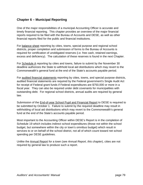# **Chapter 6 – Municipal Reporting**

One of the major responsibilities of a municipal Accounting Officer is accurate and timely financial reporting. This chapter provides an overview of the major financial reports required to be filed with the Bureau of Accounts and DESE, as well as other financial reports filed for the public and financial institutions.

For balance sheet reporting by cities, towns, special purpose and regional school districts, proper completion and submission of forms to the Bureau of Accounts is required for certification of unobligated reserves (i.e. free cash, retained earnings, excess and deficiency). The calculation of these reserves is found in the next Chapter.

For Schedule A reporting by cities and towns, failure to submit by the November 30 deadline authorizes the State to withhold local aid distributions which may revert to the Commonwealth's general fund at the end of the State's accounts payable period.

For audited financial statements reporting by cities, towns, and special purpose districts, audited financial statements are required by the Federal government's Single Audit Act for receipt of Federal grant funds if Federal expenditures are \$750,000 or more in a fiscal year. They can also be required under debt covenants for municipalities with outstanding debt. For regional school districts, annual audits are required by general law.

Submission of the **End-of-year School Pupil and Financial Report** to DESE is required to be submitted by October 1. Failure to submit by the required deadline may result in withholding of local aid distributions which may revert to the Commonwealth's general fund at the end of the State's accounts payable period.

Most important to the Accounting Officer within DESE's Report is in the completion of Schedule 19 which includes indirect school expenditures (those not within the school budget, but somewhere within the city or town's omnibus budget) which result in services to or on behalf of the school district, not all of which count toward net school spending per DESE guidelines.

Unlike the Annual Report for a town (*see Annual Report, this chapter*), cities are not required by general law to produce such a report.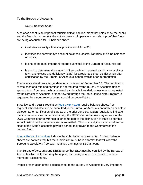# To the Bureau of Accounts

## *UMAS Balance Sheet*

A balance sheet is an important municipal financial document that helps show the public and the financial community the entity's results of operations and show proof that funds are being accounted for. A balance sheet:

- illustrates an entity's financial position as of June 30;
- identifies the community's account balances, assets, liabilities and fund balances or equity;
- is one of the most important reports submitted to the Bureau of Accounts; and
- is used to determine the amount of free cash and retained earnings for a city or town and excess and deficiency (E&D) for a regional school district which after certification by the Director of Accounts is then available for appropriation.

The balance sheet has a target date for submission of September 15. The certification of free cash and retained earnings is not required by the Bureau of Accounts unless appropriation from free cash or retained earnings is intended, unless one is requested by the Director of Accounts, or if borrowing through the State House Note Program is requested by a non-property taxing special purpose district.

State law and a DESE regulation (603 CMR 41.06) require balance sheets from regional school districts to be submitted to the Bureau of Accounts annually on or before October 31 for certification of E&D as of the prior June 30. DESE regulations indicate that if a balance sheet is not filed timely, the DESE Commissioner may request of the DOR Commissioner to withhold all or some part of the distribution of state aid for that school district until a balance sheet is submitted. This local aid, if not made before the close of the State's accounts payable period, may revert to the Commonwealth's general fund.

Annual Bureau instructions indicate the submission requirements. Audited balance sheets are not required, but the submission must be in a format that will allow the Bureau to calculate a free cash, retained earnings or E&D amount.

The Bureau of Accounts and DESE agree that E&D must be certified by the Bureau of Accounts which only then may be applied by the regional school district to reduce members' assessments.

Proper presentation of the balance sheet to the Bureau of Accounts is very important.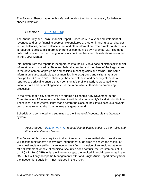The Balance Sheet chapter in this Manual details other forms necessary for balance sheet submission.

*Schedule A – (G.L. c. 44, § 43)* 

The Annual City and Town Financial Report, Schedule A, is a year-end statement of revenues and other financing sources, expenditures and other financing uses, changes in fund balances, certain balance sheet and other information. The Director of Accounts is required to collect this information from all communities by November 30. The data collected is based on fund designations, account numbers and classifications contained in the UMAS Manual.

Information from the reports is incorporated into the DLS data base of historical financial information and is used by State and federal agencies and members of the Legislature in the development of programs and policies impacting cities and towns. The same information is also available to communities, interest groups and citizens-at-large through the DLS web site. Ultimately, the completeness and accuracy of the data reported are critical to ensure that a community's profile is fairly represented when various State and Federal agencies use the information in their decision-making processes.

In the event that a city or town fails to submit a Schedule A by November 30, the Commissioner of Revenue is authorized to withhold a community's local aid distribution. These local aid payments, if not made before the close of the State's accounts payable period, may revert to the Commonwealth's general fund.

Schedule A is completed and submitted to the Bureau of Accounts via the Gateway system.

# *Audit Reports – (G.L. c. 44, § 42) (see additional details under "To the Public and Financial Institutions" below*)

The Bureau of Accounts requires final audit reports to be submitted electronically and will accept audit reports directly from independent audit firms to ensure the receipt of the actual audit as certified by an independent firm. Inclusion of an audit report in an official statement for sale of municipal securities does not fulfill the requirements of G.L. c. 44 § 42. For CAFRs only, the Bureau accepts the audited financial statements in the CAFR but will only accept the Management Letter and Single Audit Report directly from the independent audit firm if not included in the CAFR.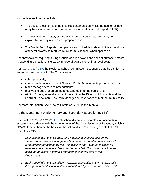A complete audit report includes:

- The auditor's opinion and the financial statements on which the auditor opined (may be included within a Comprehensive Annual Financial Report (CAFR).;
- The Management Letter, or if no Management Letter was prepared, an explanation of why one was not prepared; and
- The Single Audit Reports; the opinions and schedules related to the expenditure of federal awards as required by Uniform Guidance, when applicable.

The threshold for requiring a Single Audit for cities, towns and special purpose districts is expenditure of at least \$750,000 in Federal award money in a fiscal year.

Per G.L. c. 71, § 16A, the Regional School Committee must ensure that the district has an annual financial audit. The Committee must:

- solicit proposals;
- contract with an independent Certified Public Accountant to perform the audit;
- make management recommendations;
- receive the audit report during a meeting open to the public; and
- within 10 days, forward a copy of the audit to the Director of Accounts and the Board of Selectmen, City/Town Manager or Mayor of each member municipality.

For more information, see "How to Obtain an Audit" in this Manual.

To the Department of Elementary and Secondary Education (DESE)

Pursuant to *603 CMR 10.03(3)*, each school district must maintain an accounting system in accordance with the requirements of the Commissioner of Revenue, which is UMAS. It must then be the basis for the school district's reporting of data to DESE. From the CMR:

*Each school district shall adopt and maintain a financial accounting system, in accordance with generally accepted accounting principles and requirements prescribed by the Commissioner of Revenue, in which all revenue and expenditure data shall be recorded. This system shall be the basis for the district's periodic reporting of financial data to the Department.* 

*a) Each school district shall utilize a financial accounting system that permits the reporting of all school district expenditures by fund source, object, and*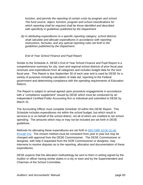*function, and permits the reporting of certain costs by program and school. The fund source, object, function, program and school classifications for which reporting shall be required shall be those identified and described with specificity in guidelines published by the Department* 

*(b) In attributing expenditures to a specific reporting category, school districts shall calculate and allocate expenditures in accordance with reporting instructions, formulas, and any special reporting rules set forth in the guidelines published by the Department.* 

# *End of Year School Finance and Pupil Report*

Similar to the Schedule A, DESE's End of Year School Finance and Pupil Report is a comprehensive summary for city, town and regional school districts of prior fiscal year revenues and expenditures from all categories and includes budget data for the next fiscal year. This Report is due September 30 of each year and is used by DESE for a variety of purposes including calculation of state aid, reporting to the Federal government and determining compliance with the spending requirements of Education Reform.

The Report is subject to annual agreed upon procedure engagements in accordance with a "compliance supplement" issued by DESE which must be conducted by an independent Certified Public Accounting firm or individual and submitted to DESE by March 31.

The Accounting Officer must complete Schedule 19 within this DESE Report. This Schedule includes expenditures not within the school budget, but which result in services to or on behalf of the school district, not all of which are credited to net school spending. The amounts which may or may not be included are set forth in DESE guidelines.

Methods for allocating these expenditures are set forth in 603 CMR 10.04 (1) (a) through  $(m)$ . The chosen method must be consistent from year to year but may be changed with approval from the DESE Commissioner. The DESE Commissioner or designee, with help if requested from the DOR Commissioner or designee, may intervene to resolve disputes as to the reporting, allocation and documentation of these expenditures.

DESE expects that the allocation methodology be sent to them in writing signed by the Auditor or officer having similar duties in a city or town and by the Superintendent and Chairman of the School Committee.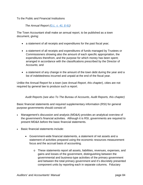To the Public and Financial Institutions

*The Annual Report (G.L. c. 41, § 61)* 

The Town Accountant shall make an annual report, to be published as a town document, giving:

- a statement of all receipts and expenditures for the past fiscal year;
- a statement of all receipts and expenditures of funds managed by Trustees or Commissioners showing also the amount of each specific appropriation, the expenditures therefrom, and the purpose for which money has been spent; arranged in accordance with the classifications prescribed by the Director of Accounts; and
- a statement of any change in the amount of the town debt during the year and a list of indebtedness incurred and unpaid at the end of the fiscal year.

Unlike the Annual Report for a town (*see Annual Report, this chapter*), cities are not required by general law to produce such a report.

*Audit Reports (see also To The Bureau of Accounts, Audit Reports, this chapter)* 

Basic financial statements and required supplementary information (RSI) for general purpose governments should consist of:

- Management's discussion and analysis (MD&A) provides an analytical overview of the government's financial activities. Although it is RSI, governments are required to present MD&A before the basic financial statements.
- Basic financial statements include:
	- Government-wide financial statements, a statement of net assets and a statement of activities prepared using the economic resources measurement focus and the accrual basis of accounting.
		- o These statements report all assets, liabilities, revenues, expenses, and gains and losses of the government, distinguishing between the governmental and business-type activities of the primary government and between the total primary government and it's discretely presented component units by reporting each in separate columns. Fiduciary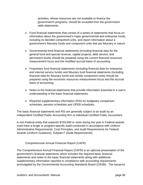activities, whose resources are not available to finance the government's programs, should be excluded from the governmentwide statements.

- Fund financial statements that consist of a series of statements that focus on information about the government's major governmental and enterprise funds, including its blended component units, and report information about a government's fiduciary funds and component units that are fiduciary in nature.
- Governmental fund financial statements (including financial data for the general fund and special revenue, capital projects, debt service, and permanent funds) should be prepared using the current financial resources measurement focus and the modified accrual basis of accounting.
- Proprietary fund financial statements (including financial data for enterprise and internal service funds) and fiduciary fund financial statements (including financial data for fiduciary funds and similar component units) should be prepared using the economic resources measurement focus and the accrual basis of accounting.
- Notes to the financial statements that provide information essential to a user's understanding of the basic financial statements.
- Required supplementary information (RSI) for budgetary comparison schedules, pension schedules and OPEB schedules.

The basic financial statements and RSI are generally subject to an audit by an independent Certified Public Accounting firm or individual Certified Public Accountant.

A non-Federal entity that expends \$750,000 or more during the year in Federal awards must have a single or program-specific audit conducted in accordance with Uniform Administrative Requirements, Cost Principles, and Audit Requirements for Federal Awards (Uniform Guidance), Subpart F (Audit Requirements)

# *Comprehensive Annual Financial Report (CAFR)*

The Comprehensive Annual Financial Report (CAFR) is an optional presentation of the government's financial statements which includes the required basic financial statements and notes to the basic financial statements along with additional supplementary information reported in compliance with accounting requirements promulgated by the Governmental Accounting Standards Board (GASB). The issuance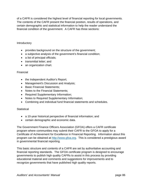of a CAFR is considered the highest level of financial reporting for local governments. The contents of the CAFR present the financial position, results of operations, and certain demographic and statistical information to help the reader understand the financial condition of the government. A CAFR has three sections:

## **Introductory**

- provides background on the structure of the government;
- a subjective analysis of the government's financial condition;
- a list of principal officials;
- transmittal letter; and
- an organization chart.

### Financial

- the Independent Auditor's Report;
- Management's Discussion and Analysis;
- Basic Financial Statements:
- Notes to the Financial Statements;
- Required Supplementary Information;
- Notes to Required Supplementary Information;
- Combining and individual fund financial statements and schedules.

#### **Statistical**

- a 10-year historical perspective of financial information; and
- certain demographic and economic data.

The Government Finance Officers Association (GFOA) offers a CAFR certificate program where communities may submit their CAFR to the GFOA to apply for a Certificate of Achievement for Excellence in Financial Reporting. Information about this program can be obtained at http://www.gfoa.org. This is considered a prestigious award in governmental financial reporting.

This basic structure and contents of a CAFR are set by authoritative accounting and financial reporting standards. The GFOA certificate program is designed to encourage governments to publish high quality CAFRs to assist in this process by providing educational material and comments and suggestions for improvements and to recognize governments that have published high quality reports.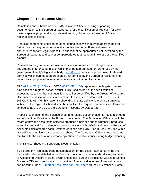# **Chapter 7 – The Balance Sheet**

Completion and submission of a UMAS Balance Sheet including supporting documentation to the Bureau of Accounts is for the certification of free cash for a city, town or special purpose district, retained earnings for a city or town and E&D for a regional school district.

Free cash represents unobligated general fund cash which may be appropriated for further use by the governmental entity's legislative body. Free cash may be appropriated for any legal expenditure but cannot be appropriated until certified by the Bureau of Accounts and cannot be appropriated to an amount in excess of the certified amount.

Retained earnings of an enterprise fund is similar to free cash but represents unobligated enterprise fund cash which may be appropriated for further use by the governmental entity's legislative body. IGR 08-101 details the proper use of retained earnings which cannot be appropriated until certified by the Bureau of Accounts and cannot be appropriated to an amount in excess of the certified amount.

E&D (G.L. c. 71, § 16B½ and DESE 603 CMR 41.06) represents unobligated general fund cash of a regional school district. E&D used as part of the certification of assessments to member communities must first be certified by the Director of Accounts. Use prior to certification or in excess of certification is considered defective. Per DESE 603 CMR 41.06, monthly regional school district state aid in whole or in part may be withheld if the regional school district has not filed the required balance sheet forms and schedules as of June 30 to the Bureau of Accounts by October 31.

Proper presentation of the balance sheet and related documentation is key to a smooth and efficient certification by the Bureau of Accounts. The Accounting Officer should be aware of how the accounting software produces a balance sheet, whether it produces asset, liability and fund balance accounts consistent with UMAS, and how the Bureau of Accounts calculates free cash, retained earnings and E&D. The Bureau includes within its certification notice a calculation worksheet. The Accounting Officer should become familiar with the calculation methodology should questions arise during budget planning.

The Balance Sheet and Supporting Documentation

To be properly filed, supporting documentation for free cash, retained earnings and E&D certification is detailed in the Director of Accounts' annual end-of-fiscal-year letter to Accounting Officers in cities, towns and special purpose districts as well as to School Business Officers in regional school districts. The annual letter and form instructions can be found under Bureau of Accounts/Year End Letters on the DLS website. Some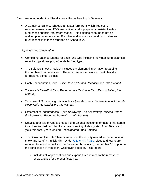forms are found under the Miscellaneous Forms heading in Gateway.

 A Combined Balance Sheet is a master form from which free cash, retained earnings and E&D are certified and is prepared consistent with a fund based financial statement model. This balance sheet need not be audited prior to submission. For cities and towns, cash and fund balances must reconcile to those reported on Schedule A.

# *Supporting documentation*

- Combining Balance Sheets for each fund type including individual fund balances reflect a logical grouping of funds by fund type.
- The Balance Sheet Checklist includes supplemental information regarding the combined balance sheet. There is a separate balance sheet checklist for regional school districts.
- Cash Reconciliation Form (*see Cash and Cash Reconciliation, this Manual*)
- Treasurer's Year-End Cash Report (*see Cash and Cash Reconciliation, this Manual*)
- Schedule of Outstanding Receivables (*see Accounts Receivable and Accounts Receivable Reconciliation, this Manual*)
- Statement of Indebtedness (*see Borrowing, The Accounting Officer's Role in the Borrowing, Reporting Borrowings, this Manual*)
- Detailed analysis of Undesignated Fund Balance accounts for factors that added to and subtracted from last fiscal year's ending Undesignated Fund Balance to yield this fiscal year's ending Undesignated Fund Balance*.*
- The Snow and Ice Data Sheet summarizes the activity related to the removal of snow and ice of a municipality. Under  $G.L. c. 44, \S 31D$ , cities and towns are required to report annually to the Bureau of Accounts by September 15 or prior to the certification of free cash, whichever is earlier. This report:
	- includes all appropriations and expenditures related to the removal of snow and ice for the prior fiscal year;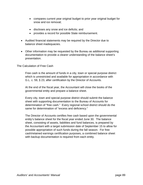- compares current year original budget to prior year original budget for snow and ice removal;
- discloses any snow and ice deficits; and
- provides a record for possible State reimbursement.
- Audited financial statements may be required by the Director due to balance sheet inadequacies.
- Other information may be requested by the Bureau as additional supporting documentation to provide a clearer understanding of the balance sheet's presentation.

The Calculation of Free Cash

Free cash is the amount of funds in a city, town or special purpose district which is unrestricted and available for appropriation in accordance with G.L. c. 59, § 23, after certification by the Director of Accounts.

At the end of the fiscal year, the Accountant will close the books of the governmental entity and prepare a balance sheet.

Every city, town and special purpose district should submit the balance sheet with supporting documentation to the Bureau of Accounts for determination of "free cash." Every regional school district should do the same for determination of "excess and deficiency."

The Director of Accounts certifies free cash based upon the governmental entity's balance sheet for the fiscal year ended June 30. The balance sheet, consisting of assets, liabilities and fund balances, is prepared by the Accountant with a target submission date of September 15 to allow for possible appropriation of such funds during the fall season. For free cash/retained earnings certification purposes, a combined balance sheet with backup documentation is required from each entity.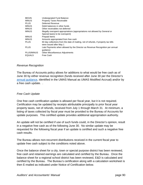| <b>BEGIN</b>  | Undesignated Fund Balance                                                          |
|---------------|------------------------------------------------------------------------------------|
| <b>MINUS</b>  | <b>Property Taxes Receivable</b>                                                   |
| <b>PLUS</b>   | Deferred Revenue                                                                   |
| <b>MINUS</b>  | Debit balances in other funds                                                      |
| <b>MINUS</b>  | Other receivables not deferred                                                     |
| <b>MINUS</b>  | Illegally overspent appropriations (appropriations not allowed by General or       |
|               | Special law(s) to be overspent)                                                    |
| <b>MINUS</b>  | <b>Prepaid Items</b>                                                               |
| <b>MINUS</b>  | Amounts appropriated from free cash                                                |
| <b>PLUS</b>   | 60 day collections from the date of mailing, net of refunds, if property tax bills |
|               | were issued after May 1                                                            |
| <b>PLUS</b>   | Late Payments when allowed by the Director as Revenue Recognition per annual       |
|               | quidance                                                                           |
| PLUS/MINUS    | <b>Other Miscellaneous Adjustments</b>                                             |
| <b>EQUALS</b> | Free Cash                                                                          |

#### *Revenue Recognition*

The Bureau of Accounts policy allows for additions to what would be free cash as of June 30 by either revenue recognition (funds received after June 30 per the Director's annual guidance, identified in the UMAS Manual as UMAS Modified Accrual) and/or by a free cash update. .

## *Free Cash Update*

One free cash certification update is allowed per fiscal year, but it is not required. Certification may be updated by receipts attributable principally to prior fiscal year property taxes, net of refunds, received from July 1 through March 31. At minimum, a listing of taxes collected by fiscal year must be provided to the Bureau of Accounts for update purposes. This certified update provides additional appropriation authority.

An update will not be certified if use of such funds could, in the Director's opinion, result in a negative free cash as of the following June 30. No similar update may be requested for the following fiscal year if an update is certified and such a negative free cash results.

The Bureau allows non-recurrent distributions received in the current fiscal year to update free cash subject to the conditions noted above.

Once the balance sheet for a city, town or special purpose district has been reviewed, free cash and retained earnings are calculated and certified by the Bureau. Once the balance sheet for a regional school district has been reviewed, E&D is calculated and certified by the Bureau. The Bureau's certification along with a calculation worksheet is then E-mailed as indicated under Notice of Certification below.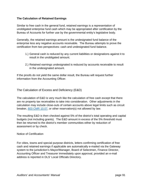# **The Calculation of Retained Earnings**

Similar to free cash in the general fund, retained earnings is a representation of unobligated enterprise fund cash which may be appropriated after certification by the Bureau of Accounts for further use by the governmental entity's legislative body.

Generally, the retained earnings amount is the undesignated fund balance of the enterprise less any negative accounts receivable. The Bureau attempts to prove the certification from two perspectives: cash and undesignated fund balance.

- 1.) General cash is reduced by any current liabilities or designations against it to result in the unobligated amount.
- 2.) Retained earnings undesignated is reduced by accounts receivable to result in the undesignated amount.

If the proofs do not yield the same dollar result, the Bureau will request further information from the Accounting Officer.

The Calculation of Excess and Deficiency (E&D)

The calculation of E&D is very much like the calculation of free cash except that there are no property tax receivables to take into consideration. Other adjustments in the calculation may include close-outs of certain accounts above legal limits such as circuit breaker, 603 CMR 10.07, or other reservation(s) not allowed by law.

The resulting E&D is then checked against 5% of the district's total operating and capital budgets (not including grants). The E&D amount in excess of the 5% threshold must then be returned to the district's member communities either by reduction of assessment or by check.

Notice of Certification

For cities, towns and special purpose districts, letters confirming certification of free cash and retained earnings if applicable are automatically e-mailed via the Gateway system to the jurisdiction's Mayor/Manager, Board of Selectmen, Finance Director, Accounting Officer and Treasurer immediately upon approval, provided an e-mail address is reported in DLS' Local Officials Directory.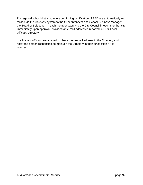For regional school districts, letters confirming certification of E&D are automatically emailed via the Gateway system to the Superintendent and School Business Manager, the Board of Selectmen in each member town and the City Council in each member city immediately upon approval, provided an e-mail address is reported in DLS' Local Officials Directory.

In all cases, officials are advised to check their e-mail address in the Directory and notify the person responsible to maintain the Directory in their jurisdiction if it is incorrect.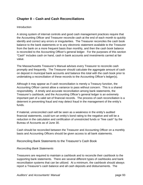# **Chapter 8 – Cash and Cash Reconciliations**

### Introduction

A strong system of internal controls and good cash management practices require that the Accounting Officer and Treasurer reconcile cash at the end of each month to quickly identify and correct any errors or irregularities. The Treasurer reconciles the cash book balance to the bank statements or to any electronic statement available to the Treasurer from the bank on a more frequent basis than monthly, and then the cash book balance is reconciled to the Accounting Officer's general ledger. For the purposes of this section "Cash" includes cash on hand, cash in bank accounts and investments carried at fair value.

The Massachusetts Treasurer's Manual advises every Treasurer to reconcile cash promptly and frequently. The Treasurer should calculate the aggregate amount of cash on deposit in municipal bank accounts and balance this total with the cash book prior to undertaking a reconciliation of these records to the Accounting Officer's ledger(s).

Although it may appear as if cash reconciliation is merely a Treasury function, the Accounting Officer cannot allow a variance to pass without concern. This is a shared responsibility. A timely and accurate reconciliation among bank statements, the Treasurer's cashbook, and the Accounting Officer's general ledger is an extremely important part of a valid set of financial records. The process of cash reconciliation is a deterrent in preventing fraud and may detect fraud in the management of the entity's funds.

If material, unreconciled cash will be seen as a weakness in the entity's audited financial statements, could turn an entity's bond rating to the negative and will be a reduction in the calculation and certification of unrestricted funds or "free cash" by the Bureau of Accounts as of June 30.

Cash should be reconciled between the Treasurer and Accounting Officer on a monthly basis and Accounting Officers should be given access to all bank statements.

Reconciling Bank Statements to the Treasurer's Cash Book

#### *Reconciling Bank Statements*

Treasurers are required to maintain a cashbook and to reconcile their cashbook to the supporting bank statements. There are several different types of cashbooks and bank reconciliation systems that can be utilized. At a minimum, the cashbook should always report a Treasurer's cash balance and all cash deposits and disbursements. The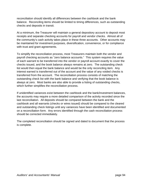reconciliation should identify all differences between the cashbook and the bank balance. Reconciling items should be limited to timing differences, such as outstanding checks and deposits in transit.

At a minimum, the Treasurer will maintain a general depository account to deposit most receipts and separate checking accounts for payroll and vendor checks. Almost all of the community's cash activity takes place in these three accounts. Other accounts may be maintained for investment purposes, diversification, convenience, or for compliance with trust and grant agreements.

To simplify the reconciliation process, most Treasurers maintain both the vendor and payroll checking accounts as "zero balance accounts." This system requires the value of each warrant to be transferred into the vendor or payroll account exactly to cover the checks issued, and the book balance always remains at zero. The outstanding check list would then equal the bank balance and would be the only reconciling item. Any interest earned is transferred out of the account and the value of any voided checks is transferred from the account. The reconciliation process consists of matching the outstanding check list with the bank balance and verifying that the book balance is always at zero. Most banks are also able to provide a listing of outstanding checks, which further simplifies the reconciliation process.

If unidentified variances exist between the cashbook and the bank/investment balances, the accounts may require a more detailed comparison of the activity recorded since the last reconciliation. All deposits should be compared between the bank and the cashbook and all warrants (checks or wires issued) should be compared to the cleared and outstanding check listings until any variances have been identified and documented on a reconciliation form. Any errors identified through the cash reconciliation process should be corrected immediately.

The completed reconciliation should be signed and dated to document that the process is complete.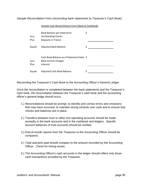*Sample Reconciliation Form (reconciling bank statements to Treasurer's Cash Book)* 

|              | <u>sample cash neconcination i onli joanii to cashboonj</u>                          |    |  |
|--------------|--------------------------------------------------------------------------------------|----|--|
| Less<br>Plus | Bank Balance per Statement<br><b>Outstanding Checks</b><br>Deposits in Transit       | \$ |  |
| Equals       | <b>Adjusted Bank Balance</b>                                                         | \$ |  |
| Less<br>Plus | Cash Book Balance as of Statement Date \$<br><b>Bank Service Charges</b><br>Interest |    |  |
| Equals       | Adjusted Cash Book Balance                                                           | \$ |  |

Sample Cash Reconciliation Form (Bank to Cashbook)

Reconciling the Treasurer's Cash Book to the Accounting Officer's General Ledger

Once the reconciliation is completed between the bank statements and the Treasurer's cash book, the reconciliation between the Treasurer's cash book and the accounting officer's general ledge should occur.

- 1.) Reconciliations should be prompt, to identify and correct errors and omissions that may have occurred, to maintain strong controls over cash and to ensure that checks and balances are in place.
- 2.) Transfers between trust or other non-operating accounts should be made promptly in the bank accounts and in the cashbook and ledgers. Specific account balances of trust accounts should be verified.
- 3.) End-of-month reports from the Treasurer to the Accounting Officer should be compared.
- 4.) Total warrants paid should compare to the amount recorded by the Accounting Officer. Check for timing issues.
- 5.) The Accounting Officer's cash accounts in the ledger should reflect only those cash transactions provided by the Treasurer.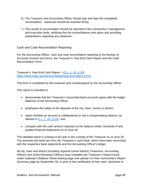- 6.) The Treasurer and Accounting Officer should sign and date the completed reconciliation. Variances should be resolved timely.
- 7.) The results of reconciliation should be reported to the community's management and executive body, verifying that the reconciliations took place and providing explanations regarding any variances.

Cash and Cash Reconciliation Reporting

For the Accounting Officer, cash and cash reconciliation reporting to the Bureau of Accounts involves two forms, the Treasurer's Year-End Cash Report and the Cash Reconciliation Form:

*Treasurer's Year-End Cash Report – (G.L. c. 41, § 50)*  https://www.mass.gov/service-details/year-end-letters-forms

This form is completed by the treasurer and countersigned by the Accounting Officer.

This report is intended to:

- demonstrate that the Treasurer's reconciled bank accounts agree with the ledger balances of the Accounting Officer;
- emphasize the safety of the deposits of the city, town, county or district;
- report whether an account is collateralized or has a compensating balance, as defined in G.L. c. 44, § 53F; and
- compare with the cash amount reported on the balance sheet, Schedule A and audited financial statements as of June 30.

This detailed report is a listing of all cash in the custody of the Treasurer as of June 30. The amounts are listed are from the Treasurer's cash book, which have been reconciled with the respective bank statements and the Accounting Officer's ledger.

All city, town and district (including regional school district) Treasurers, Accounting Officers and School Business Officers must complete the Treasurer's Report found under Gateway's Balance Sheet landing page and upload it to their community's Report Summary page by September 30, or prior to the certification of free cash, whichever is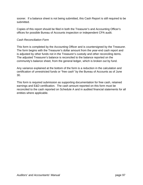sooner. If a balance sheet is not being submitted, this Cash Report is still required to be submitted.

Copies of this report should be filed in both the Treasurer's and Accounting Officer's offices for possible Bureau of Accounts inspection or independent CPA audit.

## *Cash Reconciliation Form*

This form is completed by the Accounting Officer and is countersigned by the Treasurer. The form begins with the Treasurer's dollar amount from the year-end cash report and is adjusted by other funds not in the Treasurer's custody and other reconciling items. The adjusted Treasurer's balance is reconciled to the balance reported on the community's balance sheet, from the general ledger, which is broken out by fund.

Any variance explained at the bottom of the form is a reduction in the calculation and certification of unrestricted funds or "free cash" by the Bureau of Accounts as of June 30.

This form is required submission as supporting documentation for free cash, retained earnings and E&D certification. The cash amount reported on this form must be reconciled to the cash reported on Schedule A and in audited financial statements for all entities where applicable.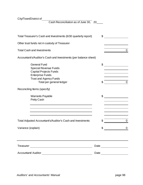City/Town/District of

Cash Reconciliation as of June 30, 20

| Total Treasurer's Cash and Investments (6/30 quarterly report)                                                                                                               | \$                      |
|------------------------------------------------------------------------------------------------------------------------------------------------------------------------------|-------------------------|
| Other trust funds not in custody of Treasurer                                                                                                                                |                         |
| <b>Total Cash and Investments</b>                                                                                                                                            | $\overline{0}$          |
| Accountant's/Auditor's Cash and Investments (per balance sheet)                                                                                                              |                         |
| <b>General Fund</b><br><b>Special Revenue Funds</b><br><b>Capital Projects Funds</b><br><b>Enterprise Funds</b><br><b>Trust and Agency Funds</b><br>Total per general ledger | \$<br>\$<br>$\mathbf 0$ |
| Reconciling Items (specify)                                                                                                                                                  |                         |
| <b>Warrants Payable</b><br>Petty Cash                                                                                                                                        | \$                      |
| Total Adjusted Accountant's/Auditor's Cash and Investments                                                                                                                   | $\Omega$<br>S           |
| Variance (explain)                                                                                                                                                           | $\overline{0}$          |
| <b>Treasurer</b><br><u> 1989 - John Stein, Amerikaansk politiker (</u>                                                                                                       |                         |
| <b>Accountant/ Auditor</b>                                                                                                                                                   | Date                    |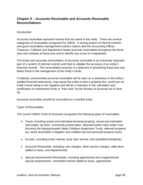# **Chapter 9 – Accounts Receivable and Accounts Receivable Reconciliations**

#### **Introduction**

Accounts receivable represent monies that are owed to the entity. There are several categories of receivables recognized by UMAS. A strong system of internal controls and good receivables management practice require that the Accounting Officer, Treasurer, Collector and department heads reconcile receivables throughout the fiscal year and certainly at fiscal year-end to identify any errors or irregularities.

The timely and accurate reconciliation of accounts receivable is an extremely important part of a system of internal controls and help to validate the accuracy of an entity's financial records. The reconciliation process is a deterrent in preventing fraud and may detect fraud in the management of the entity's funds.

If material, unreconciled accounts receivable will be seen as a weakness in the entity's audited financial statements, may cause the entity to lose a property lien, could turn an entity's bond rating to the negative and will be a reduction in the calculation and certification of unrestricted funds or "free cash" by the Bureau of Accounts as of June 30.

Accounts receivable should be reconciled on a monthly basis.

#### Types of Receivables

The current UMAS Chart of Accounts recognizes the following types of receivables:

- Taxes, including actual and estimated personal property, actual and estimated real estate, tax liens, community preservation, Massachusetts clean water trust (formerly the Massachusetts Water Pollution Abatement Trust), deferred property tax, taxes receivable in litigation and unbilled real and personal property taxes;
- Excises, including motor vehicle, boat, farm animal, and classified forestlands;
- Accounts Receivable, including user charges, other service charges, utility liens added to taxes, and departmental;
- Special Assessments Receivable, including apportioned and unapportioned special assessments, committed interest added to taxes, apportioned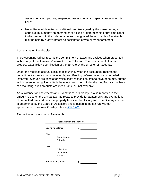assessments not yet due, suspended assessments and special assessment tax liens;

• Notes Receivable – An unconditional promise signed by the maker to pay a certain sum in money on demand or at a fixed or determinable future time either to the bearer or to the order of a person designated therein. Notes Receivable may be held by a government as designated payee or by endorsement.

## Accounting for Receivables

The Accounting Officer records the commitment of taxes and excises when presented with a copy of the Assessors' warrant to the Collector. The commitment of actual property taxes follows certification of the tax rate by the Director of Accounts.

Under the modified accrual basis of accounting, when the accountant records the commitment as an accounts receivable, an offsetting deferred revenue is recorded. Deferred revenues are assets for which asset recognition criteria have been met, but for which revenue recognition criteria have not been met. Under the modified accrual basis of accounting, such amounts are measurable but not available.

An Allowance for Abatements and Exemptions, or Overlay, is also recorded in the amount raised on the annual tax rate recap to provide for abatements and exemptions of committed real and personal property taxes for that fiscal year. The Overlay amount is determined by the Board of Assessors and is raised in the tax rate without appropriation. See new Overlay rules in IGR 17-23.

| <b>Reconciliation of Receivables</b> |                                        |   |  |  |
|--------------------------------------|----------------------------------------|---|--|--|
| Beginning Balance                    |                                        | Ś |  |  |
| Plus:                                | Commitments<br>Refunds                 |   |  |  |
| Less:                                | Collections<br>Abatements<br>Transfers |   |  |  |
| <b>Equals Ending Balance</b>         |                                        |   |  |  |

Reconciliation of Accounts Receivable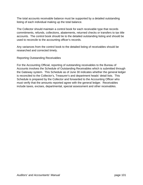The total accounts receivable balance must be supported by a detailed outstanding listing of each individual making up the total balance.

The Collector should maintain a control book for each receivable type that records commitments, refunds, collections, abatements, returned checks or transfers to tax title accounts. The control book should tie to the detailed outstanding listing and should be used to reconcile to the accounting officer's records.

Any variances from the control book to the detailed listing of receivables should be researched and corrected timely.

Reporting Outstanding Receivables

For the Accounting Official, reporting of outstanding receivables to the Bureau of Accounts involves the Schedule of Outstanding Receivables which is submitted through the Gateway system. This Schedule as of June 30 indicates whether the general ledger is reconciled to the Collector's, Treasurer's and department heads' detail lists. This Schedule is prepared by the Collector and forwarded to the Accounting Officer who must verify that the amounts reported agree with the general ledger. Receivables include taxes, excises, departmental, special assessment and other receivables.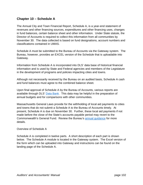# **Chapter 10 – Schedule A**

The Annual City and Town Financial Report, Schedule A, is a year-end statement of revenues and other financing sources, expenditures and other financing uses, changes in fund balances, certain balance sheet and other information. Under State statute, the Director of Accounts is required to collect this information from all communities by November 30. The data collected is based on fund designations, account numbers and classifications contained in UMAS.

Schedule A must be submitted to the Bureau of Accounts via the Gateway system. The Bureau, however, provides an EXCEL version of the Schedule that is uploadable into Gateway.

Information from Schedule A is incorporated into DLS' data base of historical financial information and is used by State and Federal agencies and members of the Legislature in the development of programs and policies impacting cities and towns.

Although not necessarily received by the Bureau on an audited basis, Schedule A cash and fund balances must agree to the combined balance sheet.

Upon final approval of Schedule A by the Bureau of Accounts, various reports are available through DLS' Data Bank.This data may be helpful in the preparation of annual budgets and for comparisons with other communities.

Massachusetts General Laws provide for the withholding of local aid payments to cities and towns that do not submit a Schedule A to the Bureau of Accounts timely. At present, Schedule A is due on November 30. Further, these local aid payments if not made before the close of the State's accounts payable period may revert to the Commonwealth's General Fund. Review the Bureau's annual guidance for more details.

### Overview of Schedule A

Schedule A is completed in twelve parts. A short description of each part is shown below. The Schedule A module is located in the Gateway system. The Excel version of the form which can be uploaded into Gateway and instructions can be found on the landing page of the Schedule A.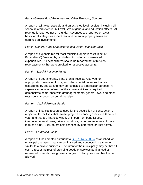## *Part I - General Fund Revenues and Other Financing Sources*

A report of all taxes, state aid and unrestricted local receipts, including all school related revenue, but exclusive of general and education offsets. All revenue is reported net of refunds. Revenues are reported on a cash basis for all categories except real and personal property taxes and earnings on investments.

## *Part II - General Fund Expenditures and Other Financing Uses*

A report of expenditures for most municipal operations ("Object of Expenditure") financed by tax dollars, including school-related expenditures. All expenditures should be reported net of refunds (overpayments) that were credited to respective accounts.

## *Part III – Special Revenue Funds*

A report of Federal grants, State grants, receipts reserved for appropriation, revolving funds, and other special revenues that are established by statute and may be restricted to a particular purpose. A separate accounting of each of the above activities is required to demonstrate compliance with grant agreements, general laws, and other restrictions imposed on certain receipts.

### *Part IV – Capital Projects Funds*

A report of financial resources used for the acquisition or construction of major capital facilities, that involve projects extending over more than one year, and that are financed wholly or in part from bond issues, intergovernmental loans, private donations, or current revenues of more than one fund. Exclude projects financed by enterprise or trust activity.

### *Part V – Enterprise Funds*

A report of funds created pursuant to G.L. c. 44,  $\S$  53F $\frac{1}{2}$  established for municipal operations that can be financed and conducted in a manner similar to a private business. The intent of the municipality may be that all cost, direct or indirect, of providing goods or services be financed or recovered primarily through user charges. Subsidy from another fund is allowed.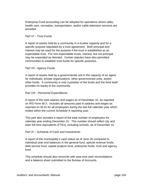Enterprise Fund accounting can be adopted for operations where utility, health care, recreation, transportation, and/or cable television services are provided.

### *Part VI – Trust Funds*

A report of assets held by a community in a trustee capacity and for a specific purpose stipulated by a trust agreement. Both principal and interest may be used for the purpose if the trust is established as an expendable trust. For non-expendable trusts, interest, but not principal may be expended as directed. Certain statutes have also permitted communities to establish trust funds for specific purposes.

## *Part VII - Agency Funds*

A report of assets held by a governmental unit in the capacity of an agent for individuals, private organizations, other governmental units, and/or other funds. A community is only custodian of the funds and the fund itself provides no equity to the community.

### *Part VIII - Personnel Expenditures*

A report of the total salaries and wages as of December 31, as reported on IRS Form W-2: Includes all amounts paid in salaries and wages as reported on W-2s for all employees during the last full calendar year which ended within the current Schedule A reporting year.

This part also includes a report of the total number of employees for calendar year ending December 31: This number should reflect city and town full time equivalents (FTEs), including schools, as of December 31.

### *Part IX – Schedule of Cash and Investments*

A report of the municipality's cash status as of June 30 compared to individual year-end balances in the general fund, special revenue funds, debt service fund, capital projects fund, enterprise funds, trust and agency fund.

This schedule should also reconcile with year-end cash reconciliations and a balance sheet submitted to the Bureau of Accounts.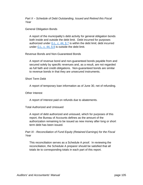*Part X – Schedule of Debt Outstanding, Issued and Retired this Fiscal Year* 

General Obligation Bonds

A report of the municipality's debt activity for general obligation bonds both inside and outside the debt limit. Debt incurred for purposes authorized under  $G.L. c. 44, § 7$  is within the debt limit; debt incurred under  $G.L. c. 44, § 8$  is outside the debt limit.

Revenue Bonds and Non-Guaranteed Bonds

A report of revenue bond and non-guaranteed bonds payable from and secured solely by specific revenues and, as a result, are not regarded as full faith and credit obligations. Non-guaranteed bonds are similar to revenue bonds in that they are unsecured instruments.

Short Term Debt

A report of temporary loan information as of June 30, net of refunding.

Other Interest

A report of Interest paid on refunds due to abatements.

Total Authorized and Unissued

A report of debt authorized and unissued, which for purposes of this report, the Bureau of Accounts defines as the amount of the authorization remaining to be issued as new money after long or short term debt has been issued.

*Part XI - Reconciliation of Fund Equity (Retained Earnings) for the Fiscal Year* 

This reconciliation serves as a Schedule A proof. In reviewing the reconciliation, the Schedule A preparer should be satisfied that all totals tie to corresponding totals in each part of this report.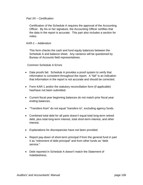### *Part XII – Certification*

Certification of the Schedule A requires the approval of the Accounting Officer. By his or her signature, the Accounting Officer certifies that the data in the report is accurate. This part also includes a section for notes.

### *KAR-1 – Addendum*

This form checks the cash and fund equity balances between the Schedule A and balance sheet. Any variance will be questioned by Bureau of Accounts field representatives.

Common Schedule A Errors

- Data proofs fail. Schedule A provides a proof system to verify that information is consistent throughout the report. A "fail" is an indication that information in the report is not accurate and should be corrected.
- Form KAR-1 and/or the statutory reconciliation form (if applicable) has/have not been submitted.
- Current fiscal year beginning balances do not match prior fiscal year ending balances.
- "Transfers from" do not equal "transfers to", excluding agency funds.
- Combined total debt for all parts doesn't equal total long-term retired debt, plus total long-term interest, total short-term interest, and other interest.
- Explanations for discrepancies have not been provided.
- Report pay-down of short-term principal if from the general fund in part II as "retirement of debt principal" and from other funds as "debt service."
- Debt reported in Schedule A doesn't match the Statement of Indebtedness.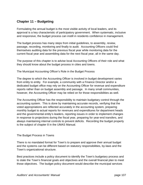# **Chapter 11 – Budgeting**

Formulating the annual budget is the most visible activity of local leaders, and its approval is a key characteristic of participatory government. When systematic, inclusive and responsive, the budget process can instill in residents confidence in management.

The budget process has many steps from initial guidelines, to assembly, review, passage, recording, monitoring and finally to audit. Accounting Officers could find themselves auditing data for the previous fiscal year while monitoring data for the current fiscal year and assembling data for the next fiscal year, all in the same day.

The purpose of this chapter is to advise local Accounting Officers of their role and what they should know about the budget process in cities and towns.

The Municipal Accounting Officer's Role in the Budget Process

The degree to which the Accounting Officer is involved in budget development varies from entity to entity. For example, a community with a Finance Director and/or a dedicated budget office may rely on the Accounting Officer for revenue and expenditure reports rather than on budget assembly and passage. In many small communities, however, the Accounting Officer may be relied on for those responsibilities as well.

The Accounting Officer has the responsibility to maintain budgetary control through the accounting system. This is done by maintaining accurate records, verifying that the voted appropriations are reflected accurately in the accounting system, preparing monthly budget to actual reports for revenues and expenditures for department heads and the governmental entity's leaders, reporting issues in order to implement changes in response to projections during the fiscal year, preparing for year-end transfers, and always maintaining internal controls to prevent deficits. Recording the budget properly is the subject of chapter 8 in the UMAS Manual.

## The Budget Process in Towns

There is no mandated format for Town's to prepare and approve their annual budget and the systems can be different based on statutory responsibilities, by-laws and the Town's organizational structure.

Best practices include a policy document to identify the Town's budgetary process and to state the Town's financial goals and objectives and the overall financial plan to meet those objectives. The budget policy document would describe the municipal services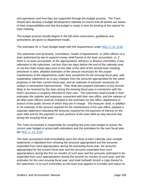and operations and how they are supported through the budget process. The Town should also develop a budget development calendar to ensure that all parties are aware of their responsibilities and that the budget is ready in time for printing of the reports for town meeting.

The budget process tyically begins in the fall when instructions, guidelines and worksheets are given to department heads.

The estimates for a Town Budget begin with the requirements under MGL C. 41, § 59:

*The selectmen and all boards, committees, heads of departments, or other officers of a town authorized by law to expend money shall furnish to the town accountant, or, if there is no town accountant, to the appropriation, advisory or finance committee, if any, otherwise to the selectmen, not less than ten days before the end of the calendar year, or not less than ninety days prior to the date of the start of the annual town meeting, whichever is later, detailed estimates of the amount necessary for the proper maintenance of the departments under their jurisdiction for the ensuing fiscal year, with explanatory statements as to any changes from the amounts appropriated for the same purposes in the then current fiscal year, and an estimate of amounts necessary for outlays or permanent improvements. They shall also prepare estimates of any income likely to be received by the town during the ensuing fiscal year in connection with the town's business or property intrusted to their care. The selectmen shall include in their estimates the salaries and expenses connected with their own office, and the salaries of all other town officers shall be included in the estimates for the office, department or branch of the public service of which they are in charge. The treasurer shall, in addition to his estimate of the amount required for the maintenance of his own office, prepare a separate statement indicating the amounts required for the payment of interest on the town debt and for the payment of such portions of the town debt as may become due during the ensuing fiscal year.* 

The Town Accountant is responsible for compiling the prior year budget to actual, the current year budget to actual (with estimates) and the estimates for the next fiscal year per MGL C. 41, § 60:

*The town accountant shall immediately upon the close of each calendar year compile statements in tabulated form showing the amounts appropriated and the amounts expended from each appropriation during the preceding fiscal year, the amounts appropriated for the current fiscal year and the amounts expended from such appropriations during the first six months of such year and the amounts estimated to be expended from such appropriations during the second six months of such year, and the estimates for the next ensuing fiscal year, and shall forthwith furnish a copy thereof to the selectmen, or to such committee as the town may appoint to consider and report on*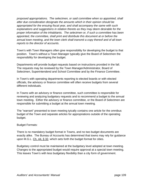*proposed appropriations. The selectmen, or said committee when so appointed, shall after due consideration designate the amounts which in their opinion should be appropriated for the ensuing fiscal year, and shall accompany the same with such explanations and suggestions in relation thereto as they may deem desirable for the proper information of the inhabitants. The selectmen or, if such a committee has been appointed, the committee, shall print and distribute this document at or before the annual town meeting, and the town clerk shall transmit a copy thereof and of all town reports to the director of accounts.* 

Town's with Town Managers often give responsibility for developing the budget to that position. Town's without a Town Manager typically give the Board of Selectmen the responsibility for developing the budget.

Departments will provide budget requests based on instructions provided in the fall. The requests may be reviewed by the Town Manager/Administrator, Board of Selectmen, Superintendend and School Committee and by the Finance Committee.

In Town's with operating departments reporting to elected boards or with elected officials, the advisory or finance committee will often receive budgets from several different individuals.

In Towns with an advisory or finance committee, such committee is responsible for reviewing and analyzing budgetary requests and to recommend a budget to the annual town meeting. Either the advisory or finance committee, or the Board of Selectmen are responsible for submitting a budget at the annual town meeting.

The "warrant" presented to town meeting tyically contains one article for the omnibus budget of the Town and separate articles for appropriations outside of the operating budget.

### Budget Formats:

There is no mandatory budget format in Towns, and no two budget documents are exactly alike. The Bureau of Accounts has determined that towns may rely for guidance upon M.G.L. Ch. 44, § 32*,* which sets forth the budget format for cities.

Budgetary control must be maintained at the budgetary level adopted at town meeting. Changes to the appropriated budget would require approval at a special town meeting. This leaves Town's with less budgetary flexibility than a city form of government.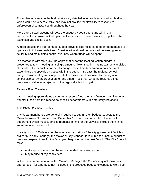Town Meeting can vote the budget at a very detailed level, such as a line-item budget, which would be very restrictive and may not provide the flexibility to respond to unforeseen circumstances throughout the year.

More often, Town Meeting will vote the budget by department and within each department it is broken out into personal services, purchased services, supplies, other expenses and capital outlay.

A more detailed the appropriated budget provides less flexibility to department heads to operate within those guidelines. Consideration should be balanced between granting flexibility and maintaining control over how where funds will be spent.

In accordance with state law, the appropriation for the local education budget is presented to town meeting as a single amount. Town meeting has no authority to divide elements of the school department's budget, make line-item amendments or direct expenditures to specific purposes within the budget. To pass the regional school budget, town meeting must appropriate the assessment proposed by the regional school district. An appropriation for any amount less than what the regional school proposes constitutes a rejection of the regional school budget.

## Reserve Fund Transfers

If town meeting appropriates a sum for a reserve fund, then the finance committee may transfer funds from this reserve to specific departments within statutory limitations.

The Budget Process in Cities

City department heads are generally required to submit their budget requests to the Mayor between November 1 and December 1. This does not apply to the school department which must submit its requests in time for the Mayor to include them in his submission to the Council.

In a city, within 170 days after the annual organization of the city government (which is ordinarily in early January), the Mayor or City Manager is required to submit a budget of proposed expenditures for the fiscal year beginning on the next July 1. The City Council may:

- make appropriations for the recommended purposes; and/or
- may reduce or reject any item.

Without a recommendation of the Mayor or Manager, the Council may not make any appropriation for a purpose not included in the proposed budget, except by a two-thirds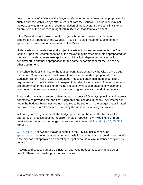vote in the case of a failure of the Mayor or Manager to recommend an appropriation for such a purpose within 7 days after a request from the Council. The Council may not increase any item without the recommendation of the Mayor. If the Council fails to act on any item of the proposed budget within 45 days, that item takes effect.

If the Mayor does not make a timely budget submission, provision is made for preparation of a budget by the Council. Provision is also made for supplementary appropriations upon recommendation of the Mayor.

Under certain circumstances and subject to certain limits and requirements, the City Council, upon the recommendation of the Mayor, may transfer amounts appropriated for the use of one department (except for a municipal light department or a school department) to another appropriation for the same department or for the use of any other department.

The school budget is limited to the total amount appropriated by the City Council, but the School Committee retains full power to allocate the funds appropriated. The Education Reform Act of 1993 as amended, imposes certain minimum expenditure requirements on municipalities with respect to funding for education. The requirements are determined on the basis of formulas affected by various measures of wealth and income, enrollments, prior levels of local spending and state aid, and other factors.

State and county assessments, abatements in excess of Overlays, principal and interest not otherwise provided for, and final judgments are included in the tax levy whether or not in the budget. Revenues are not required to be set forth in the budget but estimated non-tax revenues are taken into account by the Assessors in fixing the tax rate.

With a city form of government, the budget process can be more flexible since the appropriation process does not require Annual or Special Town Meeting. For more detailed information on the budget process in cities, review G.L. c. 44, §§ 32, 33, 33A and 33B.

G.L. c. 44, § 32 allows the Mayor to submit to the City Council a continuing appropriation budget on a month to month basis for a period not to exceed three months if the city has not approved an operating budget because of circumstances "beyond its control."

In towns and special purpose districts, an operating budget must be in place as of July 1. There is no similar provision as in cities.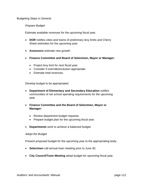### Budgeting Steps in General

### *Prepare Budget*

Estimate available revenues for the upcoming fiscal year.

- **DOR** notifies cities and towns of preliminary levy limits and Cherry Sheet estimates for the upcoming year.
- **Assessors** estimate new growth
- **Finance Committee and Board of Selectmen, Mayor or Manager:** 
	- Project levy limit for next fiscal year.
	- Consider if override/exclusion appropriate.
	- Estimate total revenues.

Develop budget to be appropriated.

- **Department of Elementary and Secondary Education** notifies communities of net school spending requirements for the upcoming year.
- **Finance Committee and the Board of Selectmen, Mayor or Manager:** 
	- Review department budget requests.
	- Prepare budget plan for the upcoming fiscal year.
- **Departments** work to achieve a balanced budget.

#### *Adopt the Budget*

Present proposed budget for the upcoming year to the appropriating body.

- **Selectmen** call annual town meeting prior to June 30.
- **City Council/Town Meeting** adopt budget for upcoming fiscal year.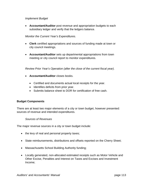### *Implement Budget*

 **Accountant/Auditor** post revenue and appropriation budgets to each subsidiary ledger and verify that the ledgers balance.

*Monitor the Current Year's Expenditures.* 

- **Clerk** certified appropriations and sources of funding made at town or city council meetings.
- **Accountant/Auditor** sets up departmental appropriations from town meeting or city council report to monitor expenditures.

*Review Prior Year's Operation (after the close of the current fiscal year).* 

- **Accountant/Auditor** closes books.
	- Certified and documents actual local receipts for the year.
	- Identifies deficits from prior year.
	- Submits balance sheet to DOR for certification of free cash.

### **Budget Components**

There are at least two major elements of a city or town budget, however presented: sources of revenue and intended expenditures.

*Sources of Revenues* 

The major revenue sources in a city or town budget include:

- the levy of real and personal property taxes;
- State reimbursements, distributions and offsets reported on the Cherry Sheet;
- Massachusetts School Building Authority funding;
- Locally generated, non-allocated estimated receipts such as Motor Vehicle and Other Excise, Penalties and Interest on Taxes and Excises and Investment Income;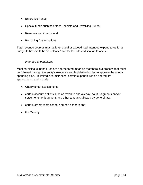- Enterprise Funds;
- Special funds such as Offset Receipts and Revolving Funds;
- Reserves and Grants; and
- Borrowing Authorizations

Total revenue sources must at least equal or exceed total intended expenditures for a budget to be said to be "in balance" and for tax rate certification to occur.

## *Intended Expenditures*

Most municipal expenditures are appropriated meaning that there is a process that must be followed through the entity's executive and legislative bodies to approve the annual spending plan. In limited circumstances, certain expenditures do not require appropriation and include:

- Cherry sheet assessments;
- certain account deficits such as revenue and overlay, court judgments and/or settlements for judgment, and other amounts allowed by general law;
- certain grants (both school and non-school); and
- the Overlay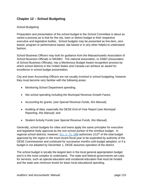# **Chapter 12 – School Budgeting**

## School Budgeting

Preparation and presentation of the school budget to the School Committee is about as varied a process as is that for the city, town or district budget to their respective executive and legislative bodies. School budgets may be presented as line-item, zero based, program or performance based, site based or in any other helpful to understand fashion.

School Business Officers may look for guidance from the Massachusetts Association of School Business Officials or MASBO. The national association, or ASBO (Association of School Business Officials), has a Meritorious Budget Award recognition process by which school districts in the United States and Canada can achieve an award for excellence in school budget presentation.

City and town Accounting Officers are not usually involved in school budgeting, however they must become very familiar with the following areas:

- Monitoring School Department spending;
- Net school spending including the Municipal Revenue Growth Factor;
- Accounting for grants; (*see Special Revenue Funds, this Manual*);
- Auditing of data, especially the DESE End-of-Year Report (*see Municipal Reporting, this Manual*); and
- Student Activity Funds (*see Special Revenue Funds, this Manual*).

Generally, school budgets for cities and towns apply the same principles for executive and legislative body approval as the non-school portion of the omnibus budget. In regional school districts, however, G.L. c. 71, 16B authorizes 1/12<sup>th</sup> of the total budget approved by the region in the most recent fiscal year to be expended by authority of the DESE Commissioner and continued for successive months until budget adoption, or if a budget is not adopted by December 1, DESE assumes operation of the district.

The school budget is tyically the largest item in the local general appropriation budget and it is the most complex to understand. The state and federal governments set rules for services, such as special education and vocational education that must be funded and the state sets minimum levels for basic local educational spending.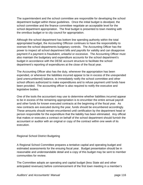The superintendent and the school committee are responsible for developing the school department budget within these guidelines. Once the initial budget is develped, the school committee and the finance committee negotiate an acceptable level for the school department appropriation. The final budget is presented to town meeting with the omnibus budget or to city council for appropriation.

Although the school department has bottom line spending authority within the total appropriated budget, the Accounting Officicer continues to have the responsibility to oversee the school departments budgetary controls. The Accounting Officer has the power to inspect all school department bills and payrolls for validity and can disapprove payment if a payment is fraudulent, unlawful or excessive. The Accounting Officer must also maintain the budgetary and expenditure accounts for the school department's budget in accordance with the DESE account structure to facilitate the school department's reporting of expenditures at the close of the fiscal year.

The Accounting Officer also has the duty, whenever the appropriation has been expended, or whenever the liabilities incurred appear to be in excess of the unexpended (and unencumbered) balance, to immediately notify the school committee and other school officers authorized to make expenditures and to refuse payment until funds have been provided. The accounting officer is also required to notify the executive and legislative bodies.

One of the tools the accountant may use to determine whether liabilities incurred appear to be in excess of the remaining appropriation is to encumber the entire annual payroll and other funds for known executed contracts at the beginning of the fiscal year. As new contracts are executed during the year, funds should be encumbered accordingly. These amounts should remain encumbered until certification by the department head or person responsible for the expenditure that the liability has been eliminated. Any official that makes or executes a contract on behalf of the school department should furnish the accountant or auditor with an original or copy of the contract within one week of its execution.

### Regional School District Budgeting

A Regional School Committee prepares a tentative capital and operating budget and estimated assessments for the ensuing fiscal year. Budget presentation should be in reasonable and understandable detail and a copy of this budget may be sent to member communities for review.

The Committee adopts an operating and capital budget (less State aid and other anticipated revenues) before commencement of the first town meeting in a member's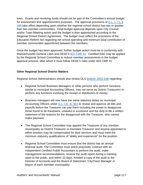town. Grants and revolving funds should not be part of the Committee's annual budget for assessment and apportionment purposes. The approval provisions of G.L. C. 71, § 16B take effect depending upon whether the regional school district has two or greater than two member communities. Final budget approval depends upon City Council and/or Town Meeting action and the budget is then apportioned according to the Regional School District Agreement. The budget must reflect the provisions of the Education Reform Act regarding net school spending and minimum local contribution of member communities apportioned between the members.

Once the budget has been approved, further budget action must be in conformity with Massachusetts General Laws and DESE's 603 CMR 41. Certified E&D may be applied by the Regional School Committee to reduce member assessments in the budget approval process, after which it must follow DESE's rules under 603 CMR 41.

## **Other Regional School District Matters**

Regional School Administrators should also review DLS Bulletin 2002-04B regarding:

- Regional School Business Managers or other persons who perform functions similar to municipal Accounting Officers, may not serve as District Treasurers or perform any functions involving the receipt or distribution of money.
- Business managers will now have the same statutory duties as municipal Accounting Officers under G.L. Ch. 41 §52 to review and approve all bills and payrolls before the Treasurer can pay them including the power to disapprove those found to be fraudulent, unlawful or excessive and the duty to file a written statement of the reasons for the disapproval with the Treasurer, who cannot make payment.
- The Regional School Committee may appoint the Treasurer of any member municipality as District Treasurer or Assistant Treasurer and anyone appointed to either position may be compensated for their services and must meet the minimum statutory qualifications of "ability and experience" for the position.
- Regional School Committee must ensure that the district has an annual financial audit. The Committee must solicit proposals, contract with an independent Certified Public Accountant to perform the audit, make management recommendations, receive the audit report during a meeting open to the public, and within 10 days, forward a copy of the audit to the Director of Accounts and the Board of Selectmen, City/Town Manager or Mayor of each member municipality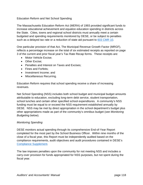## Education Reform and Net School Spending

The Massachusetts Education Reform Act (MERA) of 1993 provided significant funds to increase educational achievement and equalize education spending in districts across the State. Cities, towns and regional school districts must annually meet a certain budgeted and spending requirements monitored by DESE, or be subject to penalties such as a delayed tax rate or a reduction of state aid pursuant to 603 CMR 10.

One particular provision of that Act, The Municipal Revenue Growth Factor (MRGF), reflects a percentage increase on the total of six estimated receipts as reported on page 3 of the current and prior fiscal year's Tax Rate Recap forms. These receipts are:

- Motor Vehicle Excise;
- Other Excise:
- Penalties and Interest on Taxes and Excises;
- Fines and Forfeits;
- Investment Income: and
- Miscellaneous Recurring.

Education Reform requires that school spending receive a share of increasing revenues.

Net School Spending (NSS) includes both school budget and municipal budget amounts attributable to education, excluding long-term debt service, student transportation, school lunches and certain other specified school expenditures. A community's NSS funding must be equal to or exceed the NSS requirement established annually by DESE. NSS may be met by direct appropriation in the school department's budget plus other appropriations made as part of the community's omnibus budget (*see Monitoring Budgeting below*).

### *Monitoring Spending*

DESE monitors actual spending through its comprehensive End-of-Year Report completed for the most part by the School Business Officer. Within nine months of the close of a fiscal year, this Report must be independently audited based on the compliance requirements, audit objectives and audit procedures contained in DESE's Compliance Supplement.

The law imposes penalties upon the community for not meeting NSS and includes a carry-over provision for funds appropriated for NSS purposes, but not spent during the fiscal year.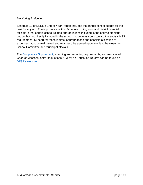## *Monitoring Budgeting*

Schedule 19 of DESE's End-of-Year Report includes the annual school budget for the next fiscal year. The importance of this Schedule to city, town and district financial officials is that certain school-related appropriations included in the entity's omnibus budget but not directly included in the school budget may count toward the entity's NSS requirement. Support for these indirect appropriations and possible allocation of expenses must be maintained and must also be agreed upon in writing between the School Committee and municipal officials.

The Compliance Supplement, spending and reporting requirements, and associated Code of Massachusetts Regulations (CMRs) on Education Reform can be found on DESE's website.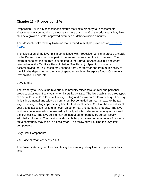# **Chapter 13 – Proposition 2 ½**

Proposition 2 ½ is a Massachusetts statute that limits property tax assessments. Massachusetts communities cannot raise more than 2  $\frac{1}{2}$  % of the prior year's levy limit plus new growth or voter approved overrides or debt exclusion amounts.

The Massachusetts tax levy limitation law is found in multiple provisions of G.L. c. 59, § 21C.

The calculation of the levy limit in compliance with Proposition 2  $\frac{1}{2}$  is approved annually by the Bureau of Accounts as part of the annual tax rate certification process. The information to set the tax rate is submitted to the Bureau of Accounts in a document referred to as the Tax Rate Recapitulation (Tax Recap). Specific documents accompanying the Tax Recap may change from year to year and from municipality to municipality depending on the type of spending such as Enterprise funds, Community Preservation Funds, etc.

# Levy Limits

The property tax levy is the revenue a community raises through real and personal property taxes each fiscal year when it sets its tax rate. The law established three types of annual levy limits: a levy limit, a levy ceiling and a maximum allowable levy. The levy limit is incremental and allows a permanent but controlled annual increase to the tax levy. The levy ceiling caps the levy limit for that fiscal year at 2.5% of the current fiscal year's total assessed full and fair cash value for real and personal property. The levy limit may be increased or decreased by locally adopted referenda but may not exceed the levy ceiling. The levy ceiling may be increased temporarily by certain locally adopted exclusions. The maximum allowable levy is the maximum amount of property tax a community may raise in a fiscal year. The following will outline the levy limit components.

### Levy Limit Components

## *The Base or Prior Year Levy Limit*

The Base or starting point for calculating a community's levy limit is its prior year levy limit.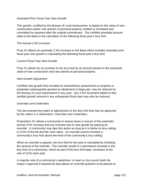### *Amended Prior Fiscal Year New Growth*

This growth, certified by the Bureau of Local Assessment, is based on the value of new construction and/or new articles of personal property omitted or increased and committed for payment after the original commitment. The certified amended amount adds to the Base in the calculation of the following fiscal year's levy limit.

### *The Annual 2.5% Increase*

Prop 2½ allows an automatic 2.5% increase to the Base which includes amended prior fiscal year new growth in calculating the following fiscal year's levy limit.

### *Current Fiscal Year New Growth*

Prop 2½ allows for an increase to the levy limit by an amount based on the assessed value of new construction and new articles of personal property.

## *New Growth Adjustment*

Certified new growth that included an extraordinary assessment on property or properties subsequently granted an abatement in large part, may be reduced by the Bureau of Local Assessment in any year. Any 2.5% increment added to that certified growth amount in any subsequent fiscal year may also be reduced.

### *Overrides and Underrides*

The law enacted two types of adjustments to the levy limit that may be approved by the voters in a referendum: Overrides and Underrides.

Proposition 2½ allows a community to assess taxes in excess of the automatic annual 2½% increase and any increase due to new growth by passing an override. A community may take this action as long as it is below its levy ceiling, or 2½% of the full and fair cash value. An override cannot increase a community's levy limit above the level of the community's levy ceiling.

When an override is passed, the levy limit for the year is calculated by including the amount of the override. The override results in a permanent increase in the levy limit of a community, which as part of the levy limit base, increases at the rate of 2½% each year.

A majority vote of a community's selectmen, or town or city council (with the mayor's approval if required by law) allows an override question to be placed on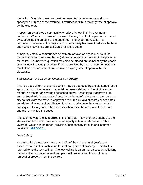the ballot. Override questions must be presented in dollar terms and must specify the purpose of the override. Overrides require a majority vote of approval by the electorate.

Proposition 2½ allows a community to reduce its levy limit by passing an underride. When an underride is passed, the levy limit for the year is calculated by subtracting the amount of the underride. The underride results in a permanent decrease in the levy limit of a community because it reduces the base upon which levy limits are calculated for future years.

A majority vote of a community's selectmen, or town or city council (with the mayor's approval if required by law) allows an underride question to be placed on the ballot. An underride question may also be placed on the ballot by the people using a local initiative procedure, if one is provided by law. Underride questions must state a dollar amount and require a majority vote of approval by the electorate.

# *Stabilization Fund Override, Chapter 59 § 21C(g)*

This is a special form of override which may be approved by the electorate for an appropriation to the general or special purpose stabilization fund in the same manner as that for an Override described above. Once initially approved, an annual two-thirds "appropriation" vote by the board of selectmen, town council or city council (with the mayor's approval if required by law) allocates or dedicates an additional amount of stabilization fund appropriation to the same purpose in subsequent fiscal years. The assessors then raise the amount in the tax rate and the levy limit is increased.

The override vote is only required in the first year. However, any change to the stabilization fund's purpose requires a majority vote at a referendum. This Override, which has no repeal provision, increases by formula and is further detailed in IGR 04-201.

## *Levy Ceiling*

A community cannot levy more than 2½% of the current fiscal year's total assessed full and fair cash value for real and personal property. This limit is referred to as the levy ceiling. The levy ceiling is an annual calculation reflecting market value fluctuation of real and personal property and the addition and removal of property from the tax roll.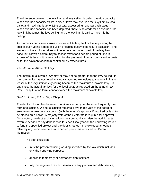The difference between the levy limit and levy ceiling is called override capacity. When override capacity exists, a city or town may override the levy limit by local ballot and maximize it up to 2.5% of total assessed full and fair cash value. When override capacity has been depleted, there is no credit for an override, the levy limit becomes the levy ceiling, and the levy limit is said to have "hit the ceiling."

A community can assess taxes in excess of its levy limit or the levy ceiling by successfully voting a debt exclusion or capital outlay expenditure exclusion. The amount of the exclusion does not become a permanent part of the levy limit base, but allows a community to assess taxes for a certain period of time in excess of its levy limit or levy ceiling for the payment of certain debt service costs or for the payment of certain capital outlay expenditures.

## *The Maximum Allowable Levy*

The maximum allowable levy may or may not be greater than the levy ceiling. If the community has not voted any locally adopted exclusions to the levy limit, the lesser of the levy limit or levy ceiling becomes the maximum allowable levy. In any case, the actual tax levy for the fiscal year, as reported on the annual Tax Rate Recapitulation form, cannot exceed the maximum allowable levy.

## *Debt Exclusion, G.L. c. 59, § 21C(j,k)*

The debt exclusion has been and continues to be by far the most frequently used form of exclusion. A debt exclusion requires a two-thirds vote of the board of selectmen, or town or city council (with the mayor's approval if required by law) to be placed on a ballot. A majority vote of the electorate is required for approval. Once voted, the debt exclusion allows the community to raise the additional tax revenue needed to pay debt service for each fiscal year on the borrowing issued to fund the specified project until the debt is retired. The excluded amount is offset by any reimbursements and certain premiums received per Bureau instruction.

The debt exclusion:

- must be presented using wording specified by the law which includes only the borrowing purpose;
- applies to temporary or permanent debt service;
- may be negative if reimbursements in any year exceed debt service;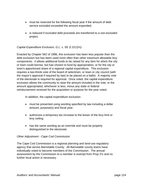- must be reserved for the following fiscal year if the amount of debt service excluded exceeded the amount expended;
- is reduced if excluded debt proceeds are transferred to a non-excluded project.

## *Capital Expenditure Exclusion, G.L. c. 59, § 21C(i½)*

Enacted by Chapter 562 of 1986, this exclusion has been less popular than the debt exclusion but has been used more often than other maximum allowable levy components. It allows additional funds to be raised for any item for which the city or town could borrow, but has chosen to fund by appropriation, or for the city or town's apportioned share of a regional capital expenditure. This exclusion requires a two-thirds vote of the board of selectmen, or town or city council (with the mayor's approval if required by law) to be placed on a ballot. A majority vote of the electorate is required for approval. Once voted, the capital expenditure exclusion allows the community to raise the amount included in the vote, or the amount appropriated, whichever is less, minus any state or federal reimbursement received for the acquisition or purpose for the year voted.

In addition, the capital expenditure exclusion:

- must be presented using wording specified by law including a dollar amount, purpose(s) and fiscal year;
- authorizes a temporary tax increase to the lesser of the levy limit or levy ceiling;
- has the same wording as an override and must be properly distinguished to the electorate.

### *Other Adjustment - Cape Cod Commission*

The Cape Cod Commission is a regional planning and land-use regulatory agency that serves Barnstable County. All Barnstable county towns have individually voted to become members of the Commission. The annual assessment by the Commission to a member is exempt from Prop 2½ and no further local action is necessary.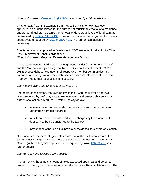*Other Adjustment - Chapter 111 § 127B½ and Other Special Legislation* 

Chapter 111, § 127B½ exempts from Prop 2½ any city or town tax levy appropriation or debt service for the purpose of municipal removal of a residential underground fuel storage tank, the removal of dangerous levels of lead paint as determined by MGL c. 111, § 194, or repair, replacement or upgrade of a home's septic system required by MGL c. 21A, § 13. No further local action is necessary.

Special legislation approved for Wellesley in 2007 excluded funding for its Other Post-Employment Benefits obligations. *Other Adjustment - Regional Refuse Management Districts* 

The Greater New Bedford Refuse Management District (Chapter 652 of 1987) and the Martha's Vineyard Regional Refuse Disposal District (Chapter 303 of 1985) assess debt service upon their respective member communities and pursuant to their legislation, their debt service assessments are excluded from Prop 2½. No further local action is necessary.

*The Water/Sewer Rate Shift, G.L. c. 59 § 21C(n)* 

The board of selectmen, the town or city council (with the mayor's approval where required by law) may vote to exclude water and sewer debt service. No further local action is required. If voted, the city or town:

- recovers water and sewer debt service costs from the property tax rather than from user charges;
- must then reduce its water and sewer charges by the amount of the debt service being transferred to the tax levy;
- may choose either an all taxpayers or residential taxpayers only option.

Once adopted, the percentage or stated amount of the exclusion remains the same unless changed by a new vote of the Board of Selectmen, Town or City Council (with the Mayor's approval where required by law). IGR 93-207 has further details.

### *The Tax Levy and Excess Levy Capacity*

The tax levy is the annual amount of taxes assessed upon real and personal property in the city or town as reported on the Tax Rate Recapitulation form. The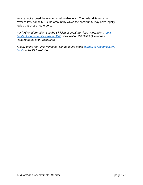levy cannot exceed the maximum allowable levy. The dollar difference, or "excess levy capacity," is the amount by which the community may have legally levied but chose not to do so.

*For further information, see the Division of Local Services Publications "Levy Limits: A Primer on Proposition 2½", "Proposition 2½ Ballot Questions - Requirements and Procedures."* 

*A copy of the levy limit worksheet can be found under Bureau of Accounts/Levy Limit on the DLS website.*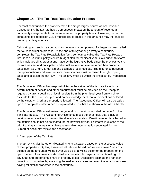# **Chapter 14 – The Tax Rate Recapitulation Process**

For most communities the property tax is the single largest source of local revenue. Consequently, the tax rate has a tremendous impact on the amount of revenue a community can generate from the assessment of property taxes. However, under the constraints of Proposition 2½, a municipality is limited in the amount it may increase its property tax levy annually.

Calculating and setting a community's tax rate is a component of a larger process called the tax recapitulation process. At the end of this yearlong activity a community completes the Tax Rate Recapitulation form, sometimes called the Tax Rate Recap or just Recap. A municipality's entire budget plan for the fiscal year is laid out on this form which includes all appropriations made by the legislative body since the previous year's tax rate was set and anticipated and actual sources of revenue other than property taxes such as Cherry Sheet aid and estimated local receipts. The difference between the appropriations and revenue from these sources must be raised through property taxes and is called the tax levy. The tax levy must be within the limits set by Proposition  $2\frac{1}{2}$ .

The Accounting Officer has responsibilities in the setting of the tax rate including a determination of deficits and other amounts that must be provided on the Recap as required by law, a detailing of local receipts from the prior fiscal year from which to estimate for the new fiscal year and an acknowledgement that appropriations detailed by the city/town Clerk are properly reflected. The Accounting Officer will also be called upon to complete certain other Recap related forms that are shown in the next Chapter.

The Accounting Officer estimates the general fund receipts reported on page 3 of the Tax Rate Recap. The Accounting Officer should use the prior fiscal year's actual receipts as a baseline for the new fiscal year's estimates. One-time receipts reflected in the actuals should not be estimated for the new fiscal year. Estimates in excess of the prior fiscal year's actuals must have reasonable documentation submitted for the Bureau of Accounts' review and acceptance.

### A Description of the Tax Rate

The tax levy is distributed or allocated among taxpayers based on the assessed value of their properties. By law, assessed valuation is based on "fair cash value," which is defined as the amount a willing buyer would pay a willing seller for the property on the open market. This valuation standard ensures each taxpayer's constitutional right to pay a fair and proportional share of property taxes. Assessors estimate the fair cash valuation of properties by analyzing the real estate market to determine what buyers are paying for similar properties in the community.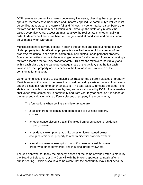DOR reviews a community's values once every five years, checking that appropriate appraisal methods have been used and uniformly applied. A community's values must be certified as representing current full and fair cash value, or market value, before the tax rate can be set in the recertification year. Although the State only reviews the values every five years, assessors must analyze the real estate market annually in order to determine if there has been a change in market conditions and make interim adjustments when warranted.

Municipalities have several options in setting the tax rate and distributing the tax levy. Under property tax classification, property is classified as one of four classes of real property: residential, open space, commercial or industrial, or as personal property. Some communities choose to have a single tax rate for all classes of property. A single tax rate allocates the tax levy proportionately. This means taxpayers individually and within each class pay the same percentage share of the tax levy that the fair cash valuation of their property or class bears to the total assessed valuation of the community for that year.

Other communities choose to use multiple tax rates for the different classes or property. Multiple rates shift some of the taxes that would be paid by certain classes of taxpayers under a single tax rate onto other taxpayers. The total tax levy remains the same. The shifts must be within parameters set by law, and are calculated by DOR. The allowable shift varies from community to community and from year to year because it is based on the assessed valuation of the different classes of property in the community.

The four options when setting a multiple tax rate are:

- a tax shift from residential and open space to business property owners;
- an open space discount that shifts taxes from open space to residential property owners;
- a residential exemption that shifts taxes on lower valued owneroccupied residential property to other residential property owners;
- a small commercial exemption that shifts taxes on small business property to other commercial and industrial property owners.

The decision whether to tax the property classes at the same or varied rates is made by the Board of Selectmen, or City Council with the Mayor's approval, annually after a public hearing. Officials should also be aware that the community may either send tax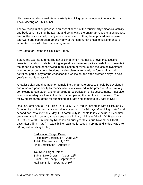bills semi-annually or institute a quarterly tax billing cycle by local option as voted by Town Meeting or City Council.

The tax recapitulation process is an essential part of the municipality's financial activity and budgeting. Setting the tax rate and completing the entire tax recapitulation process are not the responsibility of any one local official. Rather, these procedures require teamwork and cooperation among many of the community's local officials to ensure accurate, successful financial management.

Key Dates for Setting the Tax Rate Timely

Setting the tax rate and mailing tax bills in a timely manner are keys to successful financial operation. Late tax billing jeopardizes the municipality's cash flow. It results in the added expense of borrowing in anticipation of revenue and the loss of investment income on property tax collections. It also disrupts regularly performed financial activities, particularly for the Assessor and Collector, and often creates delays in next year's schedule of activities.

A realistic plan and timetable for completing the tax rate process should be developed and reviewed periodically by municipal officials involved in the process. A community completing a revaluation and undergoing a recertification of its assessments must also incorporate adequate time in the plan for completing the certification process. The following are target dates for submitting accurate and complete key data to DOR:

Regular Semi-Annual Tax Billing – G.L. c. 59 §57 Regular schedule with bill issued by October 1 and first half installment due November 1 (or 30 days after billing if later) and second half installment due May 1. If community is unable to issue actual bills on time due to revaluation delays, it may issue a preliminary bill in the fall with DOR approval. G.L. C. 59 §23D. Preliminary bill based on prior year tax is due November 1 (or 30 days after billing if later). Actual bill for balance is issued in spring and is due May 1 (or 30 days after billing if later).

> **Certification Target Dates:** Preliminary Certification – June 30<sup>th</sup> Public Disclosure – July  $15<sup>th</sup>$ Final Certification – August  $5<sup>th</sup>$

 Tax Rate Target Dates: Submit New Growth – August  $15<sup>th</sup>$  Submit Tax Recap – September 1 Mail Tax Bills - September 30<sup>th</sup>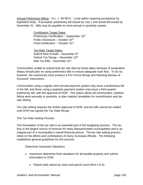Annual Preliminary Billing – G.L. c. 59 §57C. Local option requiring acceptance by legislative body. If accepted, preliminary bill issued by July 1 and actual bill issued by December 31. Bills may be payable on semi-annual or quarterly system.

> Certification Target Dates: Preliminary Certification – September 15<sup>th</sup> Public Disclosure – October 15<sup>th</sup> Final Certification – October 31st

 Tax Rate Target Dates: Submit New Growth – November 5<sup>th</sup> Submit Tax Recap – November 15<sup>th</sup> Mail Tax Bills – December 31<sup>st</sup>

Communities unable to submit final tax rate data by these dates because of revaluation delays should plan on using preliminary bills to ensure adequate cash flow. To do so, however, the community must produce a Pro Forma Recap and following Bureau of Accounts' instructions.

Communities using a regular semi-annual payment system may issue a preliminary bill in the fall, and those using a quarterly payment system may issue a third quarter preliminary bill, with the approval of DOR. This option allows all communities, whether billing semi-annually or quarterly, to plan realistic timetables for recertification and tax rate setting.

Tax rate setting requires the written approval of DOR, and tax bills cannot be mailed until DOR has signed the Tax Rate Recap.

The Tax Rate Setting Process

The formulation of the tax rate is an essential part of the budgeting process. The tax levy is the largest source of revenue for many Massachusetts municipalities and is an integral part of a municipality's overall financial picture. The tax rate setting process relies on the efforts and contributions of many municipal officials. The following establishes general guidelines for this process:

### *Determine Assessed Valuations*

- Assessors determine final valuations for all taxable property and submit information to DOR.
	- Report total values by class and parcel count (form LA-4).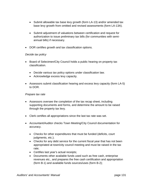- Submit allowable tax base levy growth (form LA-13) and/or amended tax base levy growth from omitted and revised assessments (form LA-13A).
- Submit adjustment of valuations between certification and request for authorization to issue preliminary tax bills (for communities with semiannual bills) if necessary.
- DOR certifies growth and tax classification options.

### *Decide tax policy*

- Board of Selectmen/City Council holds a public hearing on property tax classification.
	- Decide various tax policy options under classification law.
	- Acknowledge excess levy capacity.
- Assessors submit classification hearing and excess levy capacity (form LA-5) to DOR.

### *Prepare tax rate*

- Assessors oversee the completion of the tax recap sheet, including supporting documents and forms, and determine the amount to be raised through the property tax levy.
- Clerk certifies all appropriations since the last tax rate was set.
- Accountant/Auditor checks Town Meeting/City Council documentation for accuracy.
	- Checks for other expenditures that must be funded (deficits, court judgments, etc.);
	- Checks for any debt service for the current fiscal year that has not been appropriated at town/city council meeting and must be raised in the tax rate;
	- Certifies last year's actual receipts;
	- Documents other available funds used such as free cash, enterprise revenues etc., and prepares the free cash certification and appropriation (form B-1) and available funds sources/uses (form B-2);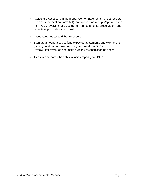- Assists the Assessors in the preparation of State forms: offset receipts use and appropriation (form A-1), enterprise fund receipts/appropriations (form A-2), revolving fund use (form A-3), community preservation fund receipts/appropriations (form A-4).
- Accountant/Auditor and the Assessors
- Estimate amount raised to fund expected abatements and exemptions (overlay) and prepare overlay analysis form (form OL-1).
- Review total revenues and make sure tax recapitulation balances.
- Treasurer prepares the debt exclusion report (form DE-1).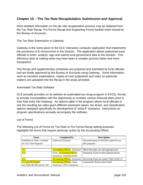# **Chapter 15 – The Tax Rate Recapitulation Submission and Approval**

More detailed information on the tax rate recapitulation process may be obtained from the Tax Rate Recap, Pro Forma Recap and Supporting Forms booklet when issued by the Bureau of Accounts.

#### The Tax Rate Submission in Gateway

Gateway is the name given to the DLS' interactive computer application that implements the provisions of E-Government in the Division. The application allows authorized local officials to enter, analyze, sign and submit local government data to the Division. This efficiency aims at making what may have been a complex process faster and more transparent.

The Recap and supplementary schedules are prepared and submitted by local officials, and are finally approved by the Bureau of Accounts using Gateway. Some information, such as narrative explanations, copies of court judgments and votes on particular matters are uploaded into the Recap in the areas provided.

#### Automated Tax Rate Software

DLS annually provides on its website an automated tax recap program in EXCEL format to provide municipalities with the opportunity to consider various financial plans prior to their final entry into Gateway. An options table in the program allows local officials to see the resulting tax rates given different assessed values, tax levies, and classification options designed specifically for development of "what if" scenarios. Instructions on program specifications annually accompany the software.

#### List of Forms

The following List of Forms for Tax Rate or Pro Forma Recap setting purposes highlights the forms that require particular action by the Accounting Officer.

| Form                        | <b>Completed by</b>                   | <b>Description</b>                      |
|-----------------------------|---------------------------------------|-----------------------------------------|
| Schedule of Amts. Certified | Collector/Treasurer                   | Documentation of amounts raised for tax |
| for Tax Title Purposes      |                                       | title purposes                          |
|                             |                                       |                                         |
| $A-1$                       | <b>Accounting Officer</b> , Assessors | Offset Receipts use and appropriation   |
| $A-2$                       | Clerk, <b>Accounting Officer</b> ,    | Enterprise Fund receipts/appropriations |
|                             | Assessors, Commissioners              |                                         |
| $A-3$                       | <b>Accounting Officer</b> , Assessors | Revolving Fund use under Ch44, §53E1/2  |
| A-4 and Worksheet           | <b>Accounting Officer</b> , Clerk,    | <b>Community Preservation Fund</b>      |
| See IGRs 00-209 and 01-207  | Assessors, CPA Committee              |                                         |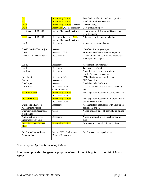| $B-1$                             |                                      |                                               |
|-----------------------------------|--------------------------------------|-----------------------------------------------|
|                                   | <b>Accounting Officer</b>            | Free Cash certification and appropriation     |
| $B-2$                             | <b>Accounting Officer</b>            | Available funds sources/uses                  |
| $OL-1$                            | <b>Accounting Officer</b> , Assessor | Overlay analysis                              |
| $DE-1$                            | <b>Accountant, Clerk, Treasurer</b>  | Debt exclusion report                         |
| DE-2 (see IGR 02-101)             | Mayor, Manager, Selectmen            | Determination of Borrowing Covered by         |
|                                   |                                      | Debt Exclusion                                |
| $DE-3$ (see IGR 02-101)           | Assessors, Treasurer, Acct.,         | <b>Adjusted Debt Exclusion Schedule</b>       |
|                                   | Mayor, Manager, Selectmen            |                                               |
| $LA-4$                            | Assessors                            | Values by class/parcel count                  |
|                                   |                                      |                                               |
| LA-15 Interim Year Adjust.        | Assessors                            | Non-Certification year report                 |
| $LA-7$                            | Assessors, BLA                       | Minimum Residential Factor computation        |
| Chapter 200, Acts of 1988         | Assessors, BLA                       | Calculation of Lowest Possible Residential    |
|                                   |                                      | Factor per this chapter                       |
|                                   |                                      |                                               |
| $LA-10$                           | Assessors                            | Assessment adjustment list                    |
| $LA-13$                           | Assessors                            | Tax base levy growth                          |
| $LA-13A$                          | Assessors                            | Amended tax base levy growth for              |
|                                   |                                      | omitted/revised assessments                   |
| Levy Limit                        | Assessors, BOA                       | FY14 Maximum Allowable Levy                   |
| Options                           | Assessors                            | <b>Shift Scenarios</b>                        |
| LA-5 Input                        | Assessors                            | LA-5 detailed calculations                    |
| LA-5 Form                         | Assessors, Clerk,                    | Classification hearing and excess capacity    |
|                                   | Council/Selectmen                    | report                                        |
| <b>Tax Rate Recap</b>             | <b>Accounting Officer,</b>           | Four-page form required to certify a tax rate |
|                                   | Assessors, Clerk                     |                                               |
| Pro Forma Recap                   | <b>Accounting Officer,</b>           | Four-page form required for authorization of  |
|                                   | Assessors, Clerk                     | preliminary tax bills                         |
| <b>Omitted and Revised</b>        | Assessors                            | Assessments in accordance with Chapter 59     |
| Assessments Report                |                                      | sections 75 and 76                            |
| <b>Quarterly Bills Acceptance</b> | Clerk                                | Notice of acceptance of quarterly tax billing |
| Notification                      |                                      | law                                           |
| Authorization to Issue            | Assessors                            | Notice of request to issue preliminary tax    |
| Preliminary Tax Bills             |                                      | bills                                         |
| Letter in Lieu of Balance         | <b>Accounting Officer</b>            | Prior year accounts deficit notification      |
| <b>Sheet</b>                      |                                      |                                               |
|                                   |                                      |                                               |
|                                   |                                      |                                               |
| Pro Forma Unused Levy             | Mayor, CFO, Chairman-                | Pro Forma excess capacity loss                |
| Capacity Letter                   | Board of Selectmen                   |                                               |
|                                   |                                      |                                               |

# *Forms Signed by the Accounting Officer*

A following provides the general purpose of each form highlighted in the List of Forms above.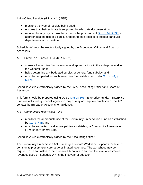A-1 – Offset Receipts (G.L. c. 44, § 53E)

- monitors the type of receipts being used;
- ensures that their estimate is supported by adequate documentation;
- required for any city or town that accepts the provisions of G.L. c. 44,  $\S$  53E and appropriates the use of a particular departmental receipt to offset a particular departmental appropriation.

Schedule A-1 must be electronically signed by the Accounting Officer and Board of Assessors.

A-2 – Enterprise Funds (G.L. c. 44, § 53F½)

- shows all enterprise fund revenues and appropriations in the enterprise and in the General Fund;
- helps determine any budgeted surplus or general fund subsidy; and
- must be completed for each enterprise fund established under G.L. c. 44,  $\S$ 53F½.

Schedule A-2 is electronically signed by the Clerk, Accounting Officer and Board of Assessors.

This form should be prepared using DLS's IGR 08-101, "Enterprise Funds." Enterprise funds established by special legislation may or may not require completion of the A-2; contact the Bureau of Accounts for guidance.

## *A-4 – Community Preservation Fund*

- monitors the appropriate use of the Community Preservation Fund as established by G.L. c. 44B; and
- must be submitted by all municipalities establishing a Community Preservation Fund under Chapter 44B.

Schedule A-4 is electronically signed by the Accounting Officer.

The Community Preservation Act Surcharge Estimate Worksheet supports the level of community preservation surcharge estimated revenues. The worksheet may be required to be submitted to the Bureau of Accounts to support the level of estimated revenues used on Schedule A-4 in the first year of adoption.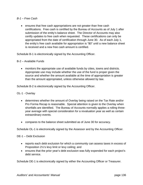### *B-1 – Free Cash*

• ensures that free cash appropriations are not greater than free cash certifications. Free cash is certified by the Bureau of Accounts as of July 1 after submission of the entity's balance sheet. The Director of Accounts may also ceritfy updates to free cash when requested. These certifications can only be appropriated from the date of certification through June 30. As of each July 1, the entity's free cash available for appropriation is "\$0" until a new balance sheet is received and a new free cash amount is certified.

Schedule B-1 is electronically signed by the Accounting Officer.

#### B-2 – Available Funds

 monitors the appropriate use of available funds by cities, towns and districts. Appropriate use may include whether the use of the fund is proper given the source and whether the amount available at the time of appropriation is greater than the amount appropriated, unless otherwise allowed by law.

Schedule B-2 is electronically signed by the Accounting Officer.

### OL-1 - Overlay

- determines whether the amount of Overlay being raised on the Tax Rate and/or Pro Forma Recap is reasonable. Special attention is given to the Overlay when shortfalls are identified. The Bureau of Accounts normally applies a rolling threeyear average with special consideration for a revaluation year as well as certain extraordinary events.
- compares to the balance sheet submitted as of June 30 for accuracy.

Schedule OL-1 is electronically signed by the Assessor and by the Accounting Officer.

#### DE-1 – Debt Exclusion

- reports each debt exclusion for which a community can assess taxes in excess of Proposition 2½'s levy limit or levy ceiling; and
- ensures that the prior year's debt exclusion was fully expended for each project's debt service.

Schedule DE-1 is electronically signed by either the Accounting Officer or Treasurer.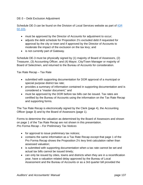# DE-3 – Debt Exclusion Adjustment

Schedule DE-3 can be found on the Division of Local Services website as part of IGR 02-101.

- must be approved by the Director of Accounts for adjustment to occur;
- adjusts the debt schedule for Proposition 2½ excluded debt if requested for approval by the city or town and if approved by the Director of Accounts to moderate the impact of the exclusion on the tax levy; and
- is not currently part of Gateway.

Schedule DE-3 must be physically signed by (1) majority of Board of Assessors, (2) Treasurer, (3) Accounting Officer, and (4) Mayor, City/Town Manager or majority of Board of Selectmen, and returned to the Bureau of Accounts for consideration.

Tax Rate Recap – Tax Rate

- submitted with supporting documentation for DOR approval of a municipal or special purpose district tax rate;
- provides a summary of information contained in supporting documentation and is considered a "master document;" and
- must be approved by the DOR before tax bills can be issued. Tax rates are certified by the Bureau of Accounts using the information on the Tax Rate Recap and supporting forms.

The Tax Rate Recap is electronically signed by the Clerk (page 4), the Accounting Officer (page 3) and by the Board of Assessors (page 1).

Forms to determine the valuation as determined by the Board of Assessors and shown on page 1 of the Tax Rate Recap are not shown in this presentation. *Pro Forma Recap – For Preliminary Tax Notices* 

- for approval to issue preliminary tax notices;
- contains the same information as a Tax Rate Recap except that page 1 of the Pro Forma Recap shows the Proposition 2½ levy limit calculation rather than assessed valuation;
- is submitted with supporting documentation when a tax rate cannot be set and actual tax bills cannot be issued timely;
- can only be issued by cities, towns and districts when they are in a recertification year, have a valuation related delay approved by the Bureau of Local Assessment and the Bureau of Accounts or as a 3rd quarter bill provided the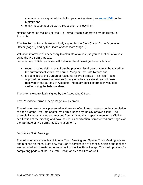community has a quarterly tax billing payment system (see annual IGR on the matter); and

 $\bullet$  entity must be at or below it's Proposition 2 $\frac{1}{2}$  levy limit.

Notices cannot be mailed until the Pro Forma Recap is approved by the Bureau of Accounts.

The Pro Forma Recap is electronically signed by the Clerk (page 4), the Accounting Officer (page 3) and by the Board of Assessors (page 1).

Valuation information is necessary to calculate a tax rate, so you cannot set a tax rate using the Pro Forma Recap.

Letter in Lieu of Balance Sheet – If Balance Sheet hasn't yet been submitted

- reports that no deficits exist from the previous fiscal year that must be raised on the current fiscal year's Pro Forma Recap or Tax Rate Recap; and
- is submitted to the Bureau of Accounts for Pro Forma or Tax Rate Recap approval purposes if a previous fiscal year's balance sheet has not been received by the Bureau of Accounts. Normally deficit information would be verified using the balance sheet.

The letter is electronically signed by the Accounting Officer.

# Tax Rate/Pro-Forma Recap Page 4 – Example

The following example is presented as there are oftentimes questions on the completion of page 4 of the Tax Rate and/or Pro Forma Recap by the city or town Clerk. The example includes articles and motions from an annual and special meeting, a Clerk's certification of the meeting and how the Clerk's certification is transferred onto page 4 of the Tax Rate or Pro Forma Recapitulation form.

#### *Legislative Body Meetings*

The following are examples of Annual Town Meeting and Special Town Meeting articles and motions on them. Note how the Clerk's certification of financial articles and motions are recorded and transferred onto page 4 of the Tax Rate Recap. The basic process for completing page 4 of the Tax Rate Recap applies to cities as well.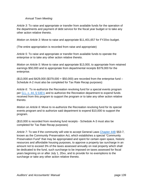### *Annual Town Meeting*

*Article 3*: To raise and appropriate or transfer from available funds for the operation of the departments and payment of debt service for the fiscal year budget or to take any other action relative thereto.

*Motion on Article 3*: Move to raise and appropriate \$11,401,657 for FY20xx budget.

(The entire appropriation is recorded from raise and appropriate)

*Article 5*: To raise and appropriate or transfer from available funds to operate the enterprise or to take any other action relative thereto.

*Motion on Article 5*: Move to raise and appropriate \$13,000, to appropriate from retained earnings \$50,000 and to appropriate from departmental receipts \$379,000 for the enterprise.

(\$13,000 and \$429,000 (\$379,000 + \$50,000) are recorded from the enterprise fund – Schedule A-2 must also be completed for Tax Rate Recap purposes)

*Article 6*: To re-authorize the Recreation revolving fund for a special events program per G.L. c. 44, § 53E½ and to authorize the Recreation department to expend funds received from this program to support the program or to take any other action relative thereto.

*Motion on Article 6*: Move to re-authorize the Recreation revolving fund for its special events program and to authorize said department to expend \$10,000 to support the program.

(\$10,000 is recorded from revolving fund receipts - Schedule A-3 must also be completed for Tax Rate Recap purposes)

Article 7: To see if the community will vote to accept General Laws Chapter 44B §§3-7, known as the Community Preservation Act, which establishes a special "Community Preservation Fund" that may be appropriated and spent for certain open space, historic resources and affordable housing purposes, to approve a property tax surcharge in an amount not to exceed 3% of the taxes assessed annually on real property which shall be dedicated to the fund, such surcharge to be imposed on taxes assessed for fiscal years beginning on or after July 1, 20xx, and to provide for no exemptions to the surcharge or take any other action relative thereto.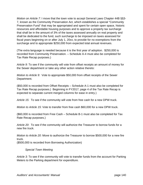*Motion on Article 7*: I move that the town vote to accept General Laws Chapter 44B §§3- 7, known as the Community Preservation Act, which establishes a special "Community Preservation Fund" that may be appropriated and spent for certain open space, historic resources and affordable housing purposes and to approve a property tax surcharge that shall be in the amount of 3% of the taxes assessed annually on real property and shall be dedicated to the fund, such surcharge to be imposed on taxes assessed for fiscal years beginning on or after July 1, 20xx, to provide for no exemptions from the surcharge and to appropriate \$250,000 from expected total annual revenues.

(The extra language is needed because it is the first year of adoption. \$250,000 is recorded from Community Preservation. – Schedule A-4 must also be completed for Tax Rate Recap purposes.)

*Article 9*: To see if the community will vote from offset receipts an amount of money for the Sewer department or take any other action relative thereto:

*Motion to Article 9*: Vote to appropriate \$50,000 from offset receipts of the Sewer Department.

(\$50,000 is recorded from Offset Receipts – Schedule A-1 must also be completed for Tax Rate Recap purposes.) Beginning in FY2017, page 4 of the Tax Rate Recap is expected to separate current merged columns for ease in entry.)

*Article 15*: To see if the community will vote from free cash for a new DPW truck.

*Motion to Article 15*: Vote to transfer from free cash \$60,000 for a new DPW truck.

(\$60,000 is recorded from Free Cash – Schedule B-1 must also be completed for Tax Rate Recap purposes.)

*Article 20*: To see if the community will authorize the Treasurer to borrow funds for a new fire truck.

*Motion to Article 20*: Move to authorize the Treasurer to borrow \$500,000 for a new fire truck.

(\$500,000 is recorded from Borrowing Authorization)

*Special Town Meeting* 

*Article 3*: To see if the community will vote to transfer funds from the account for Parking Meters to the Parking department for expenditure.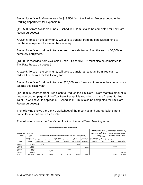*Motion for Article 3*: Move to transfer \$19,500 from the Parking Meter account to the Parking department for expenditure.

(\$19,500 is from Available Funds – Schedule B-2 must also be completed for Tax Rate Recap purposes.)

*Article 4*: To see if the community will vote to transfer from the stabilization fund to purchase equipment for use at the cemetery.

*Motion for Article 4*: Move to transfer from the stabilization fund the sum of \$3,000 for cemetery equipment.

(\$3,000 is recorded from Available Funds – Schedule B-2 must also be completed for Tax Rate Recap purposes.)

*Article 5*: To see if the community will vote to transfer an amount from free cash to reduce the tax rate for this fiscal year.

*Motion for Article 5*: Move to transfer \$20,000 from free cash to reduce the community's tax rate this fiscal year.

(\$20,000 is recorded from Free Cash to Reduce the Tax Rate – Note that this amount is not recorded on page 4 of the Tax Rate Recap; it is recorded on page 2, part IIId, line 1a or 1b whichever is applicable – Schedule B-1 must also be completed for Tax Rate Recap purposes.)

The following shows the Clerk's worksheet of the meetings and appropriations from particular revenue sources as voted.

|                           |                                                                                                                                                                                                  |                |           |            | Clerk's Certification of City/Town Meeting Action |                                                                                                                           |              |                |                               |        |                |
|---------------------------|--------------------------------------------------------------------------------------------------------------------------------------------------------------------------------------------------|----------------|-----------|------------|---------------------------------------------------|---------------------------------------------------------------------------------------------------------------------------|--------------|----------------|-------------------------------|--------|----------------|
| Meeting Date:<br>4/12/20x | Do Not include these<br>appropriations on page 4 of<br>the Tax Rate or Pro Forma<br>Fiscal Year:<br>FY20xx<br>Include these appropriations on page 4 of the Tax Rate or Pro Forma Recap<br>Recap |                |           |            |                                                   | Include these amounts in the<br>correct columns on page 4 of<br>the Tax Rate or Pro Forma<br>Recap, but not in the Total. |              |                |                               |        |                |
|                           | Total                                                                                                                                                                                            |                |           |            |                                                   |                                                                                                                           | from         |                | from Other                    |        |                |
|                           | Appropriations                                                                                                                                                                                   |                |           | From Other |                                                   | From                                                                                                                      | Community    | from Free Cash | Source to                     |        |                |
|                           | of Each                                                                                                                                                                                          | from Raise and | From Free | Available  | From Offset                                       | Enterprise                                                                                                                | Preservation | to Reduce the  | Reduce the Tax from Revolving |        | Borrowing      |
| Article #                 | Meeting                                                                                                                                                                                          | Appropriate    | Cash      | Funds      | Receipts                                          | <b>Fund Revenues</b>                                                                                                      | Revenues     | Tax Rate       | Rate                          | Funds  | Authorizations |
| Article 3                 | 11.401.657                                                                                                                                                                                       | 11.401.657     |           |            |                                                   |                                                                                                                           |              |                |                               |        |                |
| Article 5                 | 442.000                                                                                                                                                                                          | 13,000         |           |            |                                                   | 429,000                                                                                                                   |              |                |                               |        |                |
| Article 6                 | 10.000                                                                                                                                                                                           |                |           |            |                                                   |                                                                                                                           |              |                |                               | 10,000 |                |
| Article 7                 | 250,000                                                                                                                                                                                          |                |           |            |                                                   |                                                                                                                           | 250,000      |                |                               |        |                |
| Article 9                 | 50,000                                                                                                                                                                                           |                |           |            | 50,000                                            |                                                                                                                           |              |                |                               |        |                |
| Article 15                | 60,000                                                                                                                                                                                           |                | 60,000    |            |                                                   |                                                                                                                           |              |                |                               |        |                |
| Article 20                | 500,000                                                                                                                                                                                          |                |           |            |                                                   |                                                                                                                           |              |                |                               |        | 500,000        |
| Total                     | 12.713.657                                                                                                                                                                                       | 11.414.657     | 60,000    | $\Omega$   | 50,000                                            | 429.000                                                                                                                   | 250,000      | 0              |                               | 10.000 | 500,000        |

The following shows the Clerk's certification of Annual Town Meeting action.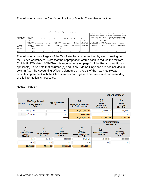The following shows the Clerk's certification of Special Town Meeting action.

|               |                |                |           | Clerk's Certification of City/Town Meeting Action |             |                                                                           |              |                           |                                                     |                              |                                                                |
|---------------|----------------|----------------|-----------|---------------------------------------------------|-------------|---------------------------------------------------------------------------|--------------|---------------------------|-----------------------------------------------------|------------------------------|----------------------------------------------------------------|
| Meeting Date: | Fiscal Year:   |                |           |                                                   |             |                                                                           |              | the Tax Rate or Pro Forma | Do Not include these<br>appropriations on page 4 of | the Tax Rate or Pro Forma    | Include these amounts in the I<br>correct columns on page 4 of |
| 10/10/20xx    | FY20xx         |                |           |                                                   |             | Include these appropriations on page 4 of the Tax Rate or Pro Forma Recap |              |                           | Recap                                               | Recap, but not in the Total. |                                                                |
|               | Total          |                |           |                                                   |             |                                                                           | from         |                           | from Other                                          |                              |                                                                |
|               | Appropriations |                |           | From Other                                        |             | From                                                                      | Community    | from Free Cash            | Source to                                           |                              |                                                                |
|               | of Each        | from Raise and | Free Free | Available                                         | From Offset | Enterprise                                                                | Preservation | to Reduce the             | Reduce the Tax from Revolving                       |                              | Borrowing                                                      |
| Article #     | Meeting        | Appropriate    | Cash      | Funds                                             | Receipts    | <b>Fund Revenues</b>                                                      | Revenues     | Tax Rate                  | Rate                                                | Funds                        | Authorizations                                                 |
| Article 3     | 19.500         |                |           | 19,500                                            |             |                                                                           |              |                           |                                                     |                              |                                                                |
| Article 4     | 3.000          |                |           | 3.000                                             |             |                                                                           |              |                           |                                                     |                              |                                                                |
| Article 5     | 20,000         |                |           |                                                   |             |                                                                           |              | 20,000                    |                                                     |                              |                                                                |
| Total         | 22,500         |                |           | 22,500                                            |             |                                                                           |              |                           |                                                     |                              |                                                                |

The following shows Page 4 of the Tax Rate Recap summarized by each meeting from the Clerk's worksheets. Note that the appropriation of free cash to reduce the tax rate (Article 5, STM dated 10/10/20xx) is reported only on page 2 of the Recap, part IIId, as applicable). Also note that columns (h) and (i) are "Memo Only" and are not included in column (a). The Accounting Officer's signature on page 3 of the Tax Rate Recap indicates agreement with the Clerk's entries on Page 4. The review and understanding of this information is necessary.

# **Recap – Page 4**

|                                                      |                                                                       |                                                      |                                     |                                                       |                                                                           |                                                                         | <b>APPROPRIATIONS</b>                                 |  |  |
|------------------------------------------------------|-----------------------------------------------------------------------|------------------------------------------------------|-------------------------------------|-------------------------------------------------------|---------------------------------------------------------------------------|-------------------------------------------------------------------------|-------------------------------------------------------|--|--|
| <b>Delete</b>                                        | <b>City/Town Council</b><br>or<br><b>Town Meeting</b><br><b>Dates</b> |                                                      | <b>Appropriations</b><br><b>FY*</b> |                                                       | (a)<br><b>Total Appropriations</b><br><b>Of Each Meeting</b>              | $\binom{b}{k}$<br><b>From</b><br><b>Raise and</b><br><b>Appropriate</b> | (c)<br><b>From</b><br><b>Free Cash</b><br>$(See B-1)$ |  |  |
| □                                                    | 04/12/2014                                                            |                                                      |                                     | 2015                                                  | 12,203,657.00                                                             | 11,414,657.00                                                           | 60,000.00                                             |  |  |
| $\Box$                                               | 10/10/2014                                                            |                                                      | 2015                                |                                                       | 22,500.00                                                                 | 0.00                                                                    | 0.00                                                  |  |  |
| Total<br>12,226,157.00<br>11,414,657.00<br>60,000.00 |                                                                       |                                                      |                                     |                                                       |                                                                           |                                                                         |                                                       |  |  |
|                                                      |                                                                       |                                                      |                                     |                                                       |                                                                           | <b>AUTHORIZATIONS</b><br><b>MEMO ONLY</b>                               |                                                       |  |  |
| (d)                                                  |                                                                       |                                                      |                                     |                                                       |                                                                           |                                                                         |                                                       |  |  |
|                                                      |                                                                       | (e)                                                  |                                     | (f)                                                   | (g)                                                                       |                                                                         | (i)                                                   |  |  |
|                                                      | <b>From</b><br><b>Other Available</b><br><b>Funds</b><br>(See B-2)    | <b>From</b><br><b>Offset Receipts</b><br>$(See A-1)$ |                                     | <b>From</b><br><b>Enterprise Funds</b><br>$(See A-2)$ | <b>From</b><br><b>Community</b><br><b>Preservation Funds</b><br>(See A-4) | (h)<br><b>Revolving, Funds</b><br>$(See A-3)$                           | <b>Borrowing</b><br>Authorization<br>(Other)          |  |  |
|                                                      | 0.00                                                                  |                                                      | 50,000.00                           | 429,000.00                                            | 250,000.00                                                                | 10,000.00                                                               | 500,000.00                                            |  |  |
|                                                      | 22,500.00                                                             |                                                      | 0.00                                |                                                       | 0.00<br>0.00                                                              | 0.00                                                                    | 0.00                                                  |  |  |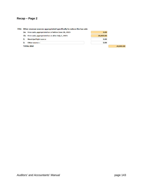# **Recap – Page 2**

#### IIId. Other revenue sources appropriated specifically to reduce the tax rate

|    | <b>1a.</b> Free cashappropriated on or before June 30, 2015 | 0.00      |  |  |  |  |  |
|----|-------------------------------------------------------------|-----------|--|--|--|--|--|
|    | <b>1b.</b> Free cashappropriated on or after July 1, 2015   | 20,000.00 |  |  |  |  |  |
| 2. | <b>Municipal light source</b>                               | 0.00      |  |  |  |  |  |
| 3. | Other source :                                              | 0.00      |  |  |  |  |  |
|    | <b>TOTAL IIId</b>                                           |           |  |  |  |  |  |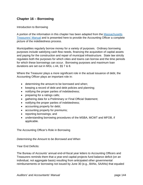# **Chapter 16 – Borrowing**

### Introduction to Borrowing

A portion of the information in this chapter has been adapted from the Massachusetts Treasurers' Manual and is presented here to provide the Accounting Officer a complete picture of the indebtedness process.

Municipalities regularly borrow money for a variety of purposes. Ordinary borrowing purposes include satisfying cash flow needs, financing the acquisition of capital assets and paying for the construction and repair of municipal infrastructure. State law strictly regulates both the purposes for which cities and towns can borrow and the time periods for which these borrowings can occur. Borrowing purposes and maximum loan durations are set out in MGL c.44, §§ 7 & 8.

Where the Treasurer plays a more significant role in the actual issuance of debt, the Accounting Officer plays an important role in:

- determining the amount to be borrowed and when;
- keeping a record of debt and debt policies and planning;
- notifying the proper parties of indebtedness;
- preparing for a ratings calls;
- gathering data for a Preliminary or Final Official Statement;
- notifying the proper parties of indebtedness;
- accounting properly for debt;
- accounting properly for premiums;
- reporting borrowings; and
- understanding borrowing procedures of the MSBA, MCWT and MFOB, if applicable.

The Accounting Officer's Role in Borrowing

#### *Determining the Amount to be Borrowed and When*

#### Year End Deficits:

The Bureau of Accounts' annual end-of-fiscal year letters to Accounting Officers and Treasurers reminds them that a year-end capital projects fund balance deficit (on an individual, not aggregate basis) resulting from anticipated other governmental reimbursements or borrowing not issued by June 30 (e.g., BANs, SAANs) that equaled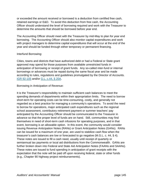or exceeded the amount received or borrowed is a deduction from certified free cash, retained earnings or E&D. To avoid this deduction from free cash, the Accounting Officer should understand the level of borrowing required and work with the Treasurer to determine the amounts that should be borrowed before year end.

The Accounting Officer should meet with the Treasurer by mid-May to plan for year end borrowing. The Accounting Officer should also monitor capital expenditures and work with project managers to determine capital expenditures that will occur at the end of the year and should be funded through either temporary or permanent financing.

# Interfund Borrowing:

Cities, towns and districts that have authorized debt or had a Federal or State grant approved may spend for those purposes from available unrestricted funds in anticipation of borrowing or receipt of grant funds. Any so-called inter-fund or internal borrowings or advances must be repaid during the same fiscal year and be made according to rules, regulations and guidelines promulgated by the Director of Accounts. IGR 92-105 and/or G.L. c.44, § 20A.

Borrowing in Anticipation of Revenue:

It is the Treasurer's responsibility to maintain sufficient cash balances to meet the spending demands of departments within their appropriation limits. The need to borrow short-term for operating costs can be time-consuming, costly, and generally not regarded as a best practice for managing a community's operations. To avoid the need to borrow for operations, major anticipated cash expenditures such as the regional school assessment, contributory retirement payment or summer teachers' pay anticipated by the Accounting Officer should be communicated to the Treasurer in advance so that the proper level of funds are on hand. Still, communities may find themselves in need of short-term cash infusions for operating purposes, and in that event, borrowing is an allowable option. In this event, the community would consider issuing Revenue Anticipation Notes (RANs) or Grant Anticipation Notes (GANs). RANs can be issued for a maximum of one year, are used to stabilize cash flow when the treasurer's cash balances are low or forecasted to go negative (M.G.L. c. 44, § 4). These notes are issued to fill a cash need, usually until receipt of quarterly or semiannual tax payments or local aid distributions from the Commonwealth. GANs are further broken down into Federal and State Aid Anticipation Notes (FAANs and SAANs). These notes are issued to fund spending in anticipation of grant receipts with the expectation that the note will be paid off upon receiving federal, state or other funds (e.g., Chapter 90 highway project reimbursements).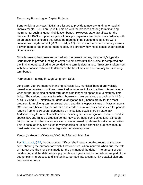Temporary Borrowing for Capital Projects:

Bond Anticipation Notes (BANs) are issued to provide temporary funding for capital improvements. BANs are usually paid off with the proceeds of long-term financing instruments, such as general obligation bonds. However, state law allows for the reissue of a BAN for up to five years if principle payments are made in accordance with an amortization schedule that would be required if the outstanding balance were financed as long-term debt (M.G.L. c. 44, § 17). Since short-term debt normally carries a lower interest rate than permanent debt, this strategy may make sense under certain circumstances.

Once borrowing has been authorized and the project begins, community's typically issue BANs to provide funding to cover project costs until the project is completed and the final amount required to be bonded long-term is determined. Treasurer's often work with their financial advisors to determine the best times for a community to issue longterm bonds.

Permanent Financing through Long-term Debt:

Long-term Debt Permanent financing vehicles (i.e., municipal bonds) are typically issued when market conditions make it advantageous to lock in a fixed interest rate or when further refunding of short-term debt is no longer an option due to statutory time limits. The various purposes for which borrowings are permitted are outlined in M.G.L. c. 44, § 7 and § 8. Nationwide, general obligation (GO) bonds are by far the most prevalent form of long-term municipal debt, and this is especially true in Massachusetts. GO bonds are backed by the full faith and credit of a municipality and issued for periods ranging from 5 to 30 years, depending on limitations established by state law. Additional long-term debt vehicles exist, including pension obligation, revenue, conduit, special tax, and limited obligation bonds. However, these complex options, although fairly common in other states, are almost never issued by Massachusetts communities. This is because they are suited to very specific or unique financing purposes that, in most instances, require special legislation or state approval.

# *Keeping a Record of Debt and Debt Policies and Planning*

Per G.L. c. 41, § 57, the Accounting Officer "shall keep a detailed record of the town debt, showing the purpose for which it was incurred, when incurred, when due, the rate of interest and the provisions made for the payment of the debt." The amount of debt outstanding and the debt service payments each year must be considered as part of the budget planning process and is often incorporated into a community's capital plan and debt service policy.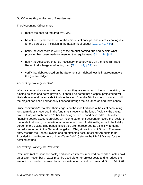# *Notifying the Proper Parties of Indebtedness*

The Accounting Officer must:

- record the debt as required by UMAS;
- be notified by the Treasurer of the amounts of principal and interest coming due for the purpose of inclusion in the next annual budget (G.L. c. 41, § 59);
- notify the Assessors in writing of the amount coming due and explain what provision has been made for meeting the requirement (G.L. c. 44, § 16);
- notify the Assessors of funds necessary to be provided on the next Tax Rate Recap to discharge a refunding loan (G.L. c. 44, § 6A); and
- verify that debt reported on the Statement of Indebtedness is in agreement with the general ledger.

# *Accounting Properly for Debt*

When a community issues short-term notes, they are recorded in the fund receiving the funding as cash and notes payable. It should be noted that a capital project fund will likely show a fund balance deficit while the cash from the BAN is spent down and until the project has been permanently financed through the issuance of long-term bonds.

Since community's maintain their ledgers on the modified accrual basis of accounting, long-term debt is recorded in the fund that is receiving the funds (typically the capital project fund) as cash and an "other financing source – bond proceeds". This other financing source account provides an income statement account to record the receipt of the funds that is not, by definition, a revenue account. Additionally, to track the liability portion of the outstanding bonds, since they are not recorded as a liability, a memo record is recorded in the General Long-Term Obligations Account Group. The memo entry records the Bonds Payable and an offsetting account called "Amounts to be Provided for the Retirement of Long-Term Debt". (refer to the UMAS Manual for the detailed entries.)

#### *Accounting Properly for Premiums*

Premiums (net of issuance costs) and accrued interest received on bonds or notes sold on or after November 7, 2016 must be used either for project costs and to reduce the amount borrowed or reserved for appropriation for capital purposes. M.G.L. c. 44, § 20.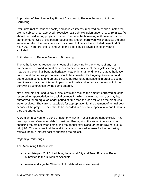Application of Premium to Pay Project Costs and to Reduce the Amount of the **Borrowing** 

Premiums (net of issuance costs) and accrued interest received on bonds or notes that are the subject of an approved Proposition 2½ debt exclusion under G.L. c. 59, § 21C(k) should be used to pay project costs and to reduce the borrowing authorization by the same amount. Use of this option reduces the amount borrowed, which adjusts the debt service to reflect the true interest cost incurred to finance the excluded project. M.G.L. c. 44, § 20. Therefore, the full amount of the debt service payable in each year is excluded.

# Authorization to Reduce Amount of Borrowing

The authorization to reduce the amount of a borrowing by the amount of any net premium and accrued interest must be contained in a vote of the legislative body. It may be in the original bond authorization vote or in an amendment of that authorization vote. Bond and municipal counsel should be consulted for language to use in bond authorization votes and to amend existing borrowing authorizations in order to use net premiums and accrued interest to pay project costs and to reduce the amount of the borrowing authorization by the same amount.

Net premiums not used to pay project costs and reduce the amount borrowed must be reserved for appropriation for capital projects for which a loan has been, or may be, authorized for an equal or longer period of time than the loan for which the premiums were received. They are not available for appropriation for the payment of annual debt service of the project. They should be recorded in a separate special revenue fund until they are appropriated.

A premium received for a bond or note for which a Proposition 2½ debt exclusion has been approved ("excluded debt"), must be offset against the stated interest cost of financing the project when computing the annual exclusions for the borrowing. G.L. c. 44, § 20. This ensures that the additional amount raised in taxes for the borrowing reflects the true interest cost of financing the project.

# *Reporting Borrowings*

The Accounting Officer must:

- complete part X of Schedule A, the annual City and Town Financial Report submitted to the Bureau of Accounts
- review and sign the Statement of Indebtedness (see below);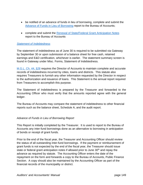- be notified of an advance of funds in lieu of borrowing, complete and submit the Advance of Funds in Lieu of Borrowing report to the Bureau of Accounts;
- complete and submit the Renewal of State/Federal Grant Anticipation Notes report to the Bureau of Accounts

#### *Statement of Indebtedness*

The statement of indebtedness as of June 30 is required to be submitted via Gateway by September 30 or upon submission of a balance sheet for free cash, retained earnings and E&D certification, whichever is earlier. The statement summary screen is found in Gateway under Misc. Forms, Statement of Indebtedness.

M.G.L. Ch. 44, §28 requires the Director of Accounts to maintain complete and accurate records of indebtedness incurred by cities, towns and districts. This statute also requires Treasurers to furnish any other information requested by the Director in respect to the authorization and issuance of loans. This Statement is the annual report required from Treasurers to accomplish this purpose.

The Statement of Indebtedness is prepared by the Treasurer and forwarded to the Accounting Officer who must verify that the amounts reported agree with the general ledger.

The Bureau of Accounts may compare the statement of indebtedness to other financial reports such as the balance sheet, Schedule A, and the audit report.

#### *Advance of Funds in Lieu of Borrowing Report*

This Report is initially completed by the Treasurer. It is used to report to the Bureau of Accounts any inter-fund borrowings done as an alternative to borrowing in anticipation of bonds or receipt of grant funds.

Prior to the end of the fiscal year, the Treasurer and Accounting Officer should review the status of all outstanding inter-fund borrowings. If the payment or reimbursement of grant funds is not expected by the end of the fiscal year, the Treasurer should issue state or federal grant anticipation notes if allowed prior to June 30<sup>th</sup> and repay the advance as required by statute. The Accounting Officer enters the date of the repayment on the form and forwards a copy to the Bureau of Accounts, Public Finance Section. A copy should also be maintained by the Accounting Officer as part of the financial records of the municipality or district.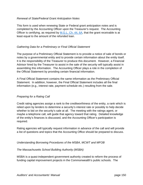# *Renewal of State/Federal Grant Anticipation Notes*

This form is used when renewing State or Federal grant anticipation notes and is completed by the Accounting Officer upon the Treasurer's request. The Accounting Officer is certifying, as required by M.G.L. Ch. 44, 6A, that the grant receivable is at least equal to the amount of the refunded loan.

# *Gathering Data for a Preliminary or Final Official Statement*

The purpose of a Preliminary Official Statement is to provide a notice of sale of bonds or notes by a governmental entity and to provide certain information about the entity itself. It is the responsibility of the Treasurer to produce this document. However, a Financial Advisor hired by the Treasurer to assist in the sale of the security will typically assist in assembling this information. The Accounting Officer plays a role in the completion of the Official Statement by providing certain financial information.

A Final Official Statement contains the same information as the Preliminary Official Statement. In addition, however, the Final Official Statement includes all the final information (e.g., interest rate, payment schedule etc.) resulting from the sale.

#### *Preparing for a Rating Call*

Credit rating agencies assign a rank to the creditworthiness of the entity, a rank which is relied upon by lenders to determine a security's interest rate or possibly to help decide whether to bid on the security's sale at all. The meeting with the ratings agent, or maybe a telephone call, will guide that agency toward that rating. Detailed knowledge of the entity's finances is discussed, and the Accounting Officer's participation is required.

Rating agencies will typically request information in advance of the call and will provide a list of questions and topics that the Accounting Office should be prepared to discuss.

#### *Understanding Borrowing Procedures of the MSBA, MCWT and MFOB*

#### *The Massachusetts School Building Authority (MSBA)*

MSBA is a quasi-independent government authority created to reform the process of funding capital improvement projects in the Commonwealth's public schools. The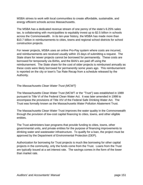MSBA strives to work with local communities to create affordable, sustainable, and energy efficient schools across Massachusetts.

The MSBA has a dedicated revenue stream of one penny of the state's 6.25% sales tax, is collaborating with municipalities to equitably invest up to \$2.5 billion in schools across the Commonwealth. In its ten-year history, the MSBA has made more than \$10.7 billion in reimbursements to cities, towns and regional school districts for school construction projects.

For newer projects, MSBA uses an online Pro-Pay system where costs are incurred, and reimbursements are received usually within 15 days of submitting a request. The State share for newer projects cannot be borrowed for permanently. These costs are borrowed for temporarily via BANs, and the BAN's are paid off using the reimbursement. The State share for the cost of older projects is reimbursed annually as these costs were likely borrowed for permanently some years ago. This reimbursement is reported on the city or town's Tax Rate Recap from a schedule released by the Authority.

# The *Massachusetts Clean Water Trust (MCWT)*

The Massachusetts Clean Water Trust (MCWT or the "Trust") was established in 1989 pursuant to Title VI of the Federal Clean Water Act. It was later amended in 1998 to encompass the provisions of Title XIV of the Federal Safe Drinking Water Act. The Trust was formally known as the Massachusetts Water Pollution Abatement Trust.

The Massachusetts Clean Water Trust improves the water quality in the Commonwealth through the provision of low-cost capital financing to cities, towns, and other eligible entities.

The Trust administers loan programs that provide funding to cities, towns, other governmental units, and private entities for the purpose of financing improvements to drinking water and wastewater infrastructure. To qualify for a loan, the project must be approved by the Department of Environmental Protection (DEP).

Authorization for borrowing for Trust projects is much like borrowing for other capital projects in the community, only the funds come from the Trust. Loans from the Trust are typically issued at a set interest rate. The savings comes in the form of the lower than market rate.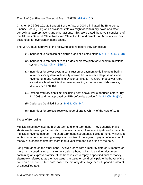# *The Municipal Finance Oversight Board (MFOB, IGR 04-101)*

Chapter 149 §§95-101, 215 and 254 of the Acts of 2004 eliminated the Emergency Finance Board (EFB) which provided state oversight of certain city, town or district borrowings, appropriations and other actions. This law created the MFOB consisting of the Attorney General, State Treasurer, State Auditor and Director of Accounts, or their designees, for oversight in some cases.

The MFOB must approve of the following actions before they can occur:

- (1) Incur debt to establish or enlarge a gas or electric plant; M.G.L. Ch. 44  $\S$  8(8);
- (2) Incur debt to remodel or repair a gas or electric plant or telecommunications system; M.G.L. Ch. 44 §8(8A);
- (3) Incur debt for sewer system construction or payment to tie into neighboring municipality's system, unless city or town has a sewer enterprise or special revenue fund and Accounting Officer certifies to Treasurer that sewer rates are set at a level sufficient to cover operating expenses and debt service; M.G.L. Ch. 44 §8(15);
- (4) Exceed statutory debt limit (including debt above limit authorized before July 31, 2003 and not approved by EFB before its abolition); M.G.L Ch. 44 §10;
- (5) Designate Qualified Bonds; M.G.L. Ch. 44A;
- (6) Incur debt for projects receiving federal grants Ch. 74 of the Acts of 1945.

Types of Borrowing

Municipalities may incur both short-term and long-term debt. They generally make short-term borrowings for periods of one year or less, often in anticipation of a particular municipal revenue source. The short-term debt instrument is called a "note," which is a written document containing an express promise of the signer to pay a definite sum of money at a specified time not more than a year from the execution of the note.

Long-term debt, on the other hand, involves loans with a maturity date of 12 months or more. It is issued using an instrument called a bond, which is a written document containing an express promise of the bond issuer to repay a specified sum of money, alternately referred to as the face value, par value or bond principal, to the buyer of the bond on a specified future date, called the maturity date, together with periodic interest at a specified rate.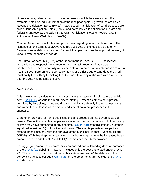Notes are categorized according to the purpose for which they are issued. For example, notes issued in anticipation of the receipt of operating revenues are called Revenue Anticipation Notes (RANs); notes issued in anticipation of bond proceeds are called Bond Anticipation Notes (BANs); and notes issued in anticipation of state and federal grant receipts are called State Grant Anticipation Notes or Federal Grant Anticipation Notes (SAANs and FAANs).

Chapter 44 sets out strict rules and procedures regarding municipal borrowing. The issuance of long-term debt always requires a 2/3 vote of the legislative authority. Certain types of debt, such as debt for landfill capping, require the approval, as well, of various state agencies or boards.

The Bureau of Accounts (BOA) of the Department of Revenue (DOR) possesses jurisdiction and responsibility to monitor and maintain records of municipal indebtedness. Each community must complete a Statement of Indebtedness and return it to the BOA. Furthermore, upon a city, town, or district's authorizing debt, the Clerk must notify the BOA by furnishing the Director with a copy of the vote within 48 hours after the vote has become effective.

# *Debt Limitations*

Cities, towns and districts must comply strictly with chapter 44 in all matters of public debt.  $Ch.44, S.2$  asserts this requirement, stating, "Except as otherwise expressly permitted by law, cities, towns and districts shall incur debt only in the manner of voting and within the limitations as to amount and time of payment prescribed in this chapter…."

Chapter 44 provides for numerous limitations and procedures that govern local debt issues. One of these limitations places a ceiling on the maximum amount of debt a city or town may have authorized at any one time. Ch.44, §10 sets this limit at 5% of their equalized valuation (EQV) for cities and towns. The statute permits municipalities to exceed these limits only with the approval of the Municipal Finance Oversight Board (MFOB). With Board approval, a city or town's borrowing limit may be increased by an amount up to an additional 5% of its EQV, sometimes for a term provided.

The aggregate amount of a community's authorized and outstanding debt for purposes of the Ch.44, §10 debt limit, however, includes only the debt authorized under Ch.44, §7. The borrowing purposes set out in this statute are "inside" the debt limit. The borrowing purposes set out in Ch.44, §8, on the other hand, are "outside" the Ch.44, §10 debt limit.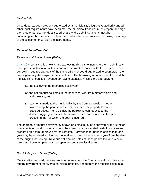### *Issuing Debt*

Once debt has been properly authorized by a municipality's legislative authority and all other legal requirements have been met, the municipal treasurer must prepare and sign the notes or bonds. For debt issued by a city, the debt instruments must be countersigned by the mayor, unless the charter otherwise provides. In towns, a majority of the selectmen must sign the instruments.

# *Types of Short-Term Debt*

# *Revenue Anticipation Notes (RANs)*

Ch.44, § 4 permits cities, towns and tax-levying districts to incur short-term debt in any fiscal year in anticipation of taxes and other current revenues of that fiscal year. Such borrowing requires approval of the same official or board authorized to countersign the notes, generally the mayor or the selectmen. The borrowing amount cannot exceed the municipality's "certified" revenue borrowing capacity, which is the aggregate of:

- (1) the tax levy of the preceding fiscal year;
- (2) the net amount collected in the prior fiscal year from motor vehicle and trailer excise, and
- (3) payments made to the municipality by the Commonwealth in lieu of taxes during the prior year as reimbursement for property taken for State purposes. For a district, the borrowing cannot exceed the district's aggregate receipts from taxes, rates, and services in the year preceding that for which the debt is incurred.

The aggregate amount borrowed by a town or district must be approved by the Director of Accounts or bond counsel and must be shown on an estimated cash flow statement prepared on a form approved by the Director. Borrowings for periods of less than one year may be renewed, so long as the total term does not exceed one year from the date of the original borrowing. Revenue anticipation notes must be paid within one year of their date; however, payment may span two separate fiscal years.

#### *Grant Anticipation Notes (GANs)*

Municipalities regularly receive grants of money from the Commonwealth and from the federal government for diverse municipal projects. Frequently, the municipalities must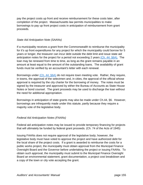pay the project costs up front and receive reimbursement for these costs later, after completion of the project. Massachusetts law permits municipalities to make borrowings to pay up front project costs in anticipation of reimbursement from grant proceeds.

# *State Aid Anticipation Note (SAANs)*

If a municipality receives a grant from the Commonwealth to reimburse the municipality for it's up front expenditures for any project for which the municipality could borrow for 5 years or longer, the treasurer can incur debt outside the debt limit and issue state aid anticipation notes for the project for a period not exceeding 2 years (Ch. 44: §6A). The loan may be renewed from time to time, as long as the grant remains payable in an amount at least equal to the amount of the outstanding loans. The availability of grant funds must be verified by an accountant's letter with each renewal.

Borrowings under (Ch. 44: §6A) do not require town meeting vote. Rather, they require, in towns, the approval of the selectmen and, in cities, the approval of the official whose approval is required by the city charter for the borrowing of money. The notes must be signed by the treasurer and approved by either the Bureau of Accounts as State House Notes or bond counsel. The grant proceeds may be used to discharge the loan without the need for additional appropriation.

Borrowings in anticipation of state grants may also be made under Ch.44, §6. However, borrowings are infrequently made under this statute, partly because they require a majority vote of the legislative body.

# *Federal Aid Anticipation Notes (FAANs)*

Federal aid anticipation notes may be issued to provide temporary financing for projects that will ultimately be funded by federal grant proceeds. (Ch. 74 of the Acts of 1945)

Issuing FAANs does not require approval of the legislative body; however, the legislative body must have voted to approve the project and have authorized debt for the local share of the project costs. If a grant is awarded to reimburse the costs for a public works project, the municipality must obtain approval from the Municipal Finance Oversight Board and the Governor before undertaking the project or issuing FAANs. To obtain such approval, the municipality must submit to the Municipal Finance Oversight Board an environmental statement, grant documentation, a project cost breakdown and a copy of the town or city vote accepting the grant.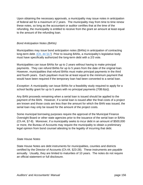Upon obtaining the necessary approvals, a municipality may issue notes in anticipation of federal aid for a maximum of 2 years. The municipality may from time to time renew these notes, so long as the accountant or auditor certifies that at the time of the refunding, the municipality is entitled to receive from the grant an amount at least equal to the amount of the refunding loan.

# *Bond Anticipation Notes (BANs)*

Municipalities may issue bond anticipation notes (BANs) in anticipation of contracting long-term debt. (Ch. 44 §17) Prior to issuing BANs, a municipality's legislative body must have specifically authorized the long-term debt with a 2/3 vote.

Municipalities can issue BANs for up to 2 years without having to make principal payments. They can refund BANs for up to 5 years from the date of the original loan. However, municipalities that refund BANs must make principal payments in the third and fourth years. Each paydown must be at least equal to the minimum payment that would have been required if the temporary loan had been converted to a serial loan.

*Exception:* A municipality can issue BANs for a feasibility study required to apply for a school facility grant for up to 5 years with no principal payments {70B:6(e)}.

Any BAN proceeds remaining when a serial loan is issued should be applied to the payment of the BAN. However, if a serial loan is issued after the final costs of a project are known and those costs are less than the amount for which the BAN was issued, the serial loan may only be issued for the amount of the project costs.

Some municipal borrowing purposes require the approval of the Municipal Finance Oversight Board or other state agencies prior to the issuance of the serial loan or BANs (Ch.44, §7-8). Moreover, if a municipality seeks to incur debt in an amount of \$500,000 or more, the Bureau of Accounts may require the municipality to obtain a preliminary legal opinion from bond counsel attesting to the legality of incurring that debt.

#### *State House Notes*

State House Notes are debt instruments for municipalities, counties and districts certified by the Director of Accounts (Ch.44, §23-28). These instruments are payable annually. Usually, they are limited to maturities of 10 years. The notes do not require an official statement or full disclosure.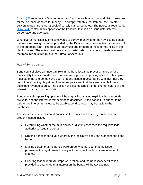Ch.44, §23 requires the Director to furnish forms to each municipal and district treasurer for the issuance of notes for money. To comply with this requirement, the Director delivers to each treasurer a book of serially numbered notes. The notes, as required by C.44, §24, contain blank spaces for the treasurer to insert an issue date, interest percentage and due date.

Whenever a municipality or district votes to borrow money other than by issuing bonds, the treasurer, using the forms provided by the Director, may make notes for the amount of the proposed loan. The treasurer may use one or more of these forms, filling in the blank spaces. The notes must be issued in serial order. If a note is somehow ruined, the treasurer must return it to the Bureau of Accounts.

# *Role of Bond Counsel*

Bond counsel plays an important role in the bond issuance process. In order for a municipality to issue bonds, bond counsel must give an approving opinion. This opinion must state that the bonds have been properly issued in accordance with law, that they constitute a binding obligation of the municipality and that they are payable from a described revenue source. The opinion will also describe the tax-exempt nature of the interest to be paid on the bonds.

Bond counsel's approving opinion will be unqualified, stating explicitly that the bonds are valid, and the interest is tax-exempt as described. If the bonds turn out not to be valid or the interest turns out to be taxable, bond counsel may be liable to the purchaser.

The services provided by bond counsel in the process of assuring that bonds are properly issued include:

- Determining whether the municipality or district possesses the requisite legal authority to issue the bonds;
- Drafting a motion for a vote whereby the legislative body can authorize the bond issue;
- Making certain that the bonds were properly authorized, that the issuer possesses the legal power to carry out the project the bonds are intended to finance;
- Ensuring that all requisite steps were taken, and the necessary certification provided to guarantee that interest on the bonds will be tax-exempt.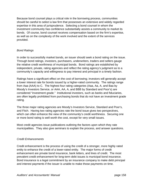Because bond counsel plays a critical role in the borrowing process, communities should be careful to select a law firm that possesses an extensive and widely regarded expertise in this area of jurisprudence. Selecting a bond counsel in whom the investment community has confidence substantially assists a community to market its bonds. Of course, bond counsel receives compensation based on the firm's expertise, as well as on the complexity of the work involved and the extent of the services provided.

# *Bond Ratings*

In order to successfully market bonds, an issuer should seek a bond rating on the issue. Through bond ratings, investors, purchasers, underwriters, traders and sellers gauge the relative credit worthiness of municipal bonds. Bond ratings are established by independent, private, rating agencies and reflect the rating agency's judgment as to a community's capacity and willingness to pay interest and principal in a timely fashion.

Ratings have a significant effect on the cost of borrowing; investors will generally accept a lower interest rate for bonds issued by a higher-rated community. The ratings range from Aaa (AAA) to C. The highest four rating categories (Aaa, Aa, A, and Baa by Moody's Investors Service, or AAA, AA, A, and BBB by Standard and Poor's) are considered "investment grade." Institutional investors, such as banks and fiduciaries, are often legally prohibited from purchasing bonds that do not have an investment grade rating.

The three major rating agencies are Moody's Investors Service, Standard and Poor's, and Fitch. Having two rating agencies rate the bond issue gives two perspectives, which can often enhance the view of the community's credit worthiness. Securing one or more bond rating is well worth the cost, except for very small issues.

Most credit agencies issue publications outlining the factors upon which they rate municipalities. They also give seminars to explain the process, and answer questions.

#### *Credit Enhancements*

Credit enhancement is the process of using the credit of a stronger, more highly rated entity to enhance the credit of a lower-rated entity. The major forms of credit enhancement are private bond insurance, bank letters, and lines of credit. The most prevalent credit enhancement for long-term debt issues is municipal bond insurance. Bond insurance is a legal commitment by an insurance company to make debt principal and interest payments if the issuer is unable to make those payments on time.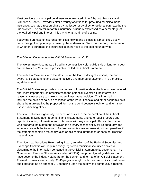Most providers of municipal bond insurance are rated triple A by both Moody's and Standard & Poor's. Providers offer a variety of options for procuring municipal bond insurance, such as direct purchase by the issuer or by direct or optional purchase by the underwriter. The premium for this insurance is usually expressed as a percentage of the total principal and interest; it is payable at the time of closing.

Today the purchase of insurance for cities, towns and districts is almost exclusively done through the optional purchase by the underwriter. With this method, the decision of whether to purchase the insurance is entirely left to the bidding underwriter.

# *The Offering Documents – the Official Statement or "O/S"*

The two, primary documents utilized in a competitively bid, public sale of long-term debt are the Notice of Sale and a prospectus, called the Official Statement.

The Notice of Sale sets forth the structure of the loan, bidding restrictions, method of award, anticipated time and place of delivery and method of payment. It is a precise, legal document.

The Official Statement provides more general information about the bonds being offered and, more importantly, communicates to the potential investor all the information reasonably necessary to make a prudent investment decision. This information includes the notice of sale, a description of the issue, financial and other economic data about the municipality, the proposed form of the bond counsel's opinion and forms for use in submitting offers.

The financial advisor generally prepares or assists in the preparation of the Official Statement, utilizing audit reports, financial statements and other public records and reports, including information from interviews with key municipal officials. No matter who prepares the statement, however, the primary responsibility for its adequacy and accuracy lies with the treasurer. Federal securities law imposes significant penalties if the statement contains materially false or misleading information or does not disclose material facts.

The Municipal Securities Rulemaking Board, an adjunct of the Federal Securities and Exchange Commission, requires every registered municipal securities dealer to disseminate the information contained in the Official Statement to its customers. The Government Finance Officers Association (GFOA) has promulgated guidelines that have become the industry standard for the content and format of an Official Statement. These documents are typically 30-40 pages in length, with the community's most recent audit attached as an appendix. Depending upon the quality of a community's records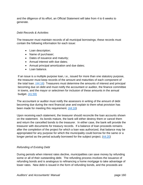and the diligence of its effort, an Official Statement will take from 4 to 6 weeks to generate.

# *Debt Records & Activities*

The treasurer must maintain records of all municipal borrowings; these records must contain the following information for each issue:

- Loan description;
- Name of purchaser;
- Dates of issuance and maturity;
- Annual interest with due dates;
- Annual principal amortization and due dates;
- Loan balance.

If an issue is a multiple purpose loan, i.e., issued for more than one statutory purpose, the treasurer must keep records of the amount and maturities of each component of the total loan. (44:16) Treasurers must determine the amounts of interest and principal becoming due on debt and must notify the accountant or auditor, the finance committee in towns, and the mayor or selectmen for inclusion of these amounts in the annual budget. (41:59)

The accountant or auditor must notify the assessors in writing of the amount of debt becoming due during the next financial year and explain to them what provision has been made for meeting this requirement. (44:16)

Upon receiving each statement, the treasurer should reconcile the loan accounts shown on the statement. As bonds mature, the bank will either destroy them or cancel them and return the cancelled bonds to the treasurer. In either case, the bank will provide the treasurer with documents for treasury records. If a balance of loan proceeds remains after the completion of the project for which a loan was authorized, that balance may be appropriated for any purpose for which the municipality could borrow for the same or a longer period as the period actually borrowed for the subject project.  $(44:20)$ 

#### *Refunding of Existing Debt*

During periods when interest rates decline, municipalities can save money by refunding some or all of their outstanding debt. The refunding process involves the issuance of refunding bonds and is analogous to refinancing a home mortgage to take advantage of lower rates. New debt is issued in the form of refunding bonds, and the proceeds are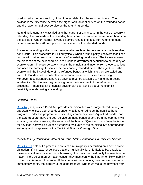used to retire the outstanding, higher interest debt, i.e., the refunded bonds. The savings is the difference between the higher annual debt service on the refunded bonds and the lower annual debt service on the refunding bonds.

Refunding is generally classified as either current or advanced. In the case of a current refunding, the proceeds of the refunding bonds are used to retire the refunded bonds on the call date. Under Internal Revenue Service regulations, a current refunding must occur no more than 90 days prior to the payment of the refunded bonds.

Advanced refunding is the procedure whereby one bond issue is replaced with another bond issue. This procedure is utilized typically when a municipality discovers that it can borrow with better terms than the terms of an existing bond issue. The treasurer uses the proceeds of the new bond issue to purchase government securities to be held by an escrow agent. The escrow agent invests the principal and income from these securities and uses the earnings to service the outstanding refunded debt. The agent holds the escrow until the first call date of the refunded bonds at which time they are called and paid off. Bonds must be callable in order for a treasurer to utilize a refunding. Moreover, a sufficient present value savings must be available to make the process worthwhile. Strict federal regulations govern the investment of the refunding bond proceeds. A municipality's financial advisor can best advise about the financial feasibility of undertaking a refunding.

#### *Qualified Bonds*

Ch. 44A (the Qualified Bond Act) provides municipalities with marginal credit ratings an opportunity to issue approved debt under what is referred to as the qualified bond program. Under this program, a participating community issues "qualified bonds," and the state treasurer pays the debt service on these bonds directly from the community's local aid, thereby increasing the security of the bonds. "Qualified bonds" may be issued for any legal borrowing purpose authorized by a vote of the municipality's appropriating authority and by approval of the Municipal Finance Oversight Board.

#### *Inability to Pay Principal or Interest on Debt - State Distributions to Pay Debt Service*

Ch. 44 §19A sets out a process to prevent a municipality's defaulting on a debt service obligation. If a Treasurer believes that the municipality is, or is likely to be, unable to make an installment payment on a borrowing, the treasurer must notify the selectmen or mayor. If the selectmen or mayor concur, they must certify the inability or likely inability to the commissioner of revenue. If the commissioner concurs, the commissioner must immediately certify the inability to the state treasurer who must make the payment from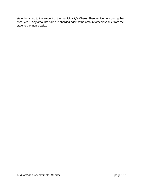state funds, up to the amount of the municipality's Cherry Sheet entitlement during that fiscal year. Any amounts paid are charged against the amount otherwise due from the state to the municipality.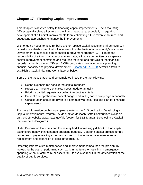# **Chapter 17 – Financing Capital Improvements**

This Chapter is devoted solely to financing capital improvements. The Accounting Officer typically plays a key role in the financing process, especially in regard to development of a Capital Improvements Plan, estimating future revenue sources, and suggesting approaches to finance the improvements.

With ongoing needs to acquire, build and/or replace capital assets and infrastructure, it is best to establish a plan that will operate within the limits of a community's resources. Development of a capital plan or capital improvement program (CIP) can be the responsibility of a town manager or administrator, a finance committee or a separate capital improvement committee and requires the input and analysis of the financial records by the Accounting Officer. A CIP coordinates the city or town's planning, financial capacity and physical development. Chapter 41, § 106B permits a town to establish a Capital Planning Committee by bylaw.

Some of the tasks that should be completed in a CIP are the following:

- Define expenditures considered capital requests
- Prepare an inventory of capital needs; update annually
- Prioritize capital requests according to objective criteria
- Present a comprehensive capital budget and multi-year capital program annually
- Consideration should be given to a community's resources and plan for financing capital needs.

For more information on this topic, please refer to the DLS publication Developing a Capital Improvements Program: A Manual for Massachusetts Communities available on the DLS website www.mass.gov/dls (search for DLS Manual: Developing a Capital Improvements Program.)

Under Proposition 2½, cities and towns may find it increasingly difficult to fund capital expenditure debt within tightened operating budgets. Deferring capital projects to free resources to pay operating expenses can lead to inadequate maintenance, repair, replacement and expansion of local infrastructure.

Deferring infrastructure maintenance and improvement compounds the problem by increasing the cost of performing such work in the future or resulting in emergency spending when infrastructure or assets fail. Delays also result in the deterioration of the quality of public services.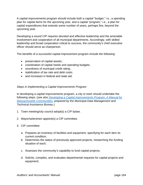A capital improvements program should include both a capital "budget," i.e., a spending plan for capital items for the upcoming year, and a capital "program," i.e., a plan for capital expenditures that extends some number of years, perhaps five, beyond the upcoming year.

Developing a sound CIP requires devoted and effective leadership and the amenable involvement and cooperation of all municipal departments. Accordingly, with skilled leadership and broad cooperation critical to success, the community's chief executive officer should serve as chairperson.

The benefits of a successful capital improvement program include the following:

- preservation of capital assets;
- coordination of capital needs and operating budgets;
- soundness of municipal credit rating;
- stabilization of tax rate and debt costs:
- and increases in federal and state aid.

# *Steps in Implementing a Capital Improvements Program*

In developing a capital improvements program, a city or town should undertake the following steps. (*see also Developing a Capital Improvements Program: A Manual for Massachusetts Communities, prepared by the Municipal Data Management and Technical Assistance Bureau.*)

- 1. Town meeting/city council adopt(s) a CIP bylaw.
- 2. Mayor/selectmen appoint(s) a CIP committee.
- 3. CIP committee:
	- a. Prepares an inventory of facilities and equipment, specifying for each item its current condition;
	- b. Determines the status of previously approved projects, researching the funding situation of each;
	- c. Assesses the community's capability to fund capital projects;
	- d. Solicits, compiles, and evaluates departmental requests for capital projects and equipment;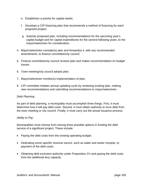- e. Establishes a priority for capital needs;
- f. Develops a CIP financing plan that recommends a method of financing for each proposed project;
- g. Submits proposed plan, including recommendations for the upcoming year's capital budget and for capital expenditures for the several following years, to the mayor/selectmen for consideration.
- 4. Mayor/selectmen consider(s) plan and forward(s) it, with any recommended amendments, to finance committee/city council;
- 5. Finance committee/city council reviews plan and makes recommendation on budget issues;
- 6. Town meeting/city council adopts plan;
- 7. Mayor/selectmen monitor(s) implementation of plan;
- 8. CIP committee initiates annual updating cycle by reviewing existing plan, making new recommendations and submitting recommendations to mayor/selectmen.

#### *Debt Planning*

As part of debt planning, a municipality must accomplish three things. First, it must determine how it will pay debt costs. Second, it must obtain authority to incur debt from the town meeting or city council. Finally, it must carry out the actual issuance process.

#### *Ability to Pay*

Municipalities must choose from among three possible options in funding the debt service of a significant project. These include:

- Paying the debt costs from the existing operating budget;
- Dedicating some specific revenue source, such as water and sewer receipts, to payment of the debt costs;
- Obtaining debt exclusion authority under Proposition 2<sup>1</sup>/<sub>2</sub> and paying the debt costs from the additional levy capacity.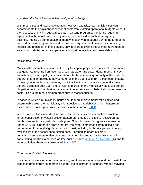# *Absorbing the Debt Service within the Operating Budget*

With most cities and towns levying at or near levy capacity, few municipalities can accommodate the payment of new debt costs from existing operational budgets without the necessity of making substantial cuts in existing programs. For loans requiring repayment with annual principal payments, the interest due each year regularly declines, freeing up some additional money in each year's budget during the term of the debt. Most loan repayments are structured with equal annual payments, combining interest and principal. In these cases, only in years following the ultimate retirement of an existing debt issue can an operational budget generally absorb new debt costs.

#### *Designated Revenues*

Municipalities sometimes incur debt to pay for capital projects of municipal departments that generate revenue from user fees, such as water and sewer departments. In such an instance, a municipality, in cooperation with the rate setting authority of the particular department, might decide to pay some or all of the debt costs from those fees. Instead of issuing revenue bonds, however, municipalities in such instances generally issue general obligation debt upon the full faith and credit of the municipality because general obligation debt may be obtained at a lower interest rate and substantially lower issuance costs. This is the most common procedure in Massachusetts.

In cases in which a municipality incurs debt to fund improvements for a limited and determinable area, the municipality might decide to pay debt costs from betterment assessments made upon property owners in those areas.  $(80:1)$ 

When municipalities incur debt for particular projects, such as school construction, library construction or water pollution abatement, they are entitled to receive partial reimbursement from a particular state grant. School construction grants are awarded under Ch. 70B. Under this grant program, the state reimburses communities a set percentage of the total eligible construction cost, including both principal and interest, over the life of the school construction debt. Through its board of library commissioners, the state also provides grants to cities and towns for assistance in constructing facilities to be used as free public libraries (G.L. c. 78, §§ 19H-19K) and for water pollution abatement projects (G.L. c. 29C).

# *Proposition 2½ Debt Exclusions*

In a community levying at or near capacity, and therefore unable to fund debt costs for a proposed project from its operating budget, the selectmen, or council, with the mayor's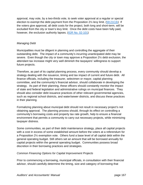approval, may vote, by a two-thirds vote, to seek voter approval at a regular or special election to exempt the debt payment from the Proposition  $2\frac{1}{2}$  levy limit. (59:21C(k) If the voters give approval, all debt costs for the project, both long and short-term, will be excluded from the city or town's levy limit. Once the debt costs have been fully paid, however, the exclusion authority lapses. (IGR No. 02-101)

# *Managing Debt*

Municipalities must be diligent in planning and controlling the aggregate of their outstanding debt. The impact of a community's incurring unanticipated debt may be severe. Even though the city or town may approve a Proposition 2½ debt exclusion, the attendant tax increase might very well diminish the taxpayers' willingness to support future projects.

Therefore, as part of its capital planning process, every community should develop a strategy dealing with the issuance, timing and tax impact of current and future debt. All finance officials, including the treasurer, selectmen or mayor, capital planning committee, and the community's financial advisor, should collaborate in developing the strategy. As part of their planning, these officers should constantly monitor the impact of state and federal legislation and administrative rulings on municipal finances. They should also consider debt issuance practices of other relevant governmental agencies, such as regional school districts, and water/sewer districts, and discuss these practices in their planning.

Formalizing planning about municipal debt should not result in necessary project's not obtaining approval. The planning process should, through its effect on controlling a community's borrowing costs and property tax rate growth, help to ensure a financial environment that permits a community to carry out necessary projects, while minimizing taxpayer distress.

Some communities, as part of their debt maintenance strategy, place all capital projects with a cost in excess of some established amount before the voters at a referendum for a Proposition 2½ exemption vote. Others fund a base level of all capital debt within the general operating budget. Still others set an amount that will be borrowed annually for capital projects within the general operating budget. Communities possess broad discretion in their borrowing practices and strategies.

# *Common Financing Options for Capital Improvement Projects*

Prior to commencing a borrowing, municipal officials, in consultation with their financial advisor, should carefully determine the timing, size and category of borrowing that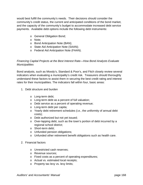would best fulfill the community's needs. Their decisions should consider the community's credit status, the current and anticipated conditions of the bond market, and the capacity of the community's budget to accommodate increased debt service payments. Available debt options include the following debt instruments:

- o General Obligation Bond;
- o Note;
- o Bond Anticipation Note (BAN);
- o State Aid Anticipation Note (SAAN);
- o Federal Aid Anticipation Note (FAAN).

### *Financing Capital Projects at the Best Interest Rate—How Bond Analysts Evaluate Municipalities*

Bond analysts, such as Moody's, Standard & Poor's, and Fitch closely review several indicators when evaluating a municipality's credit risk. Treasurers should thoroughly understand these factors to assist them in securing the best credit rating and interest rates for their municipalities. The indicators fall within four, basic areas:

- 1. Debt structure and burden
	- o Long-term debt;
	- o Long-term debt as a percent of full valuation;
	- o Debt service as a percent of operating revenue;
	- o Long-term debt per capita;
	- o Yearly debt retirement schedules (i.e., the uniformity of annual debt costs);
	- o Debt authorized but not yet issued;
	- o Over-lapping debt, such as the town's portion of debt incurred by a regional school district;
	- o Short-term debt;
	- o Unfunded pension obligations;
	- o Unfunded other retirement benefit obligations such as health care.
- 2. Financial factors
	- o Unrestricted cash reserves;
	- o Revenue sources;
	- o Fixed costs as a percent of operating expenditures;
	- o Actual vs. estimated local receipts;
	- o Property tax levy vs. levy limits;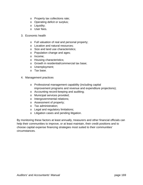- o Property tax collections rate;
- o Operating deficit or surplus;
- o Liquidity;
- o User fees.
- 3. Economic health
	- o Full valuation of real and personal property;
	- o Location and natural resources;
	- o Size and land use characteristics;
	- o Population change and ages;
	- o Income;
	- o Housing characteristics;
	- o Growth in residential/commercial tax base;
	- o Unemployment;
	- o Tax base.
- 4. Management practices
	- o Professional management capability (including capital improvement programs and revenue and expenditure projections);
	- o Accounting record-keeping and auditing;
	- o Municipal services provided;
	- o Intergovernmental relations;
	- o Assessment of property;
	- o Tax administration;
	- o Legal and regulatory limitations;
	- o Litigation cases and pending litigation.

By monitoring these factors at least annually, treasurers and other financial officials can help their communities to improve, or at least maintain, their credit positions and to choose capital expense financing strategies most suited to their communities' circumstances.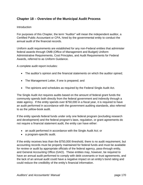# **Chapter 18 – Overview of the Municipal Audit Process**

# **Introduction**

For purposes of this Chapter, the term "Auditor" will mean the independent auditor, a Certified Public Accountant or CPA, hired by the governmental entity to conduct the annual audit of the financial records.

Uniform audit requirements are established for any non-Federal entities that administer federal awards through OMB (Office of Management and Budget) Uniform Administrative Requirements, Cost Principles, and Audit Requirements for Federal Awards, referred to as Uniform Guidance.

A complete audit report includes:

- The auditor's opinion and the financial statements on which the auditor opined;
- The Management Letter, if one is prepared; and
- The opinions and schedules as required by the Federal Single Audit Act.

The Single Audit Act requires audits based on the amount of federal grant funds the community spends both directly from the federal government and indirectly through a state agency. If the entity spends over \$750,000 in a fiscal year, it is required to have an audit performed in accordance with the government auditing standards, also referred to as the yellow-book audit.

If the entity spends federal funds under only one federal program (excluding research and development) and the federal program's laws, regulation, or grant agreements do not require a financial statement audit, the entity can have either:

- an audit performed in accordance with the Single Audit Act; or
- a program-specific audit.

If the entity receives less than the \$750,000 threshold, there is no audit requirement, but accounting records must be properly maintained for federal funds and must be available for review or audit by appropriate officials of the federal agency, pass-through entity, and General Accounting Office (GAO). These entities may, however, be required to have an annual audit performed to comply with debt covenants or trust agreements, and the lack of an annual audit could have a negative impact on an entity's bond rating and could reduce the credibility of the entity's financial information.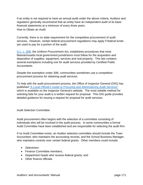If an entity is not required to have an annual audit under the above criteria, Auditors and regulators generally recommend that an entity have an independent audit of its basic financial statements at a minimum of every three years. How to Obtain an Audit

Currently, there is no state requirement for the competitive procurement of audit services. However, certain federal procurement regulations may apply if federal funds are used to pay for a portion of the audit.

G.L. c. 30B, the Uniform Procurement Act, establishes procedures that most Massachusetts local government jurisdictions must follow for the acquisition and disposition of supplies, equipment, services and real property. This law contains several exemptions including one for audit services provided by Certified Public Accountants.

Despite the exemption under 30B, communities sometimes use a competitive procurement process for obtaining audit services.

To help with the audit procurement process, the Office of Inspector General (OIG) has published "A Local Official's Guide to Procuring and Administering Audit Services" which is available on the Inspector General's website. The most reliable method for soliciting bids for your audit is a written request for proposal. This OIG guide provides detailed guidance for issuing a request for proposal for audit services.

# Audit Selection Committee

Audit procurement often begins with the selection of a committee consisting of individuals who will be involved in the audit process. In some communities a formal Audit Committee have been established and are responsible for selecting the audit firm.

If no Audit Committee exists, an Auditor selection committee should include the Town Accountant, who maintains the accounting records, and the School Business Manager, who maintains controls over certain federal grants. Other members could include:

- Selectmen;
- Finance Committee members;
- Department heads who receive federal grants; and
- Other finance officials.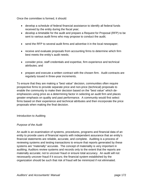Once the committee is formed, it should:

- develop a schedule of federal financial assistance to identify all federal funds received by the entity during the fiscal year;
- develop a timetable for the audit and prepare a Request for Proposal (RFP) to be sent to various audit firms who may propose to conduct the audit;
- send the RFP to several audit firms and advertise it in the local newspaper;
- receive and evaluate proposals from accounting firms to determine which firm best meets the entity's audit needs;
- consider price, staff credentials and expertise, firm experience and technical attributes; and
- prepare and execute a written contract with the chosen firm. Audit contracts are regularly issued in three-year increments.

To ensure that they are making a "best value" decision, communities often require prospective firms to provide separate price and non-price (technical) proposals to enable the community to make their decision based on the "best value" which deemphasizes using price as a determining factor in selecting an audit firm and places greater emphasis on quality and past performance. A community would first select firms based on their experience and technical attributes and then incorporate the price proposals when making the final decision.

Introduction to Auditing

# *Purpose of the Audit*

An audit is an examination of systems, procedures, programs and financial data of an entity to provide users of financial reports with independent assurance that an entity's financial statements are reliable, accurate, and complete. Auditing is a process of reviewing systems and testing transactions to ensure that reports generated by these systems are "materially" accurate. The concept of materiality is very important in auditing; Auditors review systems and records only to the extent that the reports are materially accurate; not to uncover fraud or ensure total accuracy. An audit will not necessarily uncover fraud if it occurs; the financial system established by the organization should be such that risk of fraud will be minimized if not eliminated.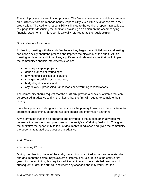The audit process is a verification process. The financial statements which accompany an Auditor's report are management's responsibility, even if the Auditor assists in their preparation. The Auditor's responsibility is limited to the Auditor's report – typically a 1 to 2 page letter describing the audit and providing an opinion on the accompanying financial statements. This report is typically referred to as the "audit opinion."

# *How to Prepare for an Audit*

A planning meeting with the audit firm before they begin the audit fieldwork and testing can ease anxiety about the process and improve the efficiency of the audit. At this meeting, update the audit firm of any significant and relevant issues that could impact the community's financial statements such as:

- any major capital projects;
- debt issuances or refundings;
- any material liabilities or litigation;
- changes in policies or procedures;
- budgetary difficulties; and
- any delays in processing transactions or performing reconciliations.

The community should request that the audit firm provide a checklist of items that can be prepared in advance and a list of items that the firm will require to complete their testing.

It is a best practice to designate one person as the primary liaison with the audit team to coordinate audit timing, departmental staff impact and information gathering.

Any information that can be prepared and provided to the audit team in advance will decrease the questions and pressures on the entity's staff during fieldwork. This gives the audit firm the opportunity to look at documents in advance and gives the community the opportunity to address questions in advance.

# *Audit Phases*

# *The Planning Phase*

During the planning phase of the audit, the auditor is required to gain an understanding and document the community's system of internal controls. If this is the entity's first year with the audit firm, this requires additional time and more detailed questions. In subsequent audits, the firm will document any changes and may verify that the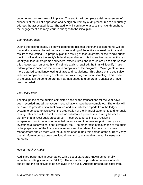documented controls are still in place. The auditor will complete a risk assessment of all facets of the client's operation and design preliminary audit procedures to adequately address the associated risks. The auditor will continue to assess the risks throughout the engagement and may result in changes to the initial plan.

# *The Testing Phase*

During the testing phase, a firm will update the risk that the financial statements will be materially misstated based on their understanding of the entity's internal controls and results of the testing. To properly plan the testing of federal grants, or the "single audit", the firm will evaluate the entity's federal expenditures. It is imperative that an entity can identify all federal programs and federal expenditures and records are up to date so that this process can run smoothly. If a single audit is required, the firm will identify "major federal grants" based on the size and complexity of the programs. Major grants require more detailed compliance testing of laws and regulations. This phase of the audit also includes compliance testing of internal controls using statistical sampling. This portion of the audit can be done before the year has ended and before all transactions have been recorded.

# *The Final Phase*

The final phase of the audit is completed once all the transactions for the year have been recorded and all the account reconciliations have been completed. The entity will be asked to provide a final trial balance and several other reports from the ledger system to be used to assist with the preparation of the financial statements and for audit testing. This part of the audit focuses on substantive procedures to verify balances along with analytical audit procedures. These procedures include receiving independent confirmations for selected balances and to obtain support to verify cash, investments, receivables, debt, payables, etc. The other focus of this phase of the audit is the preparation of the financial statements and the related footnote disclosures. Management should meet with the auditors often during this portion of the audit to verify that all information has been provided timely and to ensure that the audit closes out smoothly.

# *How an Auditor Audits*

Audits are performed in accordance with a set of standards known as generally accepted auditing standards (GAAS). These standards provide a measure of audit quality and the objectives to be achieved in an audit. Auditing procedures differ from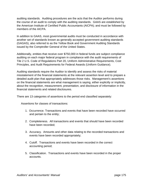auditing standards. Auditing procedures are the acts that the Auditor performs during the course of an audit to comply with the auditing standards. GAAS are established by the American Institute of Certified Public Accountants (AICPA); and must be followed by members of the AICPA.

In addition to GAAS, most governmental audits must be conducted in accordance with another set of standards known as generally accepted government auditing standards (GAGAS), also referred to as the Yellow Book and Government Auditing Standards issued by the Comptroller General of the United States.

Additionally, entities that receive over \$750,000 in federal funds are subject compliance auditing on each major federal program in compliance with the audit requirements of Tile 2 U.S. Code of Regulations Part 20, Uniform Administrative Requirements, Cost Principles, and Audit Requirements for Federal Awards (Uniform Guidance).

Auditing standards require the Auditor to identify and assess the risks of material misstatement of the financial statements at the relevant assertion level and to prepare a detailed audit plan that appropriately addresses those risks. Management's assertions on the financial statements are what management is saying, either explicitly or implicitly, about the recognition, measurement, presentation, and disclosure of information in the financial statements and related disclosures.

There are 13 categories of assertions to the period end classified separately:

Assertions for classes of transactions:

- 1. Occurrence. Transactions and events that have been recorded have occurred and pertain to the entity;
- 2. Completeness. All transactions and events that should have been recorded have been recorded;
- 3. Accuracy. Amounts and other data relating to the recorded transactions and events have been recorded appropriately;
- 4. Cutoff. Transactions and events have been recorded in the correct accounting period;
- 5. Classification. Transactions and events have been recorded in the proper accounts.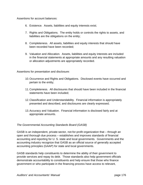Assertions for account balances:

- 6. Existence. Assets, liabilities and equity interests exist;
- 7. Rights and Obligations. The entity holds or controls the rights to assets, and liabilities are the obligations on the entity;
- 8. Completeness. All assets, liabilities and equity interests that should have been recorded have been recorded;
- 9. Valuation and Allocation. Assets, liabilities and equity interests are included in the financial statements at appropriate amounts and any resulting valuation or allocation adjustments are appropriately recorded.

Assertions for presentation and disclosure:

- 10. Occurrence and Rights and Obligations. Disclosed events have occurred and pertain to the entity;
- 11. Completeness. All disclosures that should have been included in the financial statements have been included;
- 12. Classification and Understandability. Financial information is appropriately presented and described, and disclosures are clearly expressed;
- 13. Accuracy and Valuation. Financial information is disclosed fairly and at appropriate amounts.

# *The Governmental Accounting Standards Board (GASB)*

GASB is an independent, private-sector, not-for-profit organization that – through an open and thorough due process – establishes and improves standards of financial accounting and reporting for U. S. state and local governments. Governments and the accounting industry recognize that GASB as an official source of generally accepted accounting principles (GAAP) for state and local governments.

GASB standards help constituents to determine the ability of their government to provide services and repay its debt. Those standards also help government officials demonstrate accountability to constituents and help ensure that those who finance government or who participate in the financing process have access to relevant,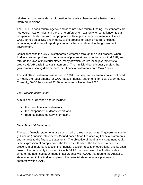reliable, and understandable information that assists them to make better, more informed decisions.

The GASB is not a federal agency and does not have federal funding. Its standards are not federal laws or rules and there is no enforcement authority for compliance. It is an independent body free from inappropriate political pressure or commercial influence. GASB brings objectivity and integrity to the process of issuing neutral, unbiased accounting and financial reporting standards that are relevant in the government environment.

Compliance with the GASB's standards is enforced through the audit process, when Auditors render opinions on the fairness of presentations in conformity with GAAP, and through the laws of individual states, many of which require local governments to prepare GAAP basis financial statements. The municipal bond industry prefers that governments issuing debt prepare their financial statements on a GAAP basis.

The first GASB statement was issued in 1984. Subsequent statements have continued to modify the requirements for GAAP based financial statements for local governments. Currently, GASB has issued 97 Statements as of November 2020.

# *The Products of the Audit*

A municipal audit report should include:

- the basic financial statements;
- the independent auditor's report; and
- required supplementary information.

# *Basic Financial Statements*

The basic financial statements are comprised of three components: 1) government-wide (full accrual) financial statements, 2) fund based (modified accrual) financial statements, and 3) notes to the financial statements. The objective of the financial statement audit is the expression of an opinion on the fairness with which the financial statements present, in all material respects, the financial position, results of operations, and its cash flows of the community in conformity with GAAP. In the opinion, the Auditor states whether the audit has been made in accordance with GAAS that require the Auditor to state whether, in the Auditor's opinion, the financial statements are presented in conformity with GAAP.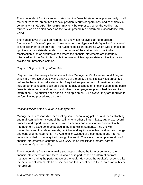The independent Auditor's report states that the financial statements present fairly, in all material respects, an entity's financial position, results of operations, and cash flows in conformity with GAAP. This opinion may only be expressed when the Auditor has formed such an opinion based on their audit procedures performed in accordance with GAAS.

The highest level of audit opinion that an entity can receive is an "unmodified," "unqualified" or "clean" opinion. Three other opinion types include "qualified," "adverse" or a "disclaimer" of an opinion. The Auditor's decision regarding which type of modified opinion is appropriate depends upon the nature of the matter giving rise to the modification such as circumstances where the financial statements are materially misstated, or if the Auditor is unable to obtain sufficient appropriate audit evidence to provide an unmodified opinion.

# *Required Supplementary Information*

Required supplementary information includes Management's Discussion and Analysis which is a narrative overview and analysis of the entity's financial activities presented before the basic financial statements. Required supplementary information can also include other schedules such as a budget to actual schedule (if not included in the basic financial statements) and pension and other postemployment plan schedules and trend information. The auditor does not issue an opinion on RSI however they are required to perform limited procedures on them.

# *Responsibilities of the Auditor vs Management*

Management is responsible for adopting sound accounting policies and for establishing and maintaining internal control that will, among other things, initiate, authorize, record, process, and report transactions (as well as events and conditions) consistent with management's assertions embodied in the financial statements. The entity's transactions and the related assets, liabilities and equity are within the direct knowledge and control of management. The Auditor's knowledge of these matters and internal control is limited to that acquired through the audit. Therefore, the fair presentation of financial statements in conformity with GAAP is an implicit and integral part of management's responsibility.

The independent Auditor may make suggestions about the form or content of the financial statements or draft them, in whole or in part, based on information from management during the performance of the audit. However, the Auditor's responsibility for the financial statements he or she has audited is confined to the expression of his or her opinion.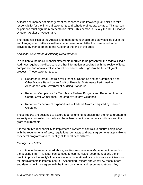At least one member of management must possess the knowledge and skills to take responsibility for the financial statements and schedule of federal awards. This person or persons must sign the representation letter. This person is usually the CFO, Finance Director, Auditor or Accountant.

The responsibilities of the Auditor and management should be clearly spelled out in the audit engagement letter as well as in a representation letter that is required to be provided by management to the Auditor at the end of the audit.

#### *Additional Governmental Auditing Requirements*

In addition to the basic financial statements required to be presented, the federal Single Audit Act requires the disclosure of other information associated with the review of legal compliance and administrative control procedures which govern the federal grant process. These statements are:

- Report on Internal Control Over Financial Reporting and on Compliance and Other Matters Based on an Audit of Financial Statements Performed in Accordance with Government Auditing Standards
- Report on Compliance for Each Major Federal Program and Report on Internal Control Over Compliance Required by Uniform Guidance
- Report on Schedule of Expenditures of Federal Awards Required by Uniform Guidance

These reports are designed to assure federal funding agencies that the funds granted to an entity are controlled properly and have been spent in accordance with law and the grant requirements.

It is the entity's responsibility to implement a system of controls to ensure compliance with the requirements of laws, regulations, contracts and grant agreements applicable to its federal programs and to identify all federal expenditures.

#### *Management Letter*

In addition to the reports noted above, entities may receive a Management Letter from the auditing firm. This letter can be used to communicate recommendations the firm has to improve the entity's financial systems, operational or administrative efficiency or for improvements in internal control. Accounting Officers should review these letters and determine if they agree with the firm's comments and recommendations. Any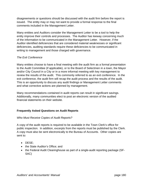disagreements or questions should be discussed with the audit firm before the report is issued. The entity may or may not want to provide a formal response to the final comments included in the Management Letter.

Many entities and Auditors consider the Management Letter to be a tool to help the entity improve their controls and processes. The Auditor has leeway concerning much of the information to be communicated in the Management Letter. However, if the Auditor identified deficiencies that are considered material weaknesses or significant deficiencies, auditing standards require these deficiencies to be communicated in writing to management and those charged with governance.

# *The Exit Conference*

Many entities choose to have a final meeting with the audit firm as a formal presentation to the Audit Committee (if applicable), or to the Board of Selectmen in a town, the Mayor and/or City Council in a City or in a more informal meeting with key management to review the results of the audit. This commonly referred to as an exit conference. In the exit conference, the audit firm will recap the audit process and the results of the audit. This is an opportunity to discuss any audit findings or Management Letter comments and what corrective actions are planned by management.

Many recommendations contained in audit reports can result in significant savings. Additionally, many communities elect to post an electronic version of the audited financial statements on their website.

# **Frequently Asked Questions on Audit Reports**

# *Who Must Receive Copies of Audit Reports?*

A copy of the audit reports is required to be available in the Town Clerk's office for public inspection. In addition, excerpts from the reports must be published by the Clerk. A copy must also be sent electronically to the Bureau of Accounts. Other copies are sent to:

- DESE:
- the State Auditor's Office; and
- the Federal Audit Clearinghouse as part of a single-audit reporting package (SF-SAC)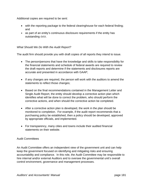Additional copies are required to be sent:

- with the reporting package to the federal clearinghouse for each federal finding; and
- as part of an entity's continuous disclosure requirements if the entity has outstanding debt.

# *What Should We Do With the Audit Report?*

The audit firm should provide you with draft copies of all reports they intend to issue.

- The person/persons that have the knowledge and skills to take responsibility for the financial statements and schedule of federal awards are required to review the draft reports and determine if the statements and disclosures reports are accurate and presented in accordance with GAAP;
- If any changes are required, the person will work with the auditors to amend the statements to reflect those changes;
- Based on the final recommendations contained in the Management Letter and Single Audit Report, the entity should develop a corrective action plan which identifies what will be done to correct the problem, who should perform the corrective actions, and when should the corrective action be completed.
- After a corrective action plan is developed, the work in the plan should be monitored to completion. For example, if the audit report recommends that a purchasing policy be established, then a policy should be developed, approved by appropriate officials, and implemented.
- For transparency, many cities and towns include their audited financial statements on their website.

#### Audit Committees

An Audit Committee offers an independent view of the government unit and can help keep the government focused on identifying and mitigating risks and ensuring accountability and compliance. In this role, the Audit Committee may be responsible to hire internal and/or external Auditors and to oversee the governmental unit's overall control environment, governance and management processes.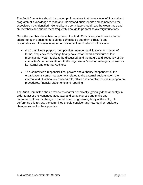The Audit Committee should be made up of members that have a level of financial and programmatic knowledge to read and understand audit reports and comprehend the associated risks identified. Generally, this committee should have between three and six members and should meet frequently enough to perform its oversight functions.

Once the members have been appointed, the Audit Committee should write a formal charter to define such matters as the committee's authority, structure and responsibilities. At a minimum, an Audit Committee charter should include:

- the Committee's purpose, composition, member qualifications and length of terms, frequency of meetings (many have established a minimum of four meetings per year), topics to be discussed, and the nature and frequency of the committee's communication with the organization's senior managers, as well as its internal and external Auditors;
- The Committee's responsibilities, powers and authority independent of the organization's senior management related to the external audit function, the internal audit function, internal controls, ethics and compliance, risk management procedures, financial statements and reporting.

The Audit Committee should review its charter periodically (typically done annually) in order to assess its continued adequacy and completeness and make any recommendations for change to the full board or governing body of the entity. In performing this review, the committee should consider any new legal or regulatory changes as well as best practices.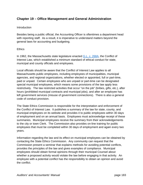# **Chapter 19 – Office Management and General Administration**

#### **Introduction**

Besides being a public official, the Accounting Officer is oftentimes a department head with reporting staff. As a result, it is imperative to understand matters beyond the general laws for accounting and budgeting.

#### **Ethics**

In 1962, the Massachusetts state legislature enacted G.L. c. 268A, the Conflict of Interest Law, which established a minimum standard of ethical conduct for state, municipal and county officials and employees.

Local officials should be aware that the Conflict of Interest Law applies to all Massachusetts public employees, including employees of municipalities, municipal agencies, and regional organizations, whether elected or appointed, full or part-time, paid or unpaid. Certain employees who are unpaid or part-time can be designated special municipal employees, which means some provisions of the law apply less restrictively. The law restricted activities that occur "on the job" (bribes, gifts, etc.), after hours (prohibited municipal contracts and municipal jobs), and after an employee has left government services (misuse of government connections). There is also a general code of conduct provision.

The State Ethics Commission is responsible for the interpretation and enforcement of the Conflict of Interest Law. It publishes a summary of the law for state, county, and municipal employees on its website and provides it to public employees within 30 days of employment and on an annual basis. Employees must acknowledge receipt of these summaries. Municipal employees receive the summary from their acknowledgements to the city or town Clerk. The Commission also provides on-line training for public employees that must be completed within 30 days of employment and again every two years.

Information regarding the law and its effect on municipal employees can be obtained by contacting the State Ethics Commission. Any community can request that the Commission present a seminar that explains methods for avoiding potential conflicts, provides the principles of the law and gives examples of compliance. Municipal employees should obtain formal opinions through their municipal Counsel about whether a proposed activity would violate the law before engaging in that activity. An employee with a potential conflict has the responsibility to obtain an opinion and avoid the conflict.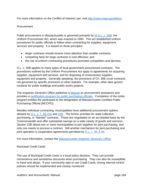For more information on the Conflict of Interest Law, visit http://www.mass.gov/ethics.

#### Procurement

Public procurement in Massachusetts is governed primarily by M.G.L. c. 30B, the Uniform Procurement Act, which was enacted in 1990. This act established uniform procedures for public officials to follow when contracting for supplies, equipment, services and property. It is based on three principles:

- larger contracts should receive more attention than smaller contracts;
- competing fairly for large contracts is cost effective; and
- the use of uniform contracting procedures promotes competition and fairness.

G.L. c. 30B applies to many types of local government procurement contracts. The procedures outlined by the Uniform Procurement Act apply to agreements for acquiring supplies, equipment and services, and for disposing of unnecessary supplies, equipment and property. Generally speaking, the provisions of Ch. 30B cover contracts not governed by specific provisions in other statutes. For example, other laws govern contacts for public buildings and public works projects.

The Inspector General's Office publishes a Manual on procurement assistance and provides a certification program for public purchasing officials. Completion of the entire program entitles the participant to the designation of Massachusetts Certified Public Purchasing Official (MCCPO).

Besides individual contracting, municipalities have additional procurement options allowed by G.L. c. 7, §§ 22A and 22B. The former provides for state collective purchasing, or "blanket" contracts. These are negotiated on an as-needed basis by the Commonwealth and offer substantial savings on a wide variety of goods and services. Section 22B allows two or more municipalities to join together for joint purchasing, and only one needs to process a contract. Still another mechanism for joint purchasing and joint operation is cooperative agreements permitted by G.L. c. 40, § 4A.

For more information, contact the Massachusetts Inspector General's Office.

Municipal Credit Cards

The use of Municipal Credit Cards is a local policy decision. They can provide convenience and sometimes discounts when purchasing. They can also be susceptible to fraud and abuse. If your community opts to use Credit Cards, strong internal control policies should be implemented and closely monitored.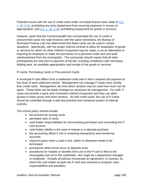Potential issues with the use of credit cards under municipal finance laws relate to *G.L. c. 44, § 31,* prohibiting any town department from incurring expenses in excess of appropriation, and *G.L. c. 41, § 56,* prohibiting prepayment for goods or services.

However, given that the Commonwealth has incorporated the use of credit or procurement cards into state finances with the same restrictions, the Bureau of Municipal Finance Law has determined that these cards can be used in certain situations. Specifically, with the proper internal controls to allow for acquisition of goods or services for which no other method of payment may be made, or as an alternative to requiring an employee to make the purchases on a personal credit card and seek reimbursement from the municipality. The community should require that all other prerequisites are met prior to payment of the bill, including compliance with necessary bidding laws, an available appropriation and receipt of the goods or services.

# P-Cards, Purchasing Cards or Procurement Cards

A municipal P-card differs from a traditional credit card in that it requires full payment at the close of each statement period. Management can manage P-cards more closely than credit cards. Management can limit which vendors may be used how much can be spent. These limits can be easily changed as necessary by management. For staff, Pcards can provide a quick and convenient method of payment and they can allow access to lower prices and more vendors. As with credit cards, the use of P-Cards should be controlled through a well-documented and monitored system of internal controls.

The control policy should include:

- the process for issuing cards
- permitted uses of cards
- card-holder responsibilities for documenting purchases and reconciling the Pcard account
- card-holder liability in the case of misuse or a rejected purchase
- the accounting officer's role in reviewing transactions and monitoring accounts
- required action when a card is lost, stolen or otherwise needs to be terminated
- procedures when errors occur or disputes arise
- procedures for rebates or benefits from use of the P-card to flow to the municipality and not to the cardholder, who might be a department manager or employee. Virtually all policies incorporate an agreement, or contract, by which the card holder accepts the P-card and consents to program rules, responsibilities and penalties.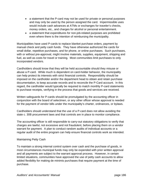- a statement that the P-card may not be used for private or personal purposes and may only be used by the person assigned the card. Impermissible uses would include cash advances at ATMs or exchanges for traveler's checks, money orders, etc., and charges for alcohol or personal entertainment.
- a statement that expenditures for non-job-related purposes are prohibited even where there is the intention of reimbursing the municipality.

Municipalities have used P-cards to replace blanket purchase orders, payment by manual check and petty cash funds. They have otherwise authorized the cards for small dollar, repetitive purchases, and for phone, or online purchases. Such purchases, with or without pre-approval, might involve materials, supplies, equipment, shipping and fuel, as well as costs for travel or training. Most communities limit purchases to only incorporated vendors.

Cardholders should know that they will be held accountable should they misuse or abuse a P-card. While much is dependent on card-holder behavior, the municipality can help protect its interests with strict financial controls. Responsibility should be imposed on the cardholder and/or the department head to obtain and retain purchase documentation, to keep accurate records and to reconcile the P-Card account. In this regard, the cardholder would typically be required to match monthly P-card statements to purchase receipts, verifying in the process that goods and services are received*.* 

Written safeguards for P-cards should be promulgated by the accounting officer in conjunction with the board of selectmen, or any other officer whose approval is needed for the payment of vendor bills under the municipality's charter, ordinances, or bylaws.

Cardholders should understand that the use of a P-card does not allow avoiding the state c. 30B procurement laws and that controls are in place to monitor compliance.

The accounting officer is still responsible to carry-out statutory obligations to verify that charges are lawful, not excessive and not fraudulent, before placing them on a vendor warrant for payment. A plan to conduct random audits of individual accounts or a regular audit of the entire program can help ensure financial controls work as intended.

# Maintaining Petty Cash

To maintain a strong internal control system over cash and the purchase of goods, in most circumstances municipal funds may only be expended with prior written approval and all payments are subject to the warrant approval process. However, in certain limited situations, communities have approved the use of petty cash accounts to allow added flexibility for making de minimis purchases that require payment at the time of purchase.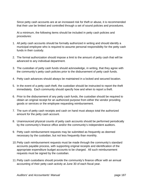Since petty cash accounts are at an increased risk for theft or abuse, it is recommended that their use be limited and controlled through a set of sound policies and procedures.

At a minimum, the following items should be included in petty cash policies and procedures:

- 1. All petty cash accounts should be formally authorized in writing and should identify a municipal employee who is required to assume personal responsibility for the petty cash funds in their custody.
- 2. The formal authorization should impose a limit to the amount of petty cash that will be advanced to any individual department.
- 3. The custodian of petty cash funds should acknowledge, in writing, that they agree with the community's petty cash policies prior to the disbursement of petty cash funds.
- 4. Petty cash advances should always be maintained in a locked and secured location.
- 5. In the event of a petty cash theft, the custodian should be instructed to report the theft immediately. Each community should specify how and when to report a theft.
- 6. Prior to the disbursement of any petty cash funds, the custodian should be required to obtain an original receipt for an authorized purpose from either the vendor providing goods or services or the employee requesting reimbursement.
- 7. The sum of petty cash receipts and cash on hand must always total the authorized amount for the petty cash account.
- 8. Unannounced physical counts of petty cash accounts should be performed periodically by the community's finance office and/or the community's independent auditors.
- 9. Petty cash reimbursement requests may be submitted as frequently as deemed necessary by the custodian, but not less frequently than monthly.
- 10. Petty cash reimbursement requests must be made through the community's standard accounts payable process, with supporting original receipts and identification of the appropriate expenditure budget accounts to be charged. All such reimbursement requests must be signed by the custodian.
- 11. Petty cash custodians should provide the community's finance officer with an annual accounting of their petty cash activity at June 30 of each fiscal year.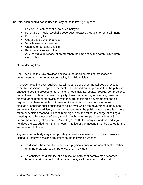12. Petty cash should not be used for any of the following purposes:

- Payment of compensation to any employee.
- Purchase of meals, alcoholic beverages, tobacco products, or entertainment.
- Purchase of gifts.
- Out-of-state travel expenses.
- Vehicle use reimbursements.
- Cashing of personal checks.
- Personal advances or loans.
- Any individual purchase of greater than the limit set by the community's petty cash policy.

Open Meeting Law

The Open Meeting Law provides access to the decision-making processes of government and promotes accountability in public officials.

The Open Meeting Law requires that all meetings of governmental bodies, except executive sessions, be open to the public. It is based on the premise that the public is entitled to see the process of government, not simply its results. Boards, commissions, committees or subcommittees of any city, town, district or regional entity, however elected, appointed or otherwise constituted, are considered governmental bodies required to adhere to the law. A meeting includes any convening of a quorum to discuss or consider public business or policy over which the governmental body has some jurisdiction or advisory power. A meeting must be public, even if there is no vote taken or decision reached. Except in emergencies, the officer in charge of calling a meeting must file a notice of every meeting with the municipal Clerk at least 48 hours before the meeting takes place. (As of July 1, 2010, Saturdays, Sundays and legal holidays are excluded from the 48 hours). Notice of the meeting must be posted for the same amount of time.

A governmental body may meet privately, in executive session to discuss sensitive issues. Executive sessions are limited to the following purposes:

- To discuss the reputation, character, physical condition or mental health, rather than the professional competence, of an individual;
- To consider the discipline or dismissal of, or to hear complaints or charges brought against a public officer, employee, staff member or individual;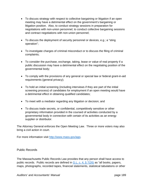- To discuss strategy with respect to collective bargaining or litigation if an open meeting may have a detrimental effect on the government's bargaining or litigation position. Also, to conduct strategy sessions in preparation for negotiations with non-union personnel; to conduct collective bargaining sessions and contract negotiations with non-union personnel;
- To discuss the deployment of security personnel or devices, e.g.; a "sting" operation";
- To investigate charges of criminal misconduct or to discuss the filing of criminal complaints;
- To consider the purchase, exchange, taking, lease or value of real property if a public discussion may have a detrimental effect on the negotiating position of the governmental body;
- To comply with the provisions of any general or special law or federal grant-in-aid requirements (general privacy);
- To hold an initial screening (including interviews if they are part of the initial screening process) of candidates for employment if an open meeting would have a detrimental effect in obtaining qualified candidates;
- To meet with a mediator regarding any litigation or decision; and
- To discuss trade secrets, or confidential, competitively sensitive or other proprietary information provided in the coursed of activities conducted by a governmental body in connection with certain of its activities as an energy supplier or distributor.

The Attorney General enforces the Open Meeting Law. Three or more voters may also bring a civil action in court.

For more information visit http://www.mass.gov/ago.

Public Records

The Massachusetts Public Records Law provides that any person shall have access to public records. Public records are defined in  $G.L. c. 4, \S 7(26)$  as "all books, papers, maps, photographs, recorded tapes, financial statements, statistical tabulations or other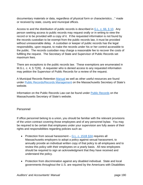documentary materials or data, regardless of physical form or characteristics…" made or received by state, county and municipal offices.

Access to and the distribution of public records is described in G.L. c. 66, § 10. Any person seeking access to public records may request orally or in writing to view the record or to be provided with a copy of it. If the requested information is not found by the records custodian to be exempt from the public records law, it must be provided without unreasonable delay. A custodian or keeper of public records has the legal responsibility, upon request, to make the records under his or her control accessible to the public. The records custodian may charge a reasonable fee to recover the costs of fulfilling the request. The Secretary of State and Supervisor of Public Records set maximum fees.

There are exceptions to the public records law. These exemptions are enumerated in M.G.L. c. 4, § 7(26). A requester who is denied access to any requested information may petition the Supervisor of Public Records for a review of the request.

A Municipal Records Retention Manual as well as other useful resources are found under Public Records/Records Management on the Massachusetts Secretary of State's website.

Information on the Public Records Law can be found under Public Records on the Massachusetts Secretary of State's website.

# Personnel

If office personnel belong to a union, you should be familiar with the relevant provisions of the union contract covering those employees and of any personnel bylaw. You may be required to be certain that employees under your supervision are fully aware of their rights and responsibilities regarding policies such as:

- Protection from sexual harassment  $-$  G.L. c. 151B  $\S 3A$  requires all Massachusetts employers to adopt a policy against sexual harassment, to annually provide an individual written copy of that policy to all employees and to review this policy with their employees on a yearly basis. All new employees should be required to sign an acknowledgment that they have received and understand the policy.
- Protection from discrimination against any disabled individual. State and local governments throughout the U.S. are required by the Americans with Disabilities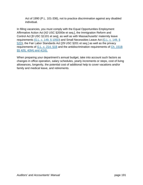Act of 1990 (P.L. 101-336), not to practice discrimination against any disabled individual.

In filling vacancies, you must comply with the Equal Opportunities Employment Affirmative Action Act [42 USC §2000e et seq.], the Immigration Reform and Control Act [8 USC §1101 et seq], as well as with Massachusetts' maternity leave requirements (G.L. c. 149, § 105D) and Small Necessities Leave Act (G.L. c. 149, § 52D), the Fair Labor Standards Act [29 USC §201 et seq.] as well as the privacy requirements of G.L. c. 214, §1B and the antidiscrimination requirements of Ch. 151B §§ 4(9), 4(9A) and 4(16).

When preparing your department's annual budget, take into account such factors as changes in office operation, salary schedules, yearly increments or steps, cost of living allowances, longevity, the potential cost of additional help to cover vacations and/or family and medical leave, and retirements.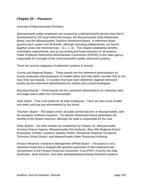# **Chapter 20 – Pensions**

#### Overview of Massachusetts Pensions

Massachusetts public employees are covered by a defined benefit pension plan that is administered by 102 local retirement boards, the Massachusetts State Retirement Board, and the Massachusetts Teachers Retirement Board. A retirement board governs each system and all boards, although operating independently, are bound together under one retirement law – G.L. c. 32. This chapter establishes benefits, contribution requirements, and an accounting and funds structure for all systems. Public Employee Retirement Administration Commission (PERAC) is the state agency responsible for oversight of the Commonwealth's public retirement systems.

There are several categories of retirement systems or boards:

*County and Regional Boards* – These boards are the retirement administrators for county employees and employees of smaller towns and units within counties that do not have their own boards. In counties that have been abolished, regional retirement boards are the retirement administrators for retirees and current employees.

*Municipal Boards* – These boards are the retirement administrators for individual cities and larger towns within the Commonwealth.

*State Board* – This is the board for all state employees. There are also some smaller non-state units that are administered by this board.

*Teachers' Board* – This board covers all public-school teachers in Massachusetts, with the exception of Boston teachers. The Boston Retirement Board administers the benefits of the Boston teachers, although the state is responsible for the cost.

*Other Boards* – Six other boards are established by Chapter 32: Massachusetts Housing Finance Agency, Massachusetts Port Authority, Blue Hills Regional School Employees, Greater Lawrence Sanitary District, Minuteman Regional Vocational Technical School District, and Massachusetts Water Resources Authority.

*Pension Reserves Investment Management (PRIM) Board* – This board is not a retirement board but is charged with general supervision of the investment and reinvestment of the Pension Reserves Investment Trust (PRIT) Fund for the state employees, state teachers, and other participating/purchasing retirement systems.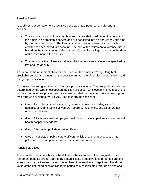#### Pension Benefits

A public employee retirement allowance consists of two parts: an annuity and a pension.

- The annuity consists of the contributions that are deducted during the course of the employee's creditable service and are deposited into an annuity savings fund by the retirement board. The interest that accrues on these contributions is credited to each individuals account. The part of the retirement allowance that is based on the total amount in the employee's annuity savings account on the date of the retirement is the annuity.
- The pension is the difference between the total retirement allowance specified by law and the annuity.

The amount the retirement allowance depends on the employee's age, length of creditable service, the amount of the average annual rate of regular compensation, and the group classification.

Employees are assigned to one of four group classifications. The group classification is determined by the type of occupation, position or duties. Employees who hold positions in more than one group over their career are prorated for the time worked in each group by a formula developed by PERAC. The four groups consist of:

- Group 1 members are officials and general employees including clerical, administrative and technical workers, laborers, mechanics, and all others not otherwise classified.
- Group 2 includes certain employees with hazardous occupations such as mental health hospital attendants.
- Group 3 is made up of state police officers.
- Group 4 consists of public safety officers, officials, and employees, such as police officers, firefighters, and certain correction officers.

#### Pension Liabilities

The unfunded pension liability is the difference between the value assigned to the retirement benefits already earned by a municipality's employees and retirees and the assets the local retirement system has on hand to meet these obligations. The dollar value of the unfunded pension liability is periodically recalculated through an actuarial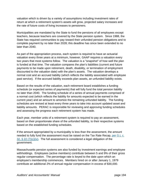valuation which is driven by a variety of assumptions including investment rates of return at which a retirement system's assets will grow, projected salary increases and the rate of future costs of living increases to pensioners.

Municipalities are mandated by the State to fund the pensions of all employees except teachers, because teachers are covered by the State pension system. Since 1988, the State has required communities to pay toward their unfunded pension obligations and to complete payment by no later than 2028; this deadline has since been extended to no later than 2040.

As part of the appropriation process, each system is required to have an actuarial valuation every three years at a minimum, however, GAAP requires a valuation every two years that most systems follow. The valuation is a "snapshot" of how well the plan is funded at that time. The valuation compares the plan's liabilities (current and future payments to be made upon retirement, death, disability, or termination of employment discounted to the valuation date) with the plan's assets. The valuation develops a normal cost and an accrued liability (which reflects the liability associated with employee past service). If the accrued liability exceeds plan assets, an unfunded liability exists.

Based on the results of the valuation, each retirement board establishes a funding schedule (or expected series of payments) that will fully fund the total pension liability no later than 2040. The funding schedule of a series of annual payments comprised of a normal cost (which reflects the liability for amounts expected to be earned in the current year) and an amount to amortize the remaining unfunded liability. The funding schedules are revised at least every three years to take into account updated asset and liability amounts. PERAC is responsible for reviewing and approving funding schedules and assessing the progress each retirement system has made.

Each year, member units of a retirement system is required to pay an assessment, based on their proportionate share of the unfunded liability, to their respective systems based on the established funding schedules.

If the amount appropriated by a municipality is less than the assessment, the amount needed to fully fund the assessment must be raised on the Tax Rate Recap, per G.L c.  $32, \, \frac{6}{5}$  22 (7)(c)(iv). The full assessment is considered a legal obligation of the government.

Massachusetts pension systems are also funded by investment earnings and employee withholdings. Employees (active members) contribute between 5 and 9% of their gross regular compensation. The percentage rate is keyed to the date upon which an employee's membership commences. Members hired on or after January 1, 1979 contribute an additional 2% of annual regular compensation in excess of \$30,000.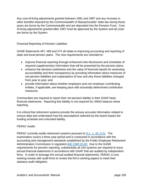Any cost-of-living adjustments granted between 1981 and 1997 and any increase in other benefits imposed by the Commonwealth of Massachusetts' state law during those years are borne by the Commonwealth and are deposited into the Pension Fund. Costof-living adjustments granted after 1997 must be approved by the System and all costs are borne by the System.

Financial Reporting of Pension Liabilities

GASB Statements #67, #68 and #71 all relate to improving accounting and reporting of state and local pension plans. The new requirements are intended to:

- Improve financial reporting through enhanced note disclosures and schedules of required supplementary information that will be presented by the pension plans;
- enhance the decision-usefulness and the value of financial reports for assessing accountability and their transparency by providing information about measures of net pension liabilities and explanations of how and why those liabilities changed from year to year; and
- provide information about whether employers and non-employer contributing entities, if applicable, are keeping pace with actuarially determined contribution measures.

Communities are required to report their net pension liability in their GAAP basic financial statements. Reporting this liability is not required for UMAS balance sheet reporting.

It is critical that retirement systems provide the actuary accurate information related to census data and understand how the assumptions selected by the board impact the funding schedule and unfunded liability.

# *PERAC Audits*

PERAC currently audits retirement systems pursuant to G.L. c. 32, § 21. The examination covers a three year period and is conducted in accordance with the accounting and management standards established by the Public Employee Retirement Administration Commission in regulation 840 CMR 25.00. Due to the GASB requirements for pension reporting, substantially all 104 systems are required to issue annual financial statements in accordance with GAAP that are audited by independent firms. In order to leverage the annual audited financial statements, PERAC is now working closely with audit firms to review the firm's working papers to meet their statutory audit obligation.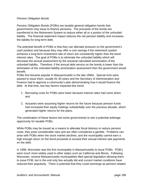#### *Pension Obligation Bonds*

Pension Obligation Bonds (POBs) are taxable general obligation bonds that governments may issue to finance pensions. The proceeds of the bonds are transferred to the Retirement System to reduce either all or a portion of the unfunded liability. The financial statement impact reduces the net pension liability and increases the liability for long-term debt.

The potential benefit of POBs is that they can alleviate pressure on the government's cash position and because they may offer a cost savings if the retirement system achieves a long-term investment rate of return are consistently higher than the bond interest rates. The goal of POBs is to eliminate the unfunded liability which will decrease the annual assessment by the actuarial calculated amortization of the unfunded liability. Therefore, if the annual debt service on the bonds is lower than the elimination of the unfunded liability amortization assessment then the government would benefit.

POBs first became popular in Massachusetts in the late 1990s. Special Acts were passed to issue them, usually for 30 years and the Secretary of Administration and Finance had to approve a community's plan demonstrating how it would finance the debt. At that time, two key factors impacted this trend:

- 1. Borrowing costs for POBs were lower because interest rates had come down; and
- 2. Actuaries were assuming higher returns for the future because pension funds had increased their equity holdings substantially over the previous decade, which generated higher returns for the plans.

The combination of these factors led some governments to see a potential arbitrage opportunity for taxable POBs.

While POBs may be issued as a means to alleviate fiscal distress or reduce pension costs, they pose considerable risks and are often considered a gamble. Problems can arise with POBs when the stock market declines, and the municipality cannot earn a high enough return on the bond proceeds to exceed their annual interest rate payments on the debt.

In 1998, Worcester was the first municipality in Massachusetts to issue POBs. POB's were much more widely used in other states such as California and Illinois. Following Worcester, several Massachusetts municipalities filed special legislation allowing them to issue POB, but in the end only few actually did and current market conditions have reduced their popularity. There is potential that they could reemerge as pension-related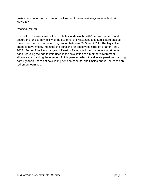costs continue to climb and municipalities continue to seek ways to ease budget pressures.

# *Pension Reform*

In an effort to close some of the loopholes in Massachusetts' pension systems and to ensure the long-term viability of the systems, the Massachusetts Legislature passed three rounds of pension reform legislation between 2009 and 2011. The legislative changes have mostly impacted the pensions for employees hired on or after April 2, 2012. Some of the key changes of Pension Reform included increases in retirement ages, reducing the age factors used in the calculation of a member's retirement allowance, expanding the number of high years on which to calculate pensions, capping earnings for purposes of calculating pension benefits, and limiting annual increases on retirement earnings.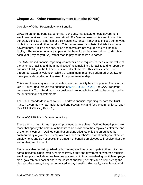# **Chapter 21 – Other Postemployment Benefits (OPEB)**

Overview of Other Postemployment Benefits

OPEB refers to the benefits, other than pensions, that a state or local government employee receives once they have retired. For Massachusetts cities and towns, this generally consists of a portion of their health insurance. It may also include some types of life insurance and other benefits. This can represent a substantial liability for local governments. Unlike pensions, cities and towns are not required to pre-fund this liability. The requirements are to pay for the benefits as they are claimed or distributed each year (Pay-as you Go), rather than to pay as benefits are earned.

For GAAP based financial reporting, communities are required to measure the value of the unfunded liability and the annual cost of accumulating this liability and to report the unfunded liability in the full-accrual financial statements. This liability is measured through an actuarial valuation, which, at a minimum, must be performed every two to three years, depending on the size of the plan membership.

Cities and towns may opt to reduce this unfunded liability by appropriating funds into an OPEB Trust Fund through the adoption of M.G.L. c. 32B, § 20. For GAAP reporting purposes this Trust Fund must be considered irrevocable for credit to be recognized in the audited financial statements.

The GASB standards related to OPEB address financial reporting for both the Trust Fund, if a community has implemented one (GASB 74); and for the community to report their OPEB liability (GASB 75).

Types of OPEB Plans Governments Use

There are two basic forms of postemployment benefit plans. Defined benefit plans are those that specify the amount of benefits to be provided to the employees after the end of their employment. Defined contribution plans stipulate only the amounts to be contributed by a government employer to a plan member's account each year of active employment, and do not specify the amount of benefits employees will receive after the end of their employment.

Plans may also be distinguished by how many employers participate in them. As their name indicates, single-employer plans involve only one government, whereas multipleemployer plans include more than one government. In a cost-sharing multiple-employer plan, governments pool or share the costs of financing benefits and administering the plan and the assets, if any, accumulated to pay benefits. Generally, a single actuarial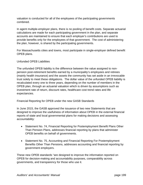valuation is conducted for all of the employees of the participating governments combined.

In agent multiple-employer plans, there is no pooling of benefit costs. Separate actuarial calculations are made for each participating government in the plan, and separate accounts are maintained to ensure that each employer's contributions are used to provide benefits only for the employees of that government. The cost of administering the plan, however, is shared by the participating governments.

For Massachusetts cities and towns, most participate in single-employer defined benefit OPEB plans.

# Unfunded OPEB Liabilities

The unfunded OPEB liability is the difference between the value assigned to nonpension post-retirement benefits earned by a municipality's employees and retirees (mainly health insurance) and the assets the community has set aside in an irrevocable trust solely to meet these obligations. The dollar value of the unfunded OPEB liability is recalculated every one to three years, depending on the number of members in the OPEB plan, through an actuarial valuation which is driven by assumptions such as investment rate of return, discount rates, healthcare cost trend rates and life expectancies.

Financial Reporting for OPEB under the new GASB Standards

In June 2015, the GASB approved the issuance of two new Statements that are designed to improve the usefulness of information about OPEB in the external financial reports of state and local governmental plans for making decisions and assessing accountability:

- Statement No. 74, Financial Reporting for Postemployment Benefit Plans Other Than Pension Plans, addresses financial reporting by plans that administer OPEB benefits on behalf of governments.
- Statement No. 75, Accounting and Financial Reporting For Postemployment Benefits Other Than Pensions, addresses accounting and financial reporting by government employers.

These new OPEB standards "are designed to improve the information reported on OPEB for decision-making and accountability purposes, comparability across governments, and transparency for those who use it.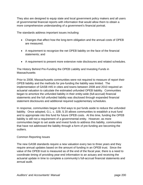They also are designed to equip state and local government policy makers and all users of governmental financial reports with information that would allow them to obtain a more comprehensive understanding of a government's financial portrait.

The standards address important issues including:

- Changes that affect how the long-term obligation and the annual costs of OPEB are measured;
- A requirement to recognize the net OPEB liability on the face of the financial statements; and
- A requirement to present more extensive note disclosures and related schedules.

The History Behind Pre-Funding the OPEB Liability and Investing Funds in **Massachusetts** 

Prior to 2008, Massachusetts communities were not required to measure of report their OPEB liability and the methods for pre-funding the liability was limited. The implementation of GASB #45 in cities and towns between 2008 and 2010 required an actuarial valuation to calculate the estimated unfunded OPEB liability. Communities began to amortize the unfunded liability in their entity-wide (full-accrual) financial statements and the full unfunded liability was disclosed through expanded financial statement disclosures and additional required supplementary schedules.

In response, communities began to find ways to put funds aside to reduce the unfunded liability. Once adopted, G.L. c. 32B, § 20 allows communities to establish a trust fund and to appropriate into this fund for future OPEB costs. At this time, funding the OPEB liability is still not a requirement of a governmental entity. However, as more communities begin to set aside and invest funds to address this liability, communities that have not addressed the liability through a form of pre-funding are becoming the outliers.

#### Common Reporting Issues

The new GASB standards require a new valuation every two to three years and they require annual updates based on the amount of funding in an OPEB trust. Since the value of the OPEB trust is measured as of the end of the fiscal year, there is a need to coordinate timing of providing year-end information to an actuary and receiving the actuarial update in time to complete a community's full-accrual financial statements and annual audit.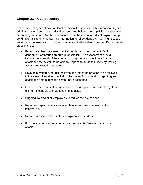# **Chapter 22 – Cybersecurity**

The number of cyber-attacks on local municipalities is continually increasing. Cyber criminals have been hacking critical systems and holding municipalities hostage and demanding ransoms. Another common scheme has been to redirect payroll through sending emails to change banking information for direct deposits. Communities are encouraged to take action to protect themselves to the extent possible. Recommended steps include:

- Perform a cyber risk assessment either through the community's IT department or through an outside specialist. The assessment should include the strength of the community's system to protect data from an attack and the system to be able to respond to an attack timely by limiting access and restoring systems.
- Develop a written cyber risk policy to document the process to be followed in the event of an attack, including the chain of command for reporting an attack and determining the community's response.
- Based on the results of the assessment, develop and implement a system of internal controls to protect against attacks.
- Ongoing training of all employees to reduce the risk of attack.
- Requiring in-person verification to change any direct deposit banking information.
- Require verification for electronic payments to vendors.
- Purchase cyber insurance to reduce the potential financial impact of an attack.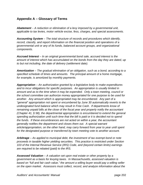# **Appendix A – Glossary of Terms**

*Abatement – A reduction or elimination of a levy imposed by a governmental unit, applicable to tax levies, motor vehicle excise, fess, charges, and special assessments.* 

*Accounting System – The total structure of records and procedures which identify, record, classify, and report information on the financial position and operations of a governmental unit or any of its funds, balanced account groups, and organizational components.* 

*Accrued Interest – In an original governmental bond sale, accrued interest is the amount of interest which has accumulated on the bonds from the day they are dated, up to but not including, the date of delivery (settlement date).* 

*Amortization – The gradual elimination of an obligation, such as a bond, according to a specified schedule of times and amounts. The principal amount of a home mortgage, for example, is amortized by monthly payments.* 

*Appropriation – An authorization granted by a legislative body to make expenditures and to incur obligations for specific purposes. An appropriation is usually limited in amount and as to the time when it may be expended. Only a town meeting, council or the school committee can authorize money appropriated for one purpose to be used for another. Any amount which is appropriated may be encumbered. Any part of a "general" appropriation not spent or encumbered by June 30 automatically reverts to the undesignated fund balance which may result in Free Cash. If departments know of remaining unpaid bills at the close of the fiscal year and properly notify the accountant (Chapter 41, § 58), the departmental appropriation is encumbered to extend the general spending authorization until such time that the bill is paid or it is decided not to spend the funds. If these encumbrances are not acted on within a year, the accountant generally notifies the department and closes them out. A special warrant article/appropriation, on the other hand, may carry forward from year to year until spent for the designated purpose or transferred by town meeting vote to another account.* 

*Arbitrage – As applied to municipal debt, the investment of tax exempt bond or note proceeds in taxable higher yielding securities. This practice is restricted under Section 103 of the Internal Revenue Service (IRS) Code, and (beyond certain limits) earnings are required to be rebated (paid) to the IRS.* 

*Assessed Valuation – A valuation set upon real estate or other property by a government as a basis for levying taxes. In Massachusetts, assessed valuation is based on "full and fair cash value," the amount a willing buyer would pay a willing seller on the open market. Assessors must collect, record, and analyze information about the*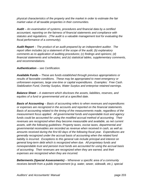*physical characteristics of the property and the market in order to estimate the fair market value of all taxable properties in their communities.* 

*Audit – An examination of systems, procedures and financial data by a certified accountant, reporting on the fairness of financial statements and compliance with statutes and regulations. (The audit is a valuable management tool for evaluating the fiscal performance of a community).* 

*Audit Report – The product of an audit prepared by an independent auditor. The report often includes (a) a statement of the scope of the audit; (b) explanatory comments as to application of auditing procedures; (c) findings and opinions; (d) financial statements and schedules; and (e) statistical tables, supplementary comments, and recommendations.* 

# *Authentication – see Certification.*

*Available Funds – These are funds established through previous appropriations or results of favorable conditions. These may be appropriated to meet emergency or unforeseen expenses, large one-time or capital expenditures. Examples: Free Cash. Stabilization Fund, Overlay Surplus, Water Surplus and enterprise retained earnings.* 

*Balance Sheet – A statement which discloses the assets, liabilities, reserves, and equities of a fund or governmental unit at a specified date.* 

*Basis of Accounting – Basis of accounting refers to when revenues and expenditures or expenses are recognized in the accounts and reported on the financial statements. Basis of accounting related to the timing of the measurements made, regardless of the measurement focus applied. All governmental funds and expendable trust and agency funds could be accounted for using the modified accrual method of accounting. Their revenues are recognized when they become measurable and available, as net current assets, with the following guidelines: Property taxes, excise taxes, departmental and governmental receivables are recorded as revenue when received in cash, as well as amounts received during the first 60 days of the following fiscal year. Expenditures are generally recognized under the accrual basis of accounting when the related fund liability is incurred. Exceptions to this general rule include principal and interest on general long-term debt which is recognized when due. All proprietary funds and nonexpendable trust and pension trust funds are accounted for using the accrual basis of accounting. Their revenues are recognized when they are earned, and their expenses are recognized when they are incurred.* 

*Betterments (Special Assessments) – Whenever a specific area of a community receives benefit from a public improvement (e.g. water, sewer, sidewalk, etc.), special*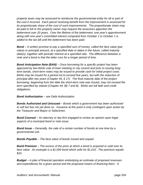*property taxes may be assessed to reimburse the governmental entity for all or part of the cost it incurred. Each parcel receiving benefit from the improvement is assessed for its proportionate share of the cost of such improvements. The proportionate share may be paid in full or the property owner may request the assessors apportion the betterment over 20 years. Over the lifetime of the betterment, one year's apportionment along with one year's committed interest computed from October 1 to October 1 is added to the tax bill until the betterment has been paid.* 

*Bond – A written promise to pay a specified sum of money, called the face value (par value) or principal amount, at a specified date or dates in the future, called maturity*  date(s), together with periodic interest at a specified rate. The difference between a *note and a bond is that the latter runs for a longer period of time.* 

*Bond Anticipation Note (BAN) – Once borrowing for a specific project has been approved by two-thirds vote of town meeting or city council and prior to issuing longterm bonds, short-term notes may be issued to provide cash for initial project costs. BANs may be issued for a period not to exceed five years, but with the reduction of principal after two years (Chapter 44, § 17). The final maturity date of the project borrowing, beginning from the date the short-term note was issued, may not exceed the term specified by statute (Chapter 44, §§ 7 and 8). BANs are full faith and credit obligations.* 

*Bond Authorization – see Debt Authorization.* 

*Bonds Authorized and Unissued – Bonds which a government has been authorized to sell but has not yet done so. Issuance at this point is only contingent upon action by the Treasurer and Mayor or Selectmen.* 

*Bond Counsel – An attorney or law firm engaged to review an opinion upon legal aspects of a municipal bond or note issue.* 

*Bond Issue – Generally, the sale of a certain number of bonds at one time by a governmental unit.* 

*Bonds Payable – The face value of bonds issued and unpaid.* 

*Bond Premium – The excess of the price at which a bond is acquired or sold over its face value. An example is a \$1,000 bond which sells for \$1,010. The premium equals \$10.* 

*Budget – A plan of financial operation embodying an estimate of proposed revenues and expenditures for a given period and the proposed means of financing them. A*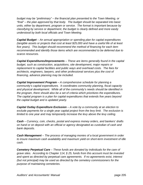*budget may be "preliminary" – the financial plan presented to the Town Meeting, or "final" – the plan approved by that body. The budget should be separated into basic units, either by department, program or service. The format is important because by classifying by service or department, the budget is clearly defined and more easily understood by both local officials and Town Meeting.* 

*Capital Budget – An annual appropriation or spending plan for capital expenditures (tangible assets or projects that cost at least \$25,000 and have a useful life of at least five years). This budget should recommend the method of financing for each item recommended and identify those items which are recommended to be deferred due to scarce resources.* 

*Capital Expenditures/Improvements – These are items generally found in the capital budget, such as construction, acquisitions, site development, major repairs or replacement to capital facilities and public ways and overhead costs. The fees for architects, engineers, lawyers, and other professional services plus the cost of financing, advance planning may be included.* 

*Capital Improvement Program – A comprehensive schedule for planning a community's capital expenditures. It coordinates community planning, fiscal capacity and physical development. While all of the community's needs should be identified in the program, there should also be a set of criteria which prioritizes the expenditures. The capital program is a plan for capital expenditures that extends five years beyond the capital budget and is updated yearly.* 

*Capital Outlay Expenditure Exclusion – A vote by a community at an election to exclude payments for a single year capital project from the levy limit. The exclusion is limited to one year and may temporarily increase the levy above the levy ceiling.* 

*Cash – Currency, coin, checks, postal and express money orders, and bankers' drafts on hand or on deposit with an official or agency designated as custodian of cash and bank deposits.* 

*Cash Management – The process of managing monies of a local government in order to insure maximum cash availability and maximum yield on short-term investment of idle cash.* 

*Cemetery Perpetual Care – These funds are donated by individuals for the care of grave sites. According to Chapter 114, § 25, funds from this account must be invested and spent as directed by perpetual care agreements. If no agreements exist, interest (but not principal) may be used as directed by the cemetery commissioners for the purpose of maintaining cemeteries.*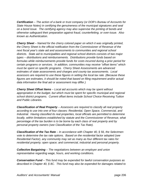*Certification – The action of a bank or trust company (or DOR's Bureau of Accounts for State House Notes) in certifying the genuineness of the municipal signatures and seal on a bond issue. The certifying agency may also supervise the printing of bonds and otherwise safeguard their preparation against fraud, counterfeiting, or over-issue. Also known as Authentication.* 

*Cherry Sheet – Named for the cherry colored paper on which it was originally printed, the Cherry Sheet is the official notification from the Commissioner of Revenue of the next fiscal year's state aid and assessments to communities and regional school districts. State aid to municipalities and regional school districts consists of two major types – distributions and reimbursements. Distributions provide funds based on formulas while reimbursements provide funds for costs incurred during a prior period for certain programs or services. In addition, communities may receive "offset items" which must be spent on specific programs. Cherry Sheet Assessments are advanced estimates of state assessments and charges and county tax assessments. Local assessors are required to use these figures in setting the local tax rate. (Because these figures are estimates, it should be noted that based on filing requirement and/or actual data information the final aid or assessment may differ.)* 

*Cherry Sheet Offset Items – Local aid accounts which may be spent without appropriation in the budget, but which must be spent for specific municipal and regional school district programs. Current offset items include School Choice Receiving Tuition and Public Libraries.* 

*Classification of Real Property – Assessors are required to classify all real property according to use into one of four classes: Residential, Open Space, Commercial, and Industrial. Having classified its real properties, local officials are permitted to determine locally, within limitations established by statute and the Commissioner of Revenue, what percentage of the tax burden is to be borne by each class of real property and by personal property owners (see Classification of the Tax Rate).* 

*Classification of the Tax Rate – In accordance with Chapter 40, § 56, the Selectmen vote to determine the tax rate options. Based on the residential factor adopted (see Residential Factor), any community may set as many as four different tax rates for: residential property; open space; and commercial, industrial and personal property.* 

*Collective Bargaining – The negotiations between an employer and union representative regarding wage, hours, and working conditions.* 

*Conservation Fund – This fund may be expended for lawful conservation purposes as described in Chapter 40, § 8C. This fund may also be expended for damages related to*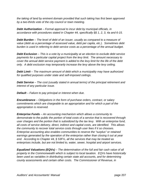*the taking of land by eminent domain provided that such taking has first been approved by a two-thirds vote of the city council or town meeting.* 

*Debt Authorization – Formal approval to incur debt by municipal officials, in accordance with procedures stated in Chapter 44, specifically §§ 1, 2, 3, 4a and 6-15.* 

*Debt Burden – The level of debt of an issuer, usually as compared to a measure of value (debt as a percentage of assessed value, debt per capita, etc.). Sometimes debt burden is used in referring to debt service costs as a percentage of the annual budget.* 

*Debt Exclusion* – This is a vote by a municipality at an election to exclude debt service *payments for a particular capital project from the levy limit. The amount necessary to cover the annual debt service payment is added to the levy limit for the life of the debt only. A debt exclusion may temporarily increase the levy above the levy ceiling.* 

*Debt Limit – The maximum amount of debt which a municipality may have authorized for qualified purposes under state and self-imposed ceilings.* 

*Debt Service – The cost (usually stated in annual terms) of the principal retirement and interest of any particular issue.* 

*Default – Failure to pay principal or interest when due.* 

*Encumbrance – Obligations in the form of purchase orders, contract, or salary commitments which are chargeable to an appropriation and for which a part of the appropriation is reserved.* 

*Enterprise Funds – An accounting mechanism which allows a community to demonstrate to the public the portion of total costs of a service that is recovered through user charges and the portion that is subsidized by the tax levy. With an enterprise fund, all costs of service delivery, direct, indirect and capital costs, are identified. This allows the community to recover total service costs through user fees if it so chooses. Enterprise accounting also enables communities to reserve the "surplus" or retained earnings generated by the operation of the enterprise rather than closing it out at year end. According to Chapter 44, § 53F½, all the services that may be treated as enterprises include, but are not limited to, water, sewer, hospital and airport services.* 

*Equalized Valuations (EQVs) – The determination of the full and fair cash value of all property in the Commonwealth which is subject to local taxation. EQVs have historically been used as variables in distributing certain state aid accounts, and for determining county assessments and certain other costs. The Commissioner of Revenue, in*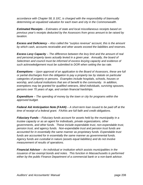*accordance with Chapter 58, § 10C, is charged with the responsibility of biannually determining an equalized valuation for each town and city in the Commonwealth.* 

*Estimated Receipts – Estimates of state and local miscellaneous receipts based on previous year's receipts deducted by the Assessors from gross amount to be raised by taxation.* 

*Excess and Deficiency – Also called the "surplus revenue" account, this is the amount by which cash, accounts receivable and other assets exceed the liabilities and reserves.* 

*Excess Levy Capacity – The difference between the levy limit and the amount of real and personal property taxes actually levied in a given year. Annually, the board of Selectmen and council must be informed of excess levying capacity and evidence of such acknowledgement must be submitted to DOR when setting the tax rate.* 

*Exemptions – Upon approval of an application to the Board of Assessors, these are full or partial discharges from the obligation to pay a property tax by statute on particular categories of property or persons. Examples include hospitals, schools, houses or worship, and cultural institutions that are of benefit to the community. In addition, exemptions may be granted for qualified veterans, blind individuals, surviving spouses, persons over 70 years of age, and certain financial hardships.* 

*Expenditure – The spending of money by the town or city for programs within the approved budget.* 

*Federal Aid Anticipation Note (FAAN) – A short-term loan issued to be paid off at the time of receipt of a federal grant. FAANs are full faith and credit obligations.* 

*Fiduciary Funds – Fiduciary funds account for assets held by the municipality in a trustee capacity or as an agent for individuals, private organizations, other governments, and other funds. These include expendable trust, non-expendable trust, pension trust, and agency funds. Non-expendable trust and pension trust funds are accounted for in essentially the same manner as proprietary funds. Expendable trust funds are accounted for in essentially the same manner as governmental funds. Agency funds are custodial in nature (assets equal liabilities) and do not involve measurement of results of operations.* 

*Financial Advisor – An individual or institution which assists municipalities in the issuance of tax exempt bonds and notes. This function in Massachusetts is performed either by the public Finance Department of a commercial bank or a non-bank advisor.*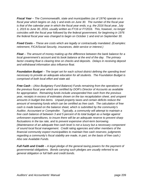*Fiscal Year – The Commonwealth, state and municipalities (as of 1974) operate on a fiscal year which begins on July 1 and ends on June 30. The number of the fiscal year is that of the calendar year in which the fiscal year ends; e.g. the 2016 fiscal year, July 1, 2015 to June 30, 2016, usually written as FY16 or FY2016. This, however, no longer coincides with the fiscal year followed by the federal government, for beginning in 1976 the federal fiscal year was changed to begin on October 1 and end on September 30.* 

*Fixed Costs – These are costs which are legally or contractually mandated. (Examples: retirement, FICA/Social Security, insurances, debt service or interest.)* 

*Float – The amount of money making up the difference between the bank balance for a local government's account and its book balance at the end of the day. The primary factor creating float is clearing time on checks and deposits. Delays in receiving deposit and withdrawal information also influence float.* 

*Foundation Budget – The target set for each school district defining the spending level necessary to provide an adequate education for all students. The Foundation Budget is comprised of both local effort and state aid.* 

*Free Cash – (Also Budgetary Fund Balance) Funds remaining from the operations of the previous fiscal year which are certified by DOR's Director of Accounts as available for appropriation. Remaining funds include unexpended free cash from the previous year, receipts in excess of estimates shown on the tax recapitulation sheet, and unspent amounts in budget line-items. Unpaid property taxes and certain deficits reduce the amount of remaining funds which can be certified as free cash. The calculation of free cash is made based on the balance sheet, which is submitted by the community's Auditor, Accountant or Comptroller. Typically, a community will attempt to maintain a free cash balance of between 3 and 5 percent of its total budget as a hedge against unforeseen expenditures, to insure there will be an adequate reserve to prevent sharp fluctuations in the tax rate, and to prevent expensive short-term borrowing. (Maintenance of an adequate free cash level is not a luxury but a necessary component of sound local fiscal management. Credit rating agencies and other members of the financial community expect municipalities to maintain free cash reserves; judgments regarding a community's fiscal stability are made, in part, on the basis of free cash.) Also see Available Funds.* 

*Full Faith and Credit – A legal pledge of the general taxing powers for the payment of governmental obligations. Bonds carrying such pledges are usually referred to as general obligation or full faith and credit bonds.*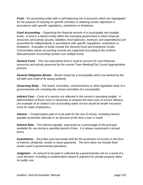*Fund – An accounting entity with a self-balancing set of accounts which are segregated for the purpose of carrying on specific activities or attaining certain objectives in accordance with specific regulations, restrictions or limitations.* 

*Fund Accounting – Organizing the financial records of a municipality into multiple*  funds. A fund is a distinct entity within the municipal government in which financial *resources and activity (assets, liabilities, fund balances, revenues and expenditures) are accounted for independently in accordance with specific regulations, restrictions or limitations. Examples of funds include the General Fund and Enterprise Funds. Communities whose accounting records are organized according to the Uniform Massachusetts Accounting System use multiple funds.* 

*General Fund – This non-earmarked fund is used to account for most financial resources and activity governed by the normal Town Meeting/City Council appropriation process.* 

*General Obligation Bonds – Bonds issued by a municipality which are backed by the full faith and credit of its taxing authority.* 

*Governing Body – The board, committee, commissioners or other legislative body of a governmental unit, including the school committee of a municipality.* 

*Indirect Cost – Costs of a service not reflected in the service's operating budget. A determination of these costs is necessary to analyze the total costs of service delivery. (An example of an indirect cost of providing water service would be health insurance costs for water employees.)* 

*Interest – Compensation paid or to be paid for the use of money, including interest payable at periodic intervals or as discount at the time a loan is made.* 

*Interest Rate – The interest payable, expressed as a percentage of the principal available for use during a specified period of time. It is always expressed in annual terms.* 

*Investments – Securities and real estate held for the production of income in the form of interest, dividends, rentals or lease payments. The term does not include fixed assets used in governmental operations.* 

*Judgment – An amount to be paid or collected by a governmental unit as a result of a court decision, including a condemnation award in payment for private property taken for public use.*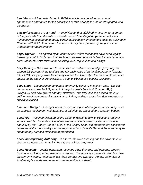*Land Fund – A fund established in FY86 to which may be added an annual appropriation earmarked for the acquisition of land or debt service on designated land purchases.* 

*Law Enforcement Trust Fund – A revolving fund established to account for a portion of the proceeds from the sale of property seized from illegal drug-related activities. Funds may be expended to defray certain qualified law enforcement costs as outlined in Chapter 94C, § 47. Funds from this account may be expended by the police chief without further appropriation.* 

*Legal Opinion – An opinion by an attorney or law firm that bonds have been legally issued by a public body, and that the bonds are exempt from federal income taxes and some Massachusetts taxes under existing laws, regulations and rulings.* 

*Levy Ceiling – The maximum tax assessed on real and personal property may not exceed 2.5 percent of the total full and fair cash value of all taxable property (Chapter 59, § 21C). Property taxes levied may exceed this limit only if the community passes a capital outlay expenditure exclusion, a debt exclusion or a special exclusion.* 

*Levy Limit – The maximum amount a community can levy in a given year. The limit can grow each year by 2.5 percent of the prior year's levy limit (Chapter 59, § 59C(f,g,k)) plus new growth and any overrides. The levy limit can exceed the levy ceiling only if the community passes a capital expenditure exclusion, debt exclusion or special exclusion.* 

*Line-Item Budget – A budget which focuses on inputs of categories of spending, such as supplies, equipment, maintenance, or salaries, as opposed to a program budget.* 

*Local Aid – Revenue allocated by the Commonwealth to towns, cities and regional school districts. Estimates of local aid are transmitted to towns, cities and districts annually by the "Cherry Sheet." Most of the Cherry Sheet aid programs are considered revenues of the municipality's or the regional school district's General Fund and may be spent for any purpose subject to appropriation.* 

*Local Appropriating Authority – In a town, the town meeting has the power to levy directly a property tax. In a city, the city council has the power.* 

*Local Receipts – Locally generated revenues other than real and personal property taxes and excluding enterprise fund revenues. Examples include motor vehicle excise, investment income, hotel/motel tax, fees, rentals and charges. Annual estimates of local receipts are shown on the tax rate recapitulation sheet.*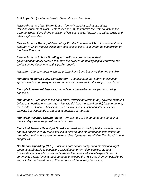## *M.G.L. (or G.L.) – Massachusetts General Laws, Annotated*

*Massachusetts Clean Water Trust – formerly the Massachusetts Water Pollution Abatement Trust – established in 1989 to improve the water quality in the Commonwealth through the provision of low cost capital financing to cities, towns and other eligible entities.* 

*Massachusetts Municipal Depository Trust – Founded in 1977, it is an investment program in which municipalities may pool excess cash. It is under the supervision of the State Treasurer.* 

*Massachusetts School Building Authority – a quasi-independent government authority created to reform the process of funding capital improvement projects in the Commonwealth's public schools* 

*Maturity – The date upon which the principal of a bond becomes due and payable.* 

*Minimum Required Local Contribution – The minimum that a town or city must appropriate from property taxes and other local revenues for the support of schools.* 

*Moody's Investment Services, Inc. – One of the leading municipal bond rating agencies.* 

*Municipal(s) – (As used in the bond trade) "Municipal" refers to any governmental unit below or subordinate to the state. "Municipals" (i.e., municipal bonds) include not only the bonds of all local subdivisions such as towns, cities, school districts, special districts, but also bonds of states and agencies of the state.* 

*Municipal Revenue Growth Factor – An estimate of the percentage change in a municipality's revenue growth for a fiscal year.* 

*Municipal Finance Oversight Board – A board authorized by M.G.L. to review and approve applications by municipalities to exceed their statutory debt limit, define the term of borrowing for certain purposes and designate issues of "Qualified Bonds" under chapter 44a.* 

*Net School Spending (NSS) – Includes both school budget and municipal budget amounts attributable to education, excluding long-term debt service, student transportation, school lunches and certain other specified school expenditures. A community's NSS funding must be equal or exceed the NSS Requirement established annually by the Department of Elementary and Secondary Education.*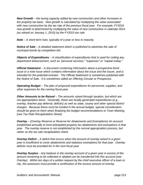*New Growth – the taxing capacity added by new construction and other increases in the property tax base. New growth is calculated by multiplying the value associated with new construction by the tax rate of the previous fiscal year. For example, FY2016 new growth is determined by multiplying the value of new construction in calendar 2014 (as valued on January 1, 2015) by the FY2015 tax rate.* 

*Note – A short-term loan, typically of a year or less in maturity.* 

*Notice of Sale – A detailed statement which is published to advertise the sale of municipal bonds by competitive bid.* 

*Objects of Expenditures – A classification of expenditures that is used for coding any department disbursement, such as "personal services," "expenses" or "capital outlay."* 

*Official Statement – A document containing information about a prospective bond issue or a note issue which contains information about the issue and the issuer, and is intended for the potential investor. The Official Statement is sometimes published with the Notice of Sale. It is sometimes called an Offering Circular or Prospectus.* 

*Operating Budget – The plan of proposed expenditures for personnel, supplies, and other expenses for the coming fiscal year.* 

*Other Amounts to be Raised – The amounts raised through taxation, but which are not appropriation items. Generally, these are locally generated expenditures (e.g., overlay, teacher pay deferral, deficits) as well as state, county and other special district charges. Because these must be funded in the annual budget, special consideration should be given to them when finalizing the budget recommendations to Town Meeting. (see Tax Rate Recapitulation Sheet)* 

*Overlay – (Overlay Reserve or Reserve for Abatements and Exemptions) An account established annually to fund anticipated property tax abatements and exemptions in that year. The overlay reserve is not established by the normal appropriation process, but rather on the tax rate recapitulation sheet.* 

*Overlay Deficit – A deficit that occurs when the amount of overlay raised in a given year is insufficient to cover abatements and statutory exemptions for that year. Overlay deficits must be provided for in the next fiscal year.* 

*Overlay Surplus - Any balance in the overlay account of a given year in excess of the amount remaining to be collected or abated can be transferred into this account (see Overlay). Within ten days of a written request by the chief executive officer of a town or city, the assessors must provide a certification of the excess amount of overlay*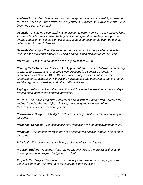*available for transfer. Overlay surplus may be appropriated for any lawful purpose. At the end of each fiscal year, unused overlay surplus is "closed" to surplus revenue; i.e. it becomes a part of free cash.* 

*Override – A vote by a community at an election to permanently increase the levy limit. An override vote may increase the levy limit to no higher than the levy ceiling. The override question on the election ballot must state a purpose for the override and the dollar amount. (see Underride)* 

*Override Capacity – The difference between a community's levy ceiling and its levy limit.* It is the maximum amount by which a community may override its levy limit.

*Par Value – The face amount of a bond, e.g. \$1,000 or \$5,000.* 

*Parking Meter Receipts Reserved for Appropriation – This fund allows a community to charge for parking and to reserve these proceeds in a separate account. In accordance with Chapter 40, § 22A, the process may be used to offset certain expenses for the acquisition, installation, maintenance and operation of parking meters and the regulation of parking and other traffic activities.* 

*Paying Agent – A bank or other institution which acts as the agent for a municipality in making bond interest and principal payments.* 

*PERAC - The Public Employee Retirement Administration Commission – created for and dedicated to the oversight, guidance, monitoring and regulation of the Massachusetts Public Pension Systems.* 

*Performance Budget – A budget which stresses output both in terms of economy and efficiency.* 

*Personnel Services – The cost of salaries, wages and related employment benefits.* 

*Premium – The amount by which the price exceeds the principal amount of a bond or par value.* 

*Principal – The face amount of a bond, exclusive of accrued interest.* 

*Program Budget – A budget which relates expenditures to the programs they fund. The emphasis of a program budget is on output.* 

*Property Tax Levy – The amount of community can raise through the property tax. The levy can be any amount up to the levy limit plus exclusions.*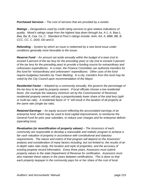*Purchased Services – The cost of services that are provided by a vendor.* 

*Ratings – Designations used by credit rating services to give relative indications of quality. Mood's ratings range from the highest Aaa down through Aa, A-1, A, Baa-1, Baa, Ba, B, Caa, Ca, C. Standard & Poor's ratings include: AAA, AA, A, BBB, BB, B, CCC, CC, C, DDD, DD and D.* 

*Refunding – System by which an issue is redeemed by a new bond issue under conditions generally more favorable to the issuer.* 

*Reserve Fund – An amount set aside annually within the budget of a town (not to exceed 5 percent of the tax levy for the preceding year) or city (not to exceed 3 percent of the tax levy for the preceding year) to provide a funding source for extraordinary and unforeseen expenditures. In a town, the Finance Committee can authorize transfers for this fund for "extraordinary and unforeseen" expenditures. Other uses of the fund require budgetary transfers by Town Meeting. In a city, transfers from this fund may be voted by the City Council upon recommendation of the Mayor.* 

*Residential Factor – Adopted by a community annually, this governs the percentage of the tax levy to be paid by property owners. If local officials choose a low residential factor, (for example the statutory minimum set by the Commissioner of Revenue) residential property owners will pay a proportionately lower share of the total levy (split or multi-tax rate). A residential factor of "1" will result in the taxation of all property at the same rate (single tax rate).* 

*Retained Earnings – An equity account reflecting the accumulated earnings of an enterprise fund, which may be used to fund capital improvements, to reimburse the General Fund for prior year subsidies, to reduce user charges and for enterprise deficits (operating loss).* 

*Revaluation (or recertification of property values) – The Assessors of each community are responsible to develop a reasonable and realistic program to achieve a fair cash valuation of property in accordance with constitutional and statutory requirements. The nature and extent of that program will depend on the Assessors' analysis and consideration of many factors including, but not limited to, the results of an in-depth sales ratio study, the location and style of properties, and the accuracy of existing property record information. Every three years, Assessors must submit property values to the state Department of Revenue for certification. Assessors must also maintain these values in the years between certifications. This is done so that each property taxpayer in the community pays his or her share of the cost of local*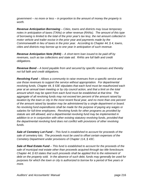*government – no more or less – in proportion to the amount of money the property is worth.* 

*Revenue Anticipation Borrowing – Cities, towns and districts may issue temporary notes in anticipation of taxes (TANs) or other revenue (RANs). The amount of this type of borrowing is limited to the total of the prior year's tax levy, the net amount collected in motor vehicle and trailer excise in the prior year and payments made by the Commonwealth in lieu of taxes in the prior year. According to Chapter 44, § 4, towns, cities and districts may borrow up to one year in anticipation of such revenue.* 

*Revenue Anticipation Note (RAN) – A short-term loan issued to be paid off by revenues, such as tax collections and state aid. RANs are full faith and credit obligations.* 

*Revenue Bond – A bond payable from and secured by specific revenues and thereby not full faith and credit obligations.* 

*Revolving Fund – Allows a community to raise revenues from a specific service and use those revenues to support the service without appropriation. For departmental revolving funds, Chapter 44, § 53E stipulates that each fund must be reauthorized each year at an annual town meeting or by city council action, and that a limit on the total amount which may be spent from each fund must be established at that time. The aggregate of all revolving funds may not exceed ten percent of the amount raised by taxation by the town or city in the most recent fiscal year, and no more than one percent of the amount raised by taxation may be administered by a single department or board. No revolving fund expenditures shall be made for the purpose of paying any wages or salaries for full-time employees. Revolving funds for other programs as provided by statute are still allowed, and a departmental revolving fund may be implemented in addition to or in conjunction with other existing statutory revolving funds, provided that the departmental revolving fund does not conflict with provisions of other revolving funds.* 

*Sale of Cemetery Lot Fund – This fund is established to account for proceeds of the sale of cemetery lots. The proceeds must be used to offset certain expenses of the Cemetery Department under provisions of Chapter 114, § 43C.* 

*Sale of Real Estate Fund – This fund is established to account for the proceeds of the sale of municipal real estate other than proceeds acquired through tax title foreclosure. Chapter 44, § 63 states that such proceeds shall be applied first to the retirement of debt on the property sold. In the absence of such debt, funds may generally be used for purposes for which the town or city is authorized to borrow for a period of five years or more.*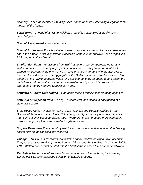*Security – For Massachusetts municipalities, bonds or notes evidencing a legal debt on the part of the issuer.* 

*Serial Bond – A bond of an issue which has maturities scheduled annually over a period of years.* 

*Special Assessment – see Betterments.* 

*Special Exclusion – For a few limited capital purposes, a community may assess taxes above the amount of its levy limit or levy ceiling without voter approval. see Proposition 21/2 chapter in this Manual.* 

*Stabilization Fund – An account from which amounts may be appropriated for any lawful purpose. Towns may appropriate into this fund in any year an amount not to exceed ten percent of the prior year's tax levy or a larger amount with the approval of the Director of Accounts. The aggregate of the Stabilization Fund shall not exceed ten percent of the town's equalized value, and any interest shall be added to and become a part of the fund. A two-thirds vote of town meeting or city council is required to appropriate money from the Stabilization Fund.* 

*Standard & Poor's Corporation – One of the leading municipal bond rating agencies.* 

*State Aid Anticipation Note (SAAN) – A short-term loan issued in anticipation of a state grant or aid.* 

*State House Notes – Notes for towns, cities, counties and districts certified by the Director of Accounts. State House Notes are generally less costly and easier to issue than conventional issues for borrowings. Therefore, these notes are more commonly used for temporary loans and smaller long-term issues.* 

*Surplus Revenue – The amount by which cash, accounts receivable and other floating assets exceed the liabilities and reserves.* 

*Tailings – This fund is reserved for unclaimed checks written on city or town accounts. The procedures for retaining money from unclaimed checks is outlined in Chapter 200A, § 9A. Written notice must be filed with the Clerk if these procedures are to be followed.* 

*Tax Rate – The amount of tax stated in terms of a unit of the tax base; for example, \$14.80 per \$1,000 of assessed valuation of taxable property.*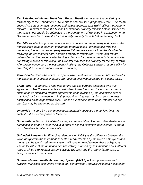*Tax Rate Recapitulation Sheet (also Recap Sheet) – A document submitted by a town or city to the Department of Revenue in order to set a property tax rate. The recap sheet shows all estimated revenues and actual appropriations which affect the property tax rate. (In order to issue the first-half semiannual property tax bills before October 1st, the recap sheet should be submitted to the Department of Revenue in September, or in December in order to issue the third quarterly property tax bills before January 1st.)* 

*Tax Title – Collection procedure which secures a lien on real property and protects the municipality's right to payment of overdue property taxes. (Without following this procedure, the lien on real property expires if three years elapse from the October first following the assessment date, and the property is transferred. If amounts remain outstanding on the property after issuing a demand for overdue property taxes and after publishing a notice of tax taking, the Collector may take the property for the city or town. After properly recording the instrument of taking, the Collector transfers responsibility for collecting the overdue amounts to the Treasurer).* 

*Term Bond – Bonds the entire principal of which matures on one date. Massachusetts municipal general obligation bonds are required by law to be retired on a serial basis.* 

*Trust Fund – In general, a fund held for the specific purpose stipulated by a trust agreement. The Treasurer acts as custodian of trust funds and invests and expends such funds as stipulated by trust agreements or as directed by the commissioners of trust funds or by town meeting. Both principal and interest may be used if the trust is established as an expendable trust. For non-expendable trust funds, interest but not principal may be expended as directed.* 

*Underride – A vote by a community to permanently decrease the tax levy limit. As such, it is the exact opposite of Override.* 

*Underwriter – For municipal debt issues, a commercial bank or securities dealer which purchases all or part of a new issue in order to sell the securities to investors. A group of underwriters is called a syndicate.* 

*Unfunded Pension Liability- Unfunded pension liability is the difference between the value assigned to the retirement benefits already deemed by the town's employees and the assets the town's retirement system will have on hand to meet these obligations. The dollar value of the unfunded pension liability is driven by assumptions about interest rates at which a retirement system's assets will grow and the rate of future costs of living increases to pensioners.* 

*Uniform Massachusetts Accounting System (UMAS) – A comprehensive and practical municipal accounting system that conforms to Generally Accepted Accounting*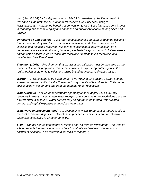*principles (GAAP) for local governments. UMAS is regarded by the Department of Revenue as the professional standard for modern municipal accounting in Massachusetts. (Among the benefits of conversion to UMAS are increased consistency in reporting and record keeping and enhanced comparability of data among cities and towns.)* 

*Unreserved Fund Balance – Also referred to sometimes as "surplus revenue account," this is the amount by which cash, accounts receivable, and other assets exceed liabilities and restricted reserves. It is akin to "stockholders' equity" account on a corporate balance sheet. It is not, however, available for appropriation in full because a portion of the assets listed as "accounts receivable" may be taxes receivable and uncollected. (see Free Cash).* 

*Valuation (100%) – Requirement that the assessed valuation must be the same as the market value for all properties; 100 percent valuation may offer greater equity in the redistribution of state aid to cities and towns based upon local real estate values.* 

*Warrant – A list of items to be acted on by Town Meeting. (A treasury warrant and the assessors' warrant authorize the Treasurer to pay specific bills and the tax Collector to collect taxes in the amount and from the persons listed, respectively.)* 

*Water Surplus – For water departments operating under Chapter 41, § 69B, any revenues in excess of estimated water receipts or unspent water appropriations close to a water surplus account. Water surplus may be appropriated to fund water-related general and capital expenses or to reduce water rates.* 

*Waterways Improvement Fund – An account into which 50 percent of the proceeds of the boat excise are deposited. Use of these proceeds is limited to certain waterway expenses as outlined in Chapter 40, § 5G.* 

*Yield – The net annual percentage of income derived from an investment. The yield of a bond reflects interest rate, length of time to maturity and write-off of premium or accrual of discount. (Also referred to as "yield to maturity.")*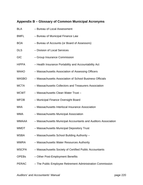## **Appendix B – Glossary of Common Municipal Acronyms**

| <b>BLA</b>   | - Bureau of Local Assessment                                   |
|--------------|----------------------------------------------------------------|
| <b>BMFL</b>  | - Bureau of Municipal Finance Law                              |
| <b>BOA</b>   | - Bureau of Accounts (or Board of Assessors)                   |
| <b>DLS</b>   | - Division of Local Services                                   |
| <b>GIC</b>   | - Group Insurance Commission                                   |
| <b>HIPPA</b> | - Health Insurance Portability and Accountability Act          |
| <b>MAAO</b>  | - Massachusetts Association of Assessing Officers              |
| <b>MASBO</b> | - Massachusetts Association of School Business Officials       |
| <b>MCTA</b>  | - Massachusetts Collectors and Treasurers Association          |
| <b>MCWT</b>  | - Massachusetts Clean Water Trust-                             |
| <b>MFOB</b>  | - Municipal Finance Oversight Board                            |
| MIIA         | - Massachusetts Interlocal Insurance Association               |
| <b>MMA</b>   | - Massachusetts Municipal Association                          |
| MMAAA        | - Massachusetts Municipal Accountants and Auditors Association |
| <b>MMDT</b>  | - Massachusetts Municipal Depository Trust                     |
| <b>MSBA</b>  | - Massachusetts School Building Authority -                    |
| <b>MWRA</b>  | - Massachusetts Water Resources Authority                      |
| <b>MSCPA</b> | - Massachusetts Society of Certified Public Accountants        |
| <b>OPEBs</b> | - Other Post-Employment Benefits                               |
| <b>PERAC</b> | - The Public Employee Retirement Administration Commission     |